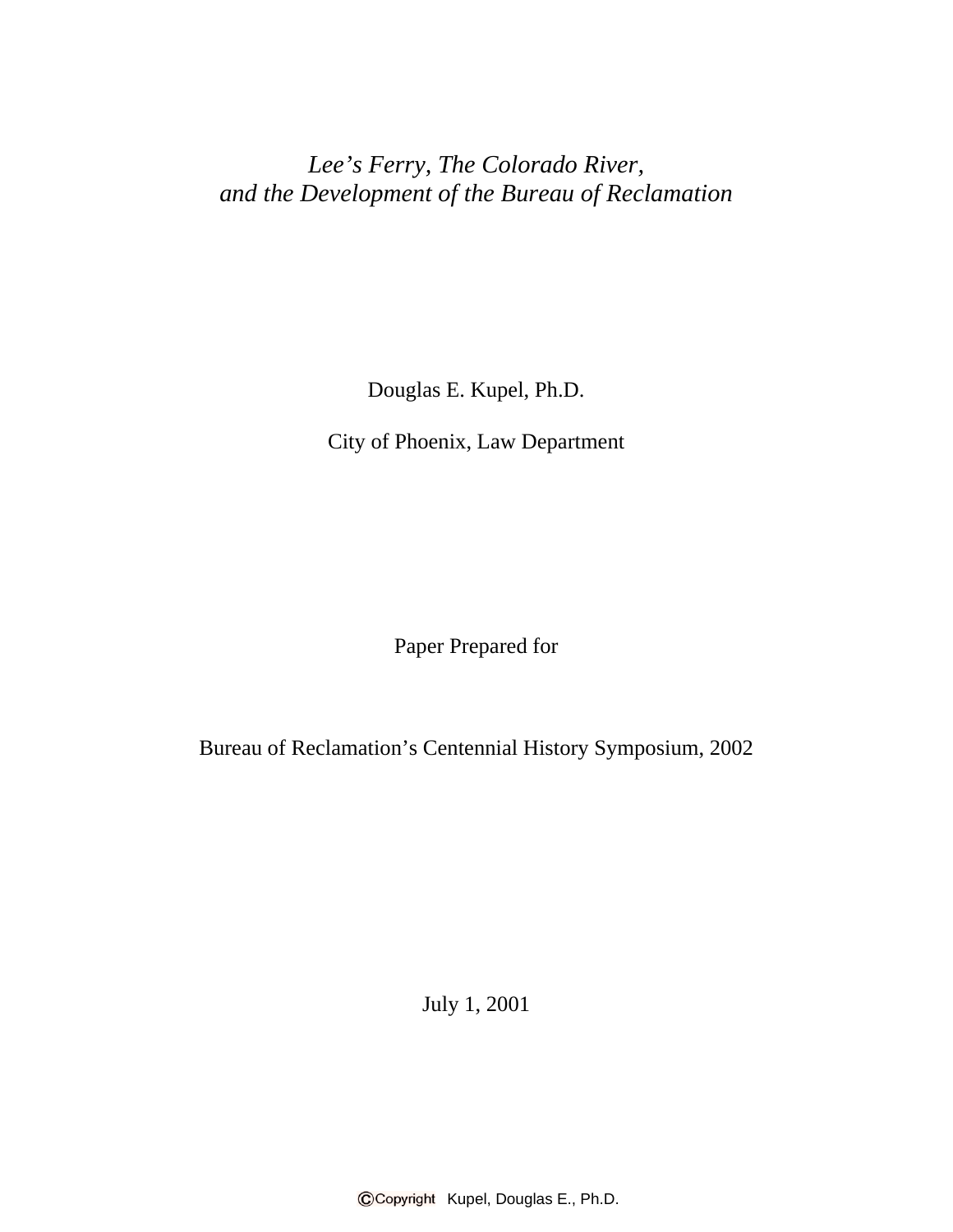*Lee's Ferry, The Colorado River, and the Development of the Bureau of Reclamation*

Douglas E. Kupel, Ph.D.

City of Phoenix, Law Department

Paper Prepared for

Bureau of Reclamation's Centennial History Symposium, 2002

July 1, 2001

CCopyright Kupel, Douglas E., Ph.D.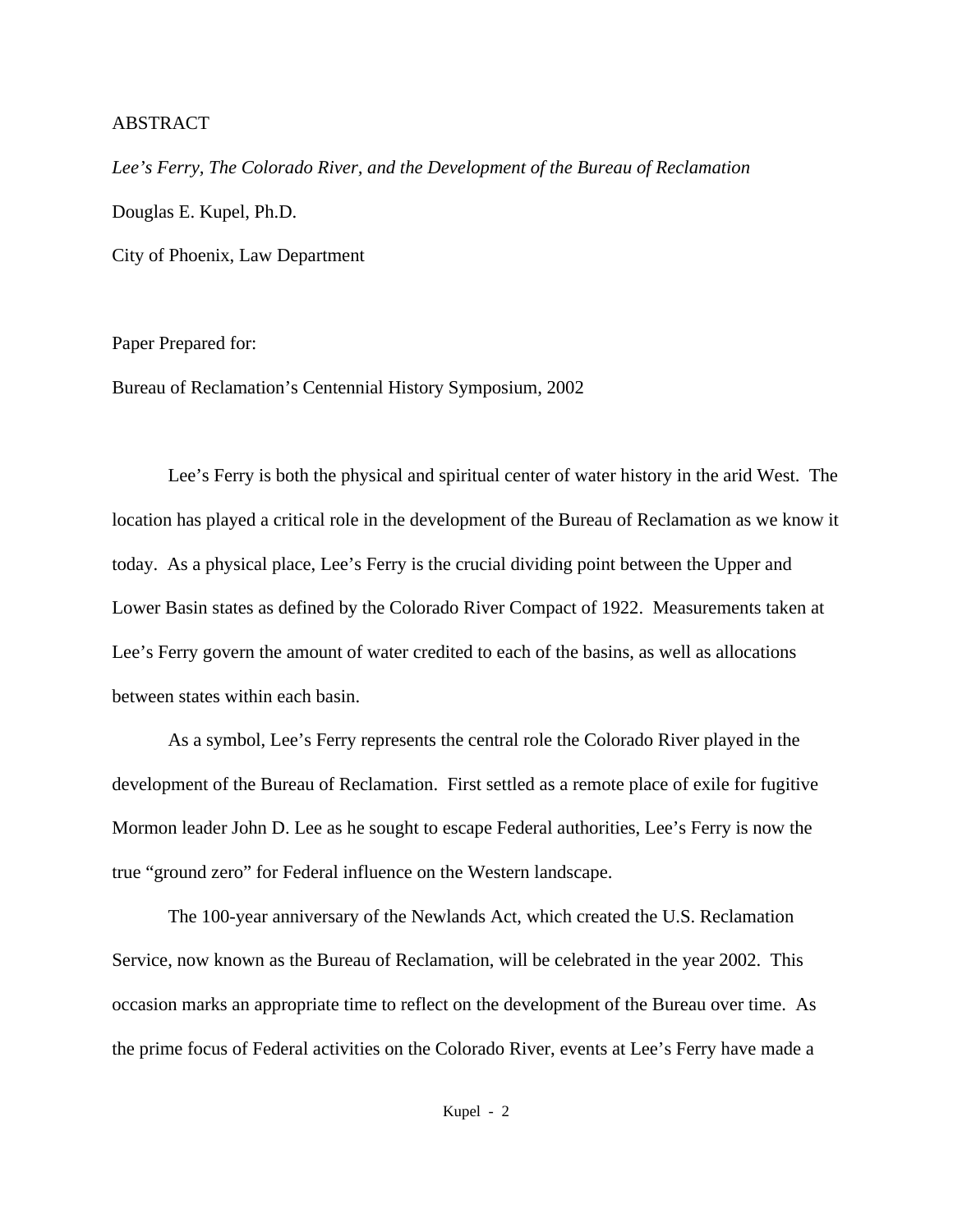## ABSTRACT

*Lee's Ferry, The Colorado River, and the Development of the Bureau of Reclamation* Douglas E. Kupel, Ph.D. City of Phoenix, Law Department

Paper Prepared for:

Bureau of Reclamation's Centennial History Symposium, 2002

Lee's Ferry is both the physical and spiritual center of water history in the arid West. The location has played a critical role in the development of the Bureau of Reclamation as we know it today. As a physical place, Lee's Ferry is the crucial dividing point between the Upper and Lower Basin states as defined by the Colorado River Compact of 1922. Measurements taken at Lee's Ferry govern the amount of water credited to each of the basins, as well as allocations between states within each basin.

As a symbol, Lee's Ferry represents the central role the Colorado River played in the development of the Bureau of Reclamation. First settled as a remote place of exile for fugitive Mormon leader John D. Lee as he sought to escape Federal authorities, Lee's Ferry is now the true "ground zero" for Federal influence on the Western landscape.

The 100-year anniversary of the Newlands Act, which created the U.S. Reclamation Service, now known as the Bureau of Reclamation, will be celebrated in the year 2002. This occasion marks an appropriate time to reflect on the development of the Bureau over time. As the prime focus of Federal activities on the Colorado River, events at Lee's Ferry have made a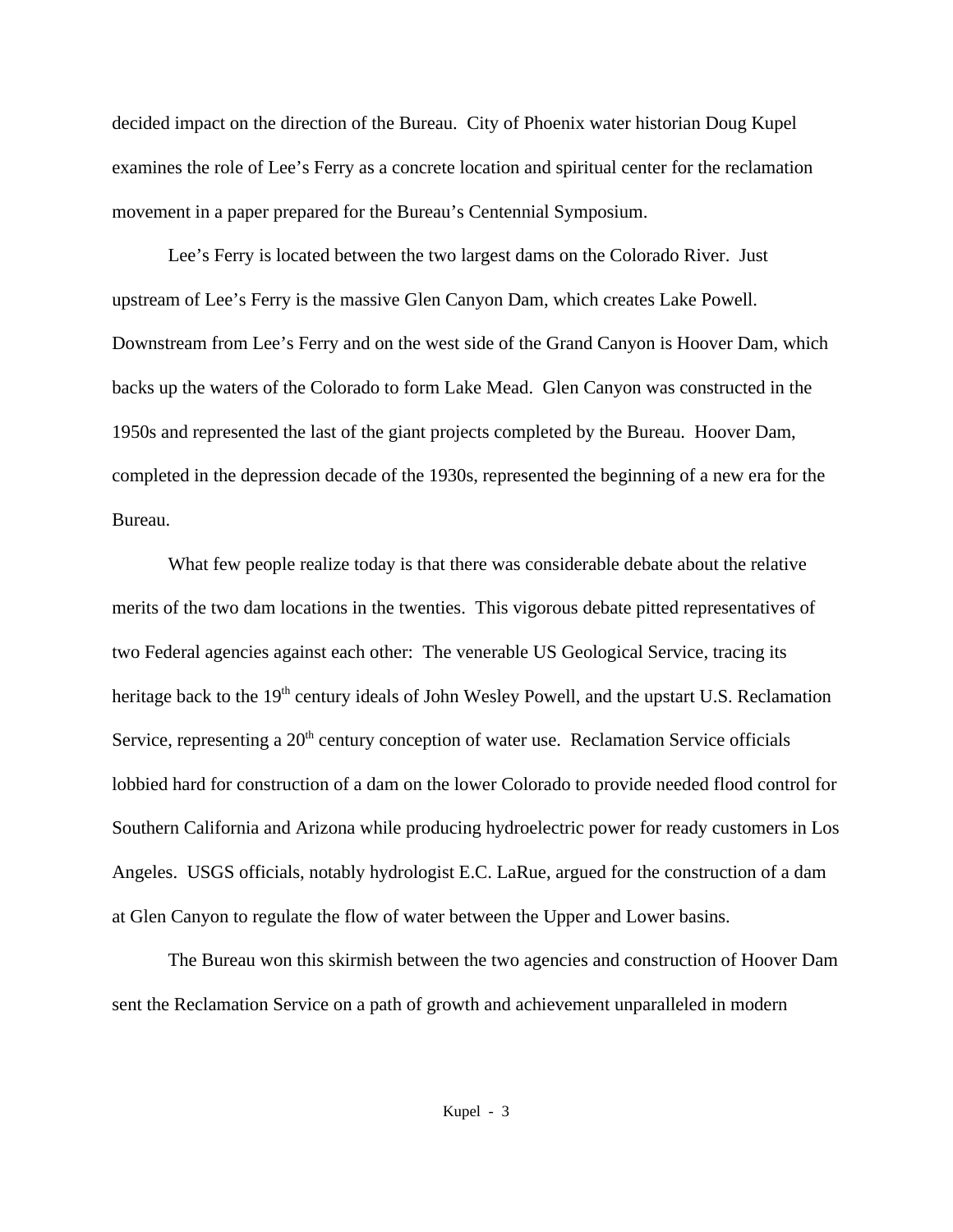decided impact on the direction of the Bureau. City of Phoenix water historian Doug Kupel examines the role of Lee's Ferry as a concrete location and spiritual center for the reclamation movement in a paper prepared for the Bureau's Centennial Symposium.

Lee's Ferry is located between the two largest dams on the Colorado River. Just upstream of Lee's Ferry is the massive Glen Canyon Dam, which creates Lake Powell. Downstream from Lee's Ferry and on the west side of the Grand Canyon is Hoover Dam, which backs up the waters of the Colorado to form Lake Mead. Glen Canyon was constructed in the 1950s and represented the last of the giant projects completed by the Bureau. Hoover Dam, completed in the depression decade of the 1930s, represented the beginning of a new era for the Bureau.

What few people realize today is that there was considerable debate about the relative merits of the two dam locations in the twenties. This vigorous debate pitted representatives of two Federal agencies against each other: The venerable US Geological Service, tracing its heritage back to the 19<sup>th</sup> century ideals of John Wesley Powell, and the upstart U.S. Reclamation Service, representing a 20<sup>th</sup> century conception of water use. Reclamation Service officials lobbied hard for construction of a dam on the lower Colorado to provide needed flood control for Southern California and Arizona while producing hydroelectric power for ready customers in Los Angeles. USGS officials, notably hydrologist E.C. LaRue, argued for the construction of a dam at Glen Canyon to regulate the flow of water between the Upper and Lower basins.

The Bureau won this skirmish between the two agencies and construction of Hoover Dam sent the Reclamation Service on a path of growth and achievement unparalleled in modern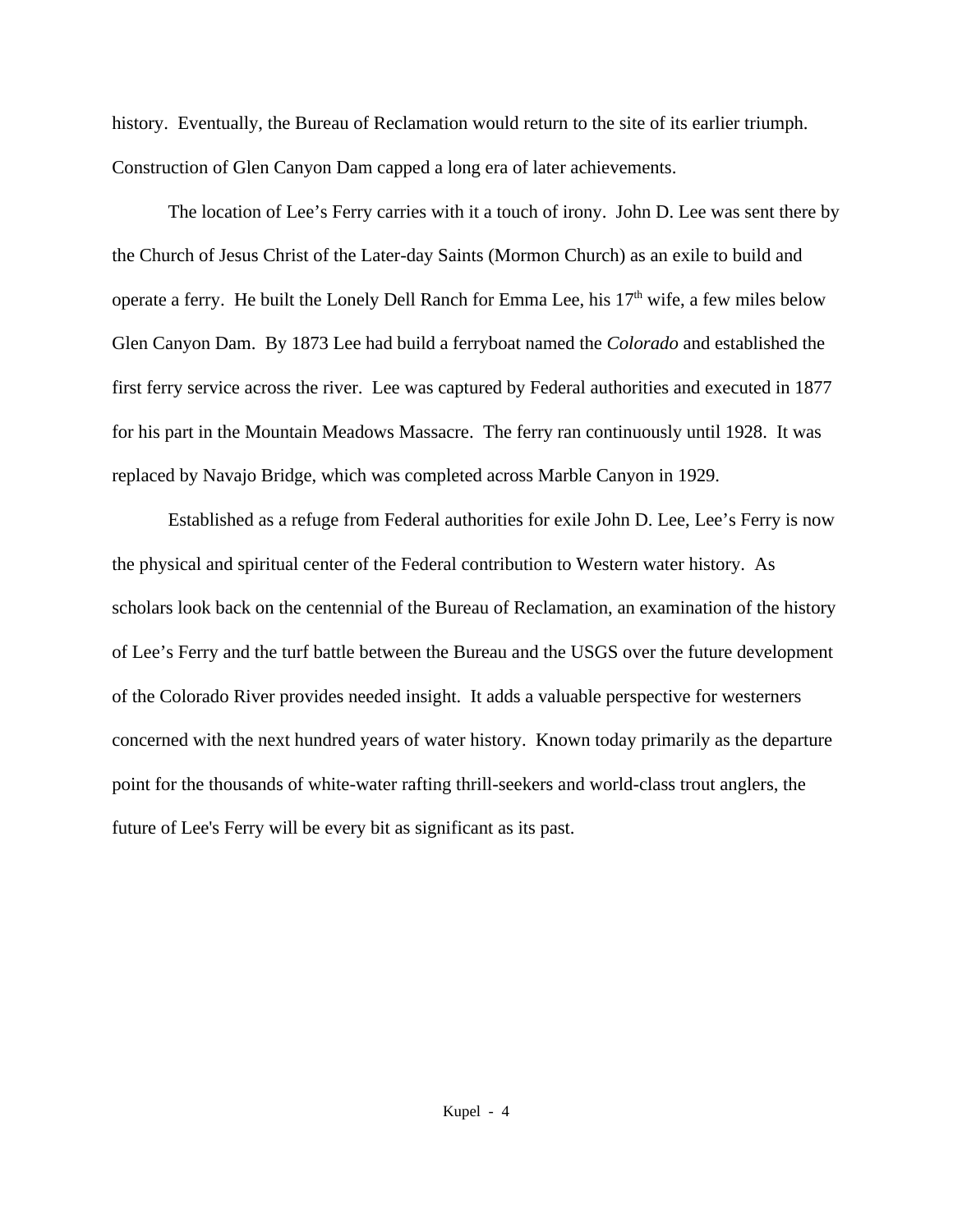history. Eventually, the Bureau of Reclamation would return to the site of its earlier triumph. Construction of Glen Canyon Dam capped a long era of later achievements.

The location of Lee's Ferry carries with it a touch of irony. John D. Lee was sent there by the Church of Jesus Christ of the Later-day Saints (Mormon Church) as an exile to build and operate a ferry. He built the Lonely Dell Ranch for Emma Lee, his 17<sup>th</sup> wife, a few miles below Glen Canyon Dam. By 1873 Lee had build a ferryboat named the *Colorado* and established the first ferry service across the river. Lee was captured by Federal authorities and executed in 1877 for his part in the Mountain Meadows Massacre. The ferry ran continuously until 1928. It was replaced by Navajo Bridge, which was completed across Marble Canyon in 1929.

Established as a refuge from Federal authorities for exile John D. Lee, Lee's Ferry is now the physical and spiritual center of the Federal contribution to Western water history. As scholars look back on the centennial of the Bureau of Reclamation, an examination of the history of Lee's Ferry and the turf battle between the Bureau and the USGS over the future development of the Colorado River provides needed insight. It adds a valuable perspective for westerners concerned with the next hundred years of water history. Known today primarily as the departure point for the thousands of white-water rafting thrill-seekers and world-class trout anglers, the future of Lee's Ferry will be every bit as significant as its past.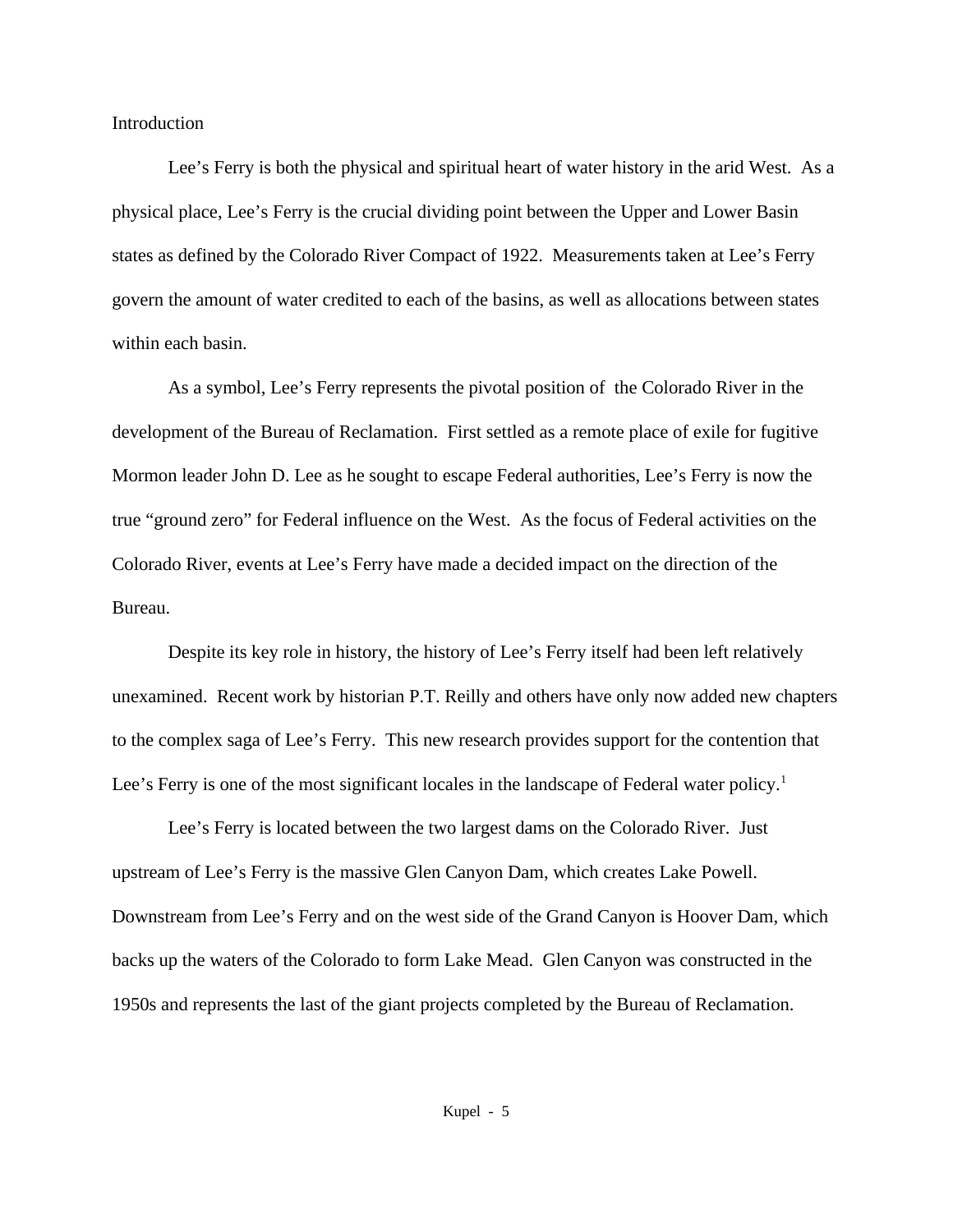Introduction

Lee's Ferry is both the physical and spiritual heart of water history in the arid West. As a physical place, Lee's Ferry is the crucial dividing point between the Upper and Lower Basin states as defined by the Colorado River Compact of 1922. Measurements taken at Lee's Ferry govern the amount of water credited to each of the basins, as well as allocations between states within each basin.

As a symbol, Lee's Ferry represents the pivotal position of the Colorado River in the development of the Bureau of Reclamation. First settled as a remote place of exile for fugitive Mormon leader John D. Lee as he sought to escape Federal authorities, Lee's Ferry is now the true "ground zero" for Federal influence on the West. As the focus of Federal activities on the Colorado River, events at Lee's Ferry have made a decided impact on the direction of the Bureau.

Despite its key role in history, the history of Lee's Ferry itself had been left relatively unexamined. Recent work by historian P.T. Reilly and others have only now added new chapters to the complex saga of Lee's Ferry. This new research provides support for the contention that Lee's Ferry is one of the most significant locales in the landscape of Federal water policy.<sup>1</sup>

Lee's Ferry is located between the two largest dams on the Colorado River. Just upstream of Lee's Ferry is the massive Glen Canyon Dam, which creates Lake Powell. Downstream from Lee's Ferry and on the west side of the Grand Canyon is Hoover Dam, which backs up the waters of the Colorado to form Lake Mead. Glen Canyon was constructed in the 1950s and represents the last of the giant projects completed by the Bureau of Reclamation.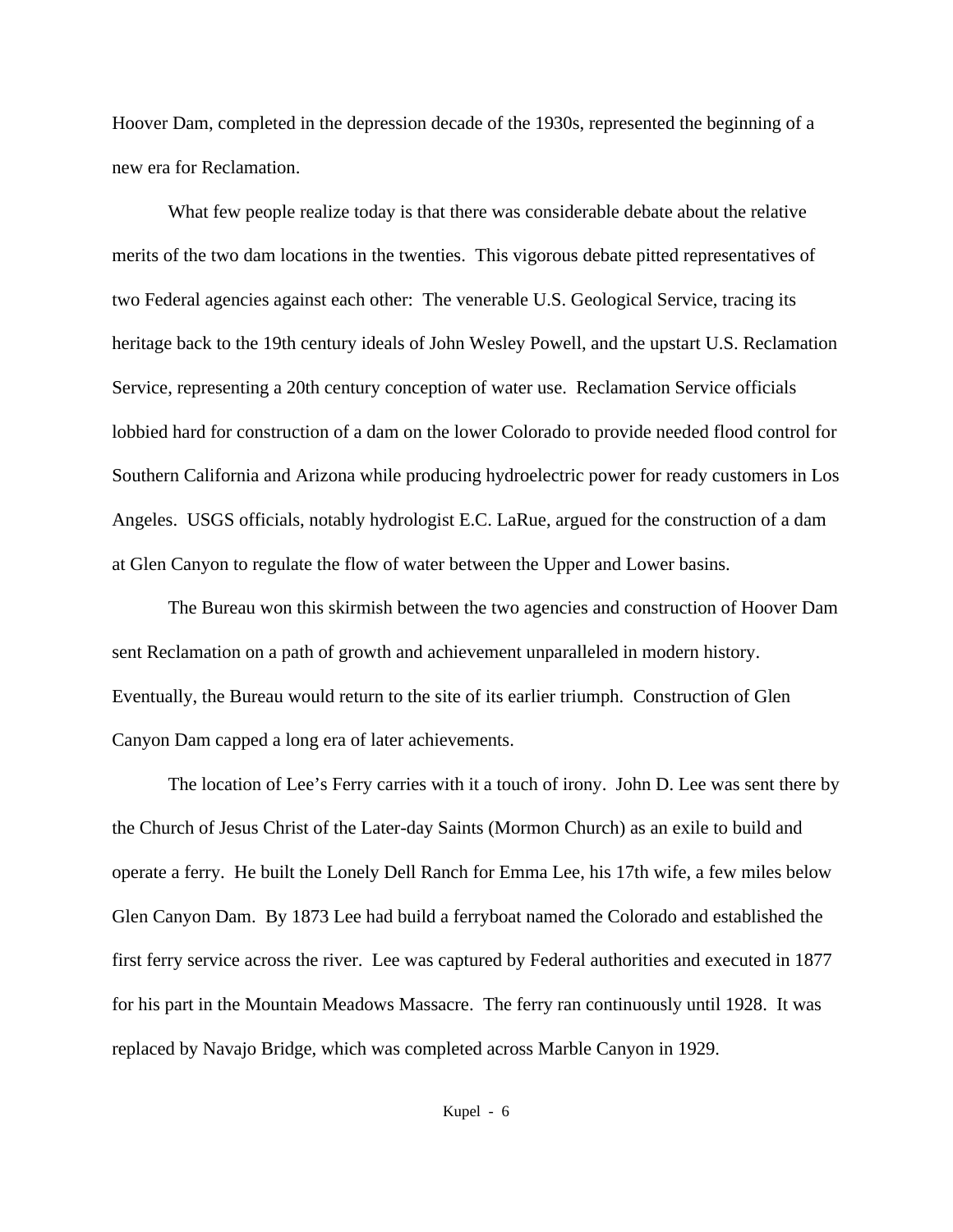Hoover Dam, completed in the depression decade of the 1930s, represented the beginning of a new era for Reclamation.

What few people realize today is that there was considerable debate about the relative merits of the two dam locations in the twenties. This vigorous debate pitted representatives of two Federal agencies against each other: The venerable U.S. Geological Service, tracing its heritage back to the 19th century ideals of John Wesley Powell, and the upstart U.S. Reclamation Service, representing a 20th century conception of water use. Reclamation Service officials lobbied hard for construction of a dam on the lower Colorado to provide needed flood control for Southern California and Arizona while producing hydroelectric power for ready customers in Los Angeles. USGS officials, notably hydrologist E.C. LaRue, argued for the construction of a dam at Glen Canyon to regulate the flow of water between the Upper and Lower basins.

The Bureau won this skirmish between the two agencies and construction of Hoover Dam sent Reclamation on a path of growth and achievement unparalleled in modern history. Eventually, the Bureau would return to the site of its earlier triumph. Construction of Glen Canyon Dam capped a long era of later achievements.

The location of Lee's Ferry carries with it a touch of irony. John D. Lee was sent there by the Church of Jesus Christ of the Later-day Saints (Mormon Church) as an exile to build and operate a ferry. He built the Lonely Dell Ranch for Emma Lee, his 17th wife, a few miles below Glen Canyon Dam. By 1873 Lee had build a ferryboat named the Colorado and established the first ferry service across the river. Lee was captured by Federal authorities and executed in 1877 for his part in the Mountain Meadows Massacre. The ferry ran continuously until 1928. It was replaced by Navajo Bridge, which was completed across Marble Canyon in 1929.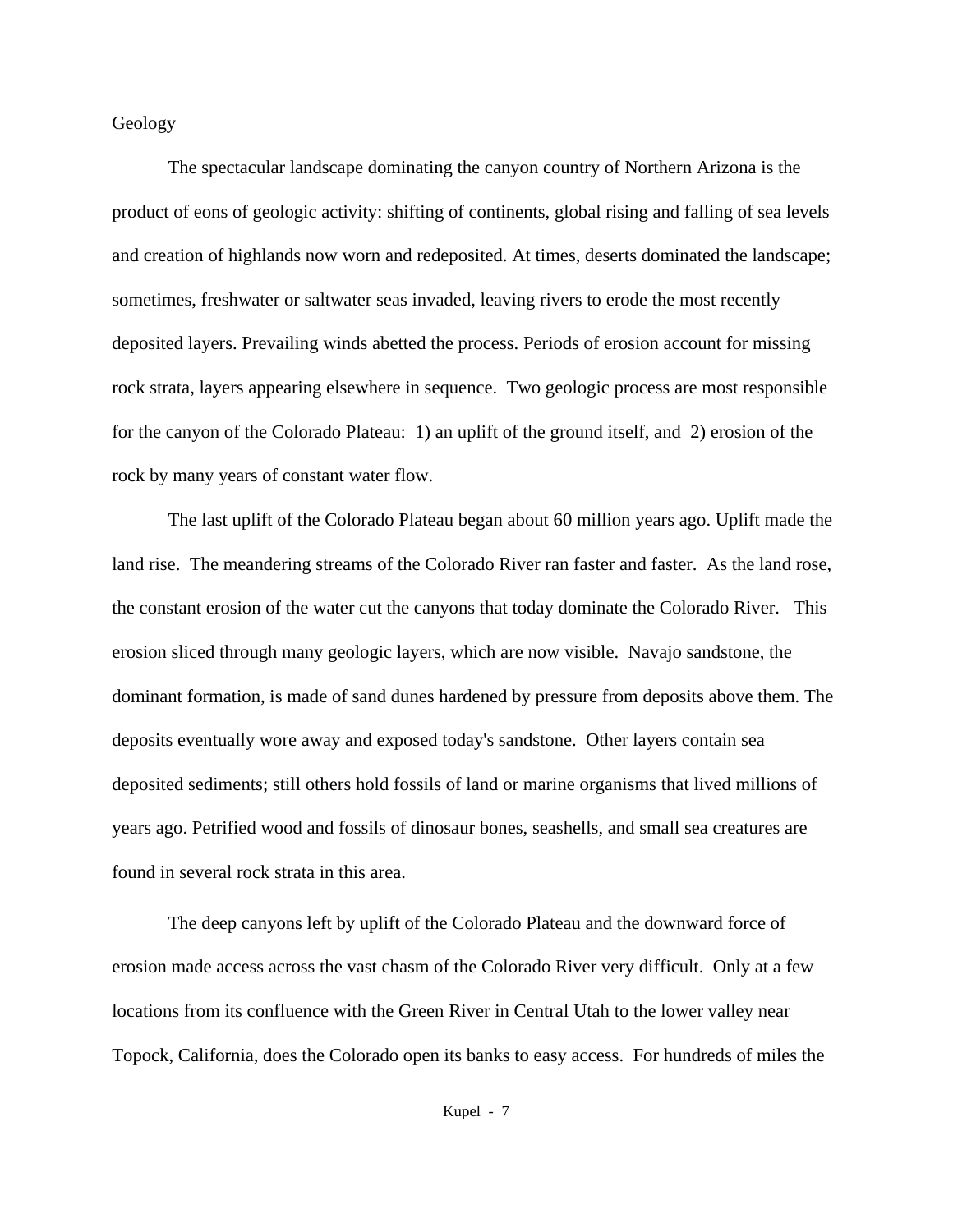Geology

The spectacular landscape dominating the canyon country of Northern Arizona is the product of eons of geologic activity: shifting of continents, global rising and falling of sea levels and creation of highlands now worn and redeposited. At times, deserts dominated the landscape; sometimes, freshwater or saltwater seas invaded, leaving rivers to erode the most recently deposited layers. Prevailing winds abetted the process. Periods of erosion account for missing rock strata, layers appearing elsewhere in sequence. Two geologic process are most responsible for the canyon of the Colorado Plateau: 1) an uplift of the ground itself, and 2) erosion of the rock by many years of constant water flow.

The last uplift of the Colorado Plateau began about 60 million years ago. Uplift made the land rise. The meandering streams of the Colorado River ran faster and faster. As the land rose, the constant erosion of the water cut the canyons that today dominate the Colorado River. This erosion sliced through many geologic layers, which are now visible. Navajo sandstone, the dominant formation, is made of sand dunes hardened by pressure from deposits above them. The deposits eventually wore away and exposed today's sandstone. Other layers contain sea deposited sediments; still others hold fossils of land or marine organisms that lived millions of years ago. Petrified wood and fossils of dinosaur bones, seashells, and small sea creatures are found in several rock strata in this area.

The deep canyons left by uplift of the Colorado Plateau and the downward force of erosion made access across the vast chasm of the Colorado River very difficult. Only at a few locations from its confluence with the Green River in Central Utah to the lower valley near Topock, California, does the Colorado open its banks to easy access. For hundreds of miles the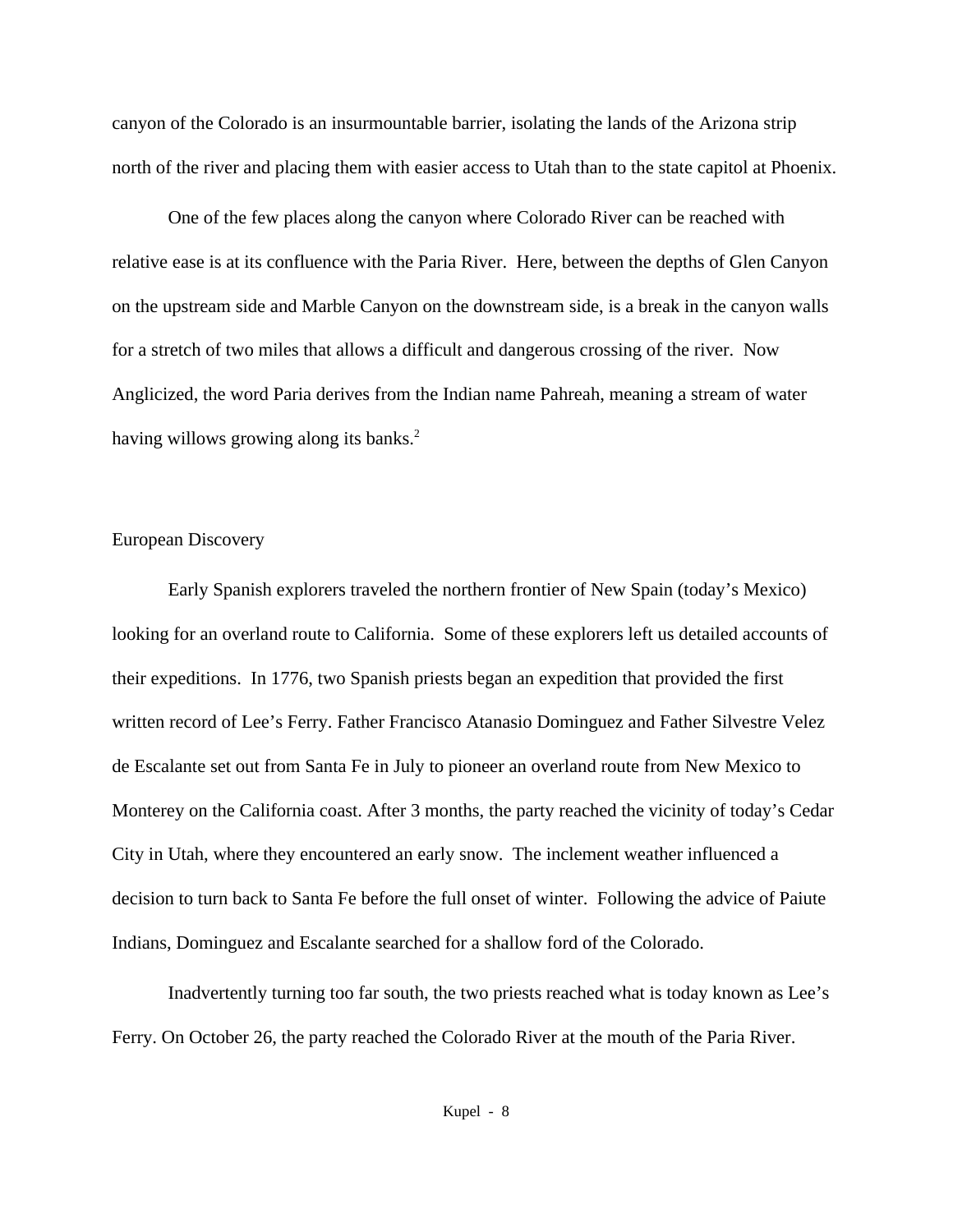canyon of the Colorado is an insurmountable barrier, isolating the lands of the Arizona strip north of the river and placing them with easier access to Utah than to the state capitol at Phoenix.

One of the few places along the canyon where Colorado River can be reached with relative ease is at its confluence with the Paria River. Here, between the depths of Glen Canyon on the upstream side and Marble Canyon on the downstream side, is a break in the canyon walls for a stretch of two miles that allows a difficult and dangerous crossing of the river. Now Anglicized, the word Paria derives from the Indian name Pahreah, meaning a stream of water having willows growing along its banks.<sup>2</sup>

## European Discovery

Early Spanish explorers traveled the northern frontier of New Spain (today's Mexico) looking for an overland route to California. Some of these explorers left us detailed accounts of their expeditions. In 1776, two Spanish priests began an expedition that provided the first written record of Lee's Ferry. Father Francisco Atanasio Dominguez and Father Silvestre Velez de Escalante set out from Santa Fe in July to pioneer an overland route from New Mexico to Monterey on the California coast. After 3 months, the party reached the vicinity of today's Cedar City in Utah, where they encountered an early snow. The inclement weather influenced a decision to turn back to Santa Fe before the full onset of winter. Following the advice of Paiute Indians, Dominguez and Escalante searched for a shallow ford of the Colorado.

Inadvertently turning too far south, the two priests reached what is today known as Lee's Ferry. On October 26, the party reached the Colorado River at the mouth of the Paria River.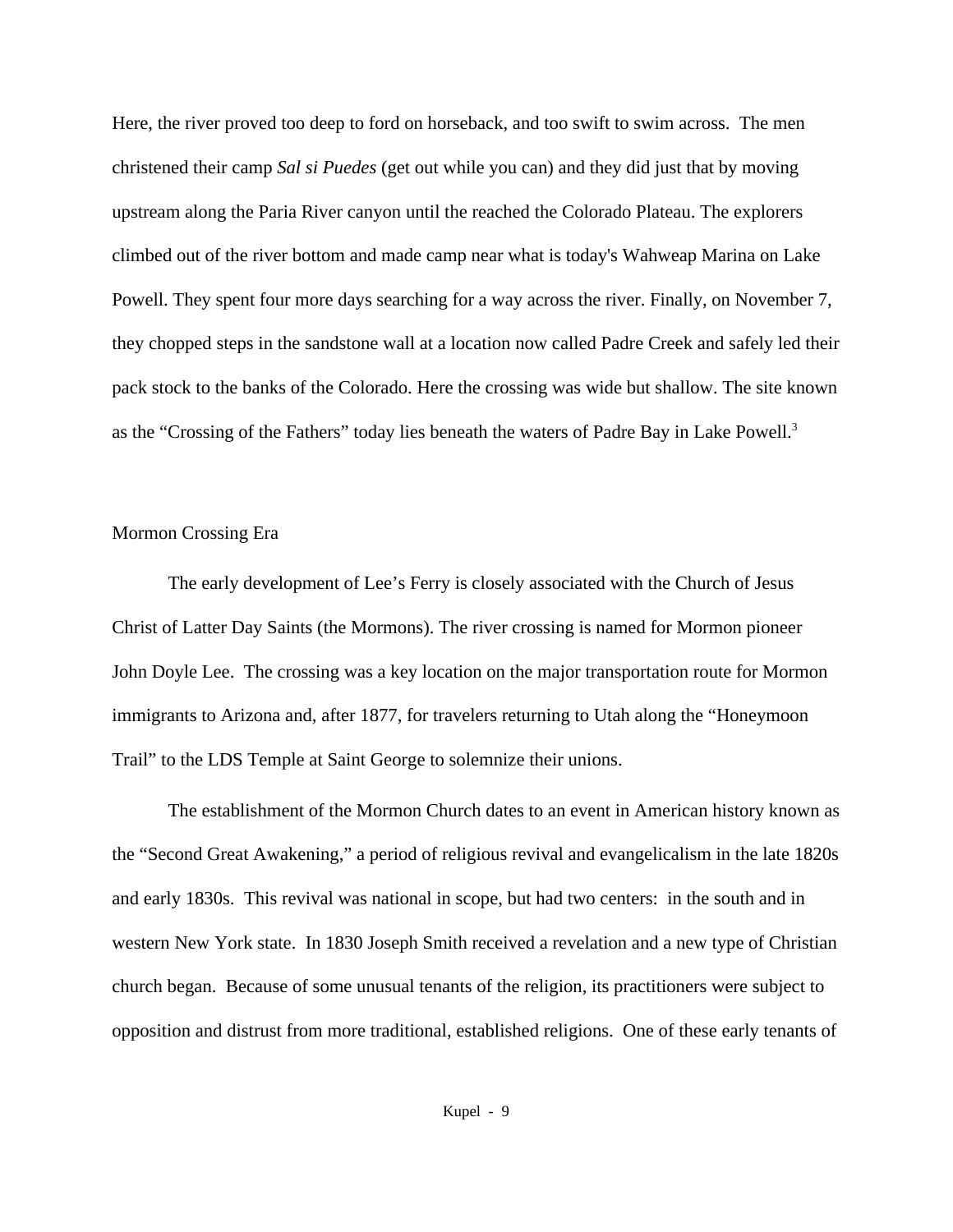Here, the river proved too deep to ford on horseback, and too swift to swim across. The men christened their camp *Sal si Puedes* (get out while you can) and they did just that by moving upstream along the Paria River canyon until the reached the Colorado Plateau. The explorers climbed out of the river bottom and made camp near what is today's Wahweap Marina on Lake Powell. They spent four more days searching for a way across the river. Finally, on November 7, they chopped steps in the sandstone wall at a location now called Padre Creek and safely led their pack stock to the banks of the Colorado. Here the crossing was wide but shallow. The site known as the "Crossing of the Fathers" today lies beneath the waters of Padre Bay in Lake Powell.<sup>3</sup>

## Mormon Crossing Era

The early development of Lee's Ferry is closely associated with the Church of Jesus Christ of Latter Day Saints (the Mormons). The river crossing is named for Mormon pioneer John Doyle Lee. The crossing was a key location on the major transportation route for Mormon immigrants to Arizona and, after 1877, for travelers returning to Utah along the "Honeymoon Trail" to the LDS Temple at Saint George to solemnize their unions.

The establishment of the Mormon Church dates to an event in American history known as the "Second Great Awakening," a period of religious revival and evangelicalism in the late 1820s and early 1830s. This revival was national in scope, but had two centers: in the south and in western New York state. In 1830 Joseph Smith received a revelation and a new type of Christian church began. Because of some unusual tenants of the religion, its practitioners were subject to opposition and distrust from more traditional, established religions. One of these early tenants of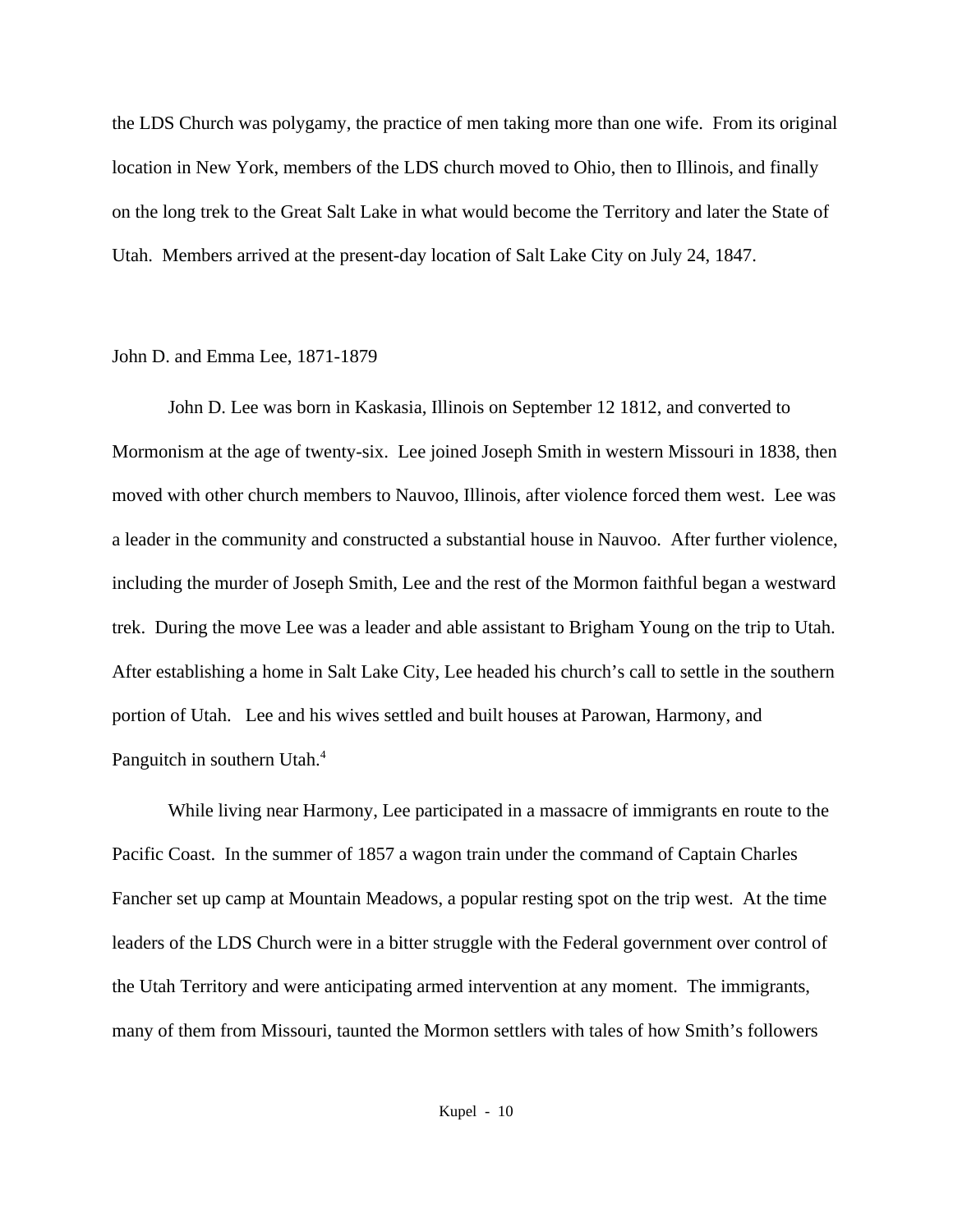the LDS Church was polygamy, the practice of men taking more than one wife. From its original location in New York, members of the LDS church moved to Ohio, then to Illinois, and finally on the long trek to the Great Salt Lake in what would become the Territory and later the State of Utah. Members arrived at the present-day location of Salt Lake City on July 24, 1847.

## John D. and Emma Lee, 1871-1879

John D. Lee was born in Kaskasia, Illinois on September 12 1812, and converted to Mormonism at the age of twenty-six. Lee joined Joseph Smith in western Missouri in 1838, then moved with other church members to Nauvoo, Illinois, after violence forced them west. Lee was a leader in the community and constructed a substantial house in Nauvoo. After further violence, including the murder of Joseph Smith, Lee and the rest of the Mormon faithful began a westward trek. During the move Lee was a leader and able assistant to Brigham Young on the trip to Utah. After establishing a home in Salt Lake City, Lee headed his church's call to settle in the southern portion of Utah. Lee and his wives settled and built houses at Parowan, Harmony, and Panguitch in southern Utah.<sup>4</sup>

While living near Harmony, Lee participated in a massacre of immigrants en route to the Pacific Coast. In the summer of 1857 a wagon train under the command of Captain Charles Fancher set up camp at Mountain Meadows, a popular resting spot on the trip west. At the time leaders of the LDS Church were in a bitter struggle with the Federal government over control of the Utah Territory and were anticipating armed intervention at any moment. The immigrants, many of them from Missouri, taunted the Mormon settlers with tales of how Smith's followers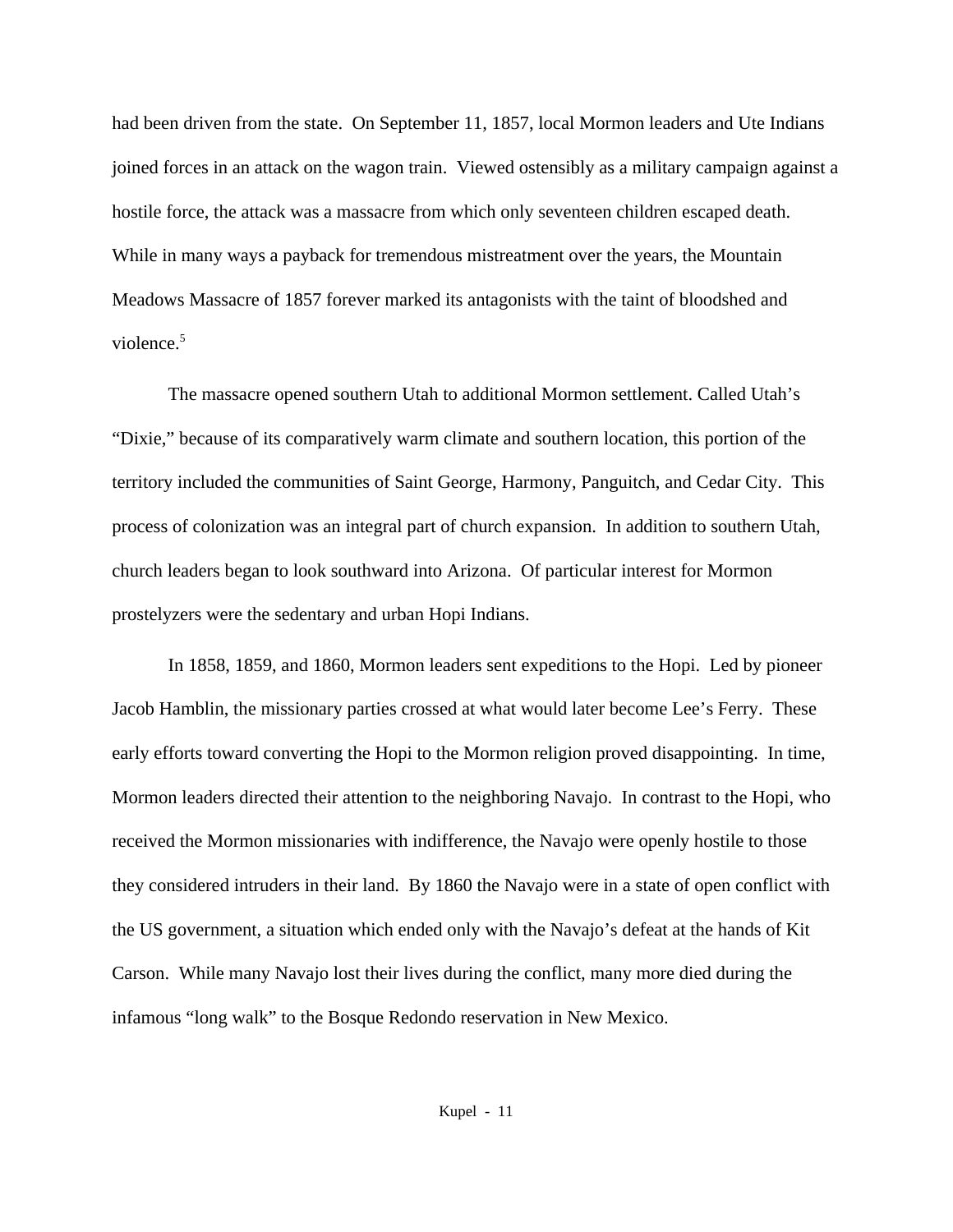had been driven from the state. On September 11, 1857, local Mormon leaders and Ute Indians joined forces in an attack on the wagon train. Viewed ostensibly as a military campaign against a hostile force, the attack was a massacre from which only seventeen children escaped death. While in many ways a payback for tremendous mistreatment over the years, the Mountain Meadows Massacre of 1857 forever marked its antagonists with the taint of bloodshed and violence.<sup>5</sup>

The massacre opened southern Utah to additional Mormon settlement. Called Utah's "Dixie," because of its comparatively warm climate and southern location, this portion of the territory included the communities of Saint George, Harmony, Panguitch, and Cedar City. This process of colonization was an integral part of church expansion. In addition to southern Utah, church leaders began to look southward into Arizona. Of particular interest for Mormon prostelyzers were the sedentary and urban Hopi Indians.

In 1858, 1859, and 1860, Mormon leaders sent expeditions to the Hopi. Led by pioneer Jacob Hamblin, the missionary parties crossed at what would later become Lee's Ferry. These early efforts toward converting the Hopi to the Mormon religion proved disappointing. In time, Mormon leaders directed their attention to the neighboring Navajo. In contrast to the Hopi, who received the Mormon missionaries with indifference, the Navajo were openly hostile to those they considered intruders in their land. By 1860 the Navajo were in a state of open conflict with the US government, a situation which ended only with the Navajo's defeat at the hands of Kit Carson. While many Navajo lost their lives during the conflict, many more died during the infamous "long walk" to the Bosque Redondo reservation in New Mexico.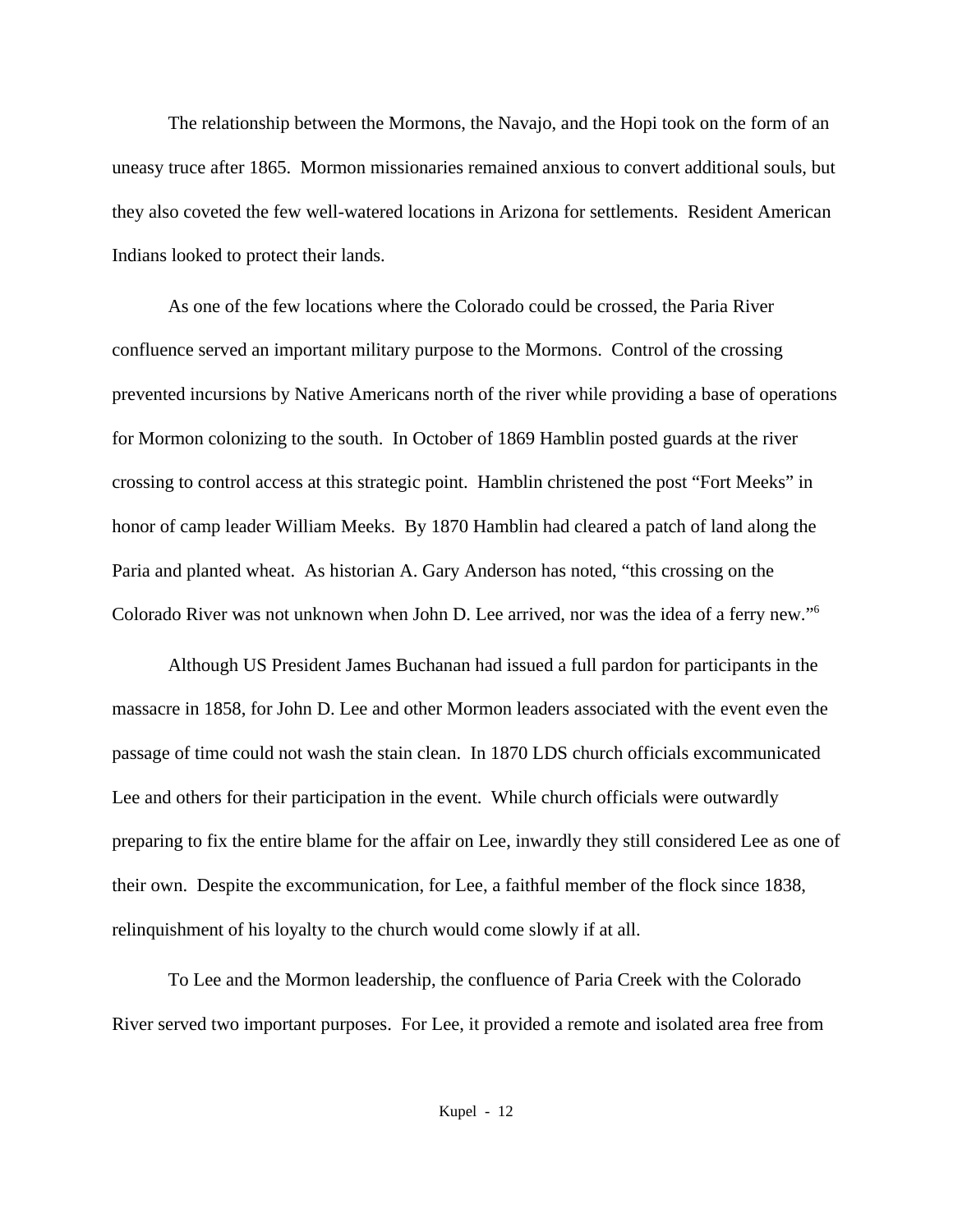The relationship between the Mormons, the Navajo, and the Hopi took on the form of an uneasy truce after 1865. Mormon missionaries remained anxious to convert additional souls, but they also coveted the few well-watered locations in Arizona for settlements. Resident American Indians looked to protect their lands.

As one of the few locations where the Colorado could be crossed, the Paria River confluence served an important military purpose to the Mormons. Control of the crossing prevented incursions by Native Americans north of the river while providing a base of operations for Mormon colonizing to the south. In October of 1869 Hamblin posted guards at the river crossing to control access at this strategic point. Hamblin christened the post "Fort Meeks" in honor of camp leader William Meeks. By 1870 Hamblin had cleared a patch of land along the Paria and planted wheat. As historian A. Gary Anderson has noted, "this crossing on the Colorado River was not unknown when John D. Lee arrived, nor was the idea of a ferry new."<sup>6</sup>

Although US President James Buchanan had issued a full pardon for participants in the massacre in 1858, for John D. Lee and other Mormon leaders associated with the event even the passage of time could not wash the stain clean. In 1870 LDS church officials excommunicated Lee and others for their participation in the event. While church officials were outwardly preparing to fix the entire blame for the affair on Lee, inwardly they still considered Lee as one of their own. Despite the excommunication, for Lee, a faithful member of the flock since 1838, relinquishment of his loyalty to the church would come slowly if at all.

To Lee and the Mormon leadership, the confluence of Paria Creek with the Colorado River served two important purposes. For Lee, it provided a remote and isolated area free from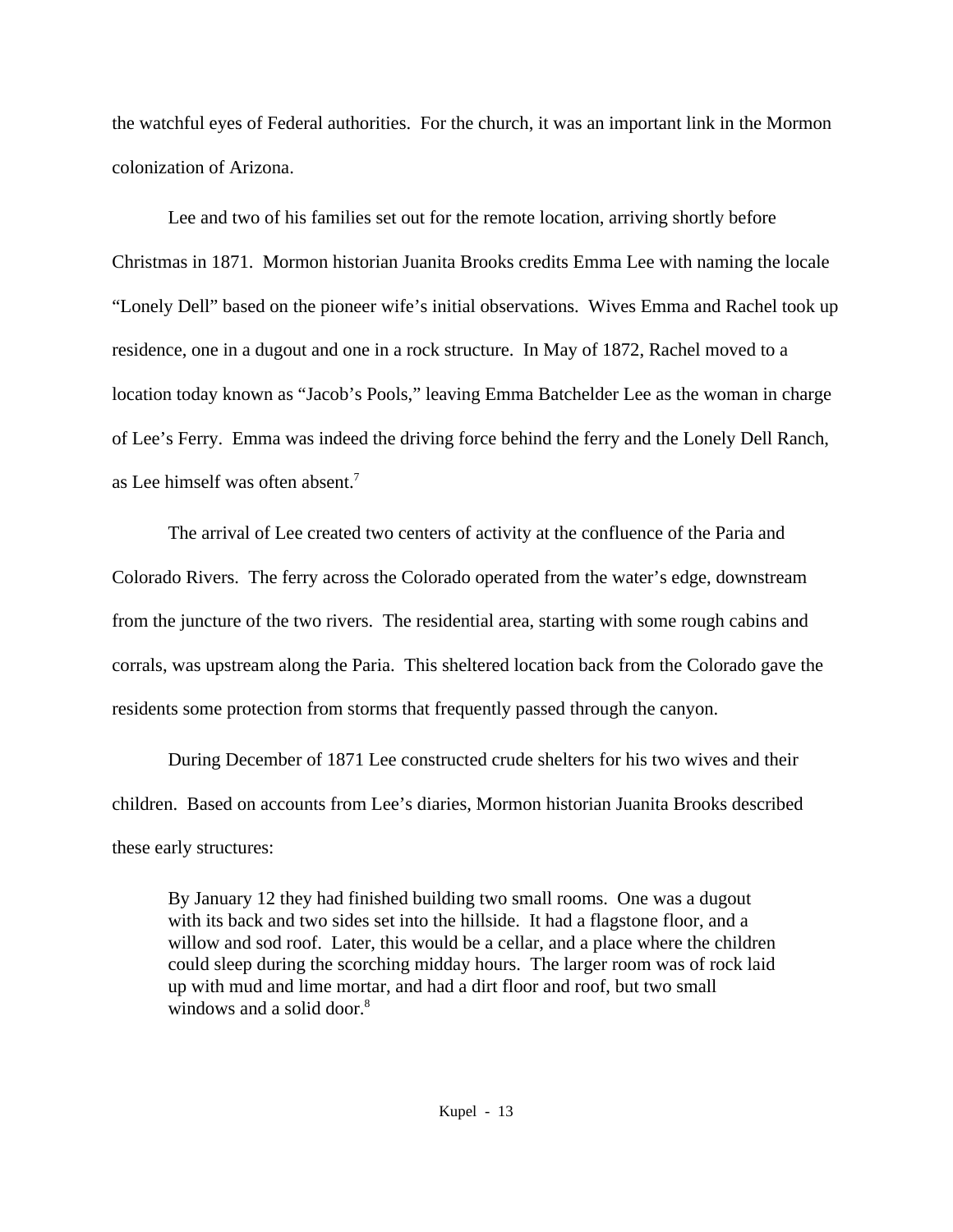the watchful eyes of Federal authorities. For the church, it was an important link in the Mormon colonization of Arizona.

Lee and two of his families set out for the remote location, arriving shortly before Christmas in 1871. Mormon historian Juanita Brooks credits Emma Lee with naming the locale "Lonely Dell" based on the pioneer wife's initial observations. Wives Emma and Rachel took up residence, one in a dugout and one in a rock structure. In May of 1872, Rachel moved to a location today known as "Jacob's Pools," leaving Emma Batchelder Lee as the woman in charge of Lee's Ferry. Emma was indeed the driving force behind the ferry and the Lonely Dell Ranch, as Lee himself was often absent.<sup>7</sup>

The arrival of Lee created two centers of activity at the confluence of the Paria and Colorado Rivers. The ferry across the Colorado operated from the water's edge, downstream from the juncture of the two rivers. The residential area, starting with some rough cabins and corrals, was upstream along the Paria. This sheltered location back from the Colorado gave the residents some protection from storms that frequently passed through the canyon.

During December of 1871 Lee constructed crude shelters for his two wives and their children. Based on accounts from Lee's diaries, Mormon historian Juanita Brooks described these early structures:

By January 12 they had finished building two small rooms. One was a dugout with its back and two sides set into the hillside. It had a flagstone floor, and a willow and sod roof. Later, this would be a cellar, and a place where the children could sleep during the scorching midday hours. The larger room was of rock laid up with mud and lime mortar, and had a dirt floor and roof, but two small windows and a solid door. $8<sup>8</sup>$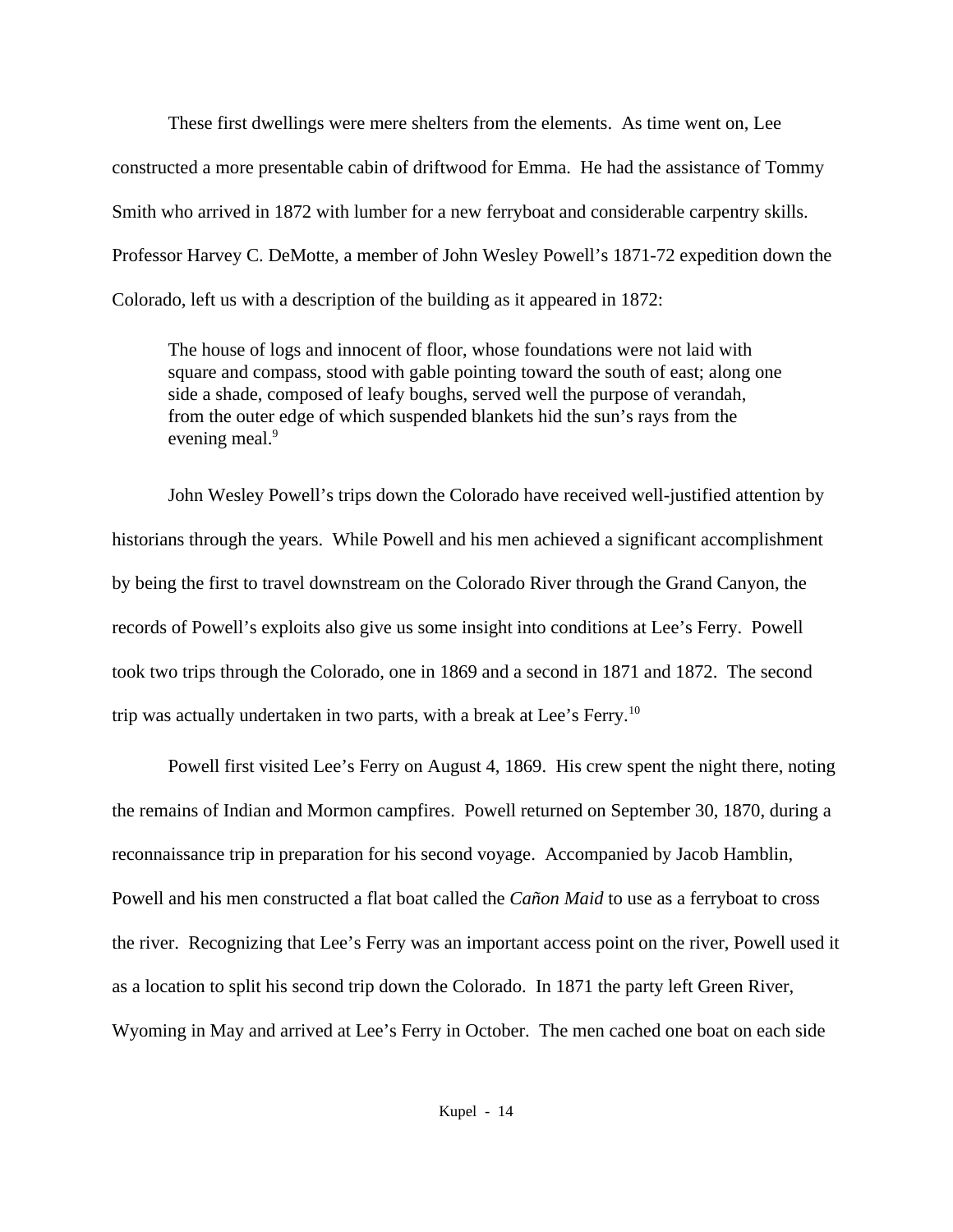These first dwellings were mere shelters from the elements. As time went on, Lee constructed a more presentable cabin of driftwood for Emma. He had the assistance of Tommy Smith who arrived in 1872 with lumber for a new ferryboat and considerable carpentry skills. Professor Harvey C. DeMotte, a member of John Wesley Powell's 1871-72 expedition down the Colorado, left us with a description of the building as it appeared in 1872:

The house of logs and innocent of floor, whose foundations were not laid with square and compass, stood with gable pointing toward the south of east; along one side a shade, composed of leafy boughs, served well the purpose of verandah, from the outer edge of which suspended blankets hid the sun's rays from the evening meal.<sup>9</sup>

John Wesley Powell's trips down the Colorado have received well-justified attention by historians through the years. While Powell and his men achieved a significant accomplishment by being the first to travel downstream on the Colorado River through the Grand Canyon, the records of Powell's exploits also give us some insight into conditions at Lee's Ferry. Powell took two trips through the Colorado, one in 1869 and a second in 1871 and 1872. The second trip was actually undertaken in two parts, with a break at Lee's Ferry.<sup>10</sup>

Powell first visited Lee's Ferry on August 4, 1869. His crew spent the night there, noting the remains of Indian and Mormon campfires. Powell returned on September 30, 1870, during a reconnaissance trip in preparation for his second voyage. Accompanied by Jacob Hamblin, Powell and his men constructed a flat boat called the *Cañon Maid* to use as a ferryboat to cross the river. Recognizing that Lee's Ferry was an important access point on the river, Powell used it as a location to split his second trip down the Colorado. In 1871 the party left Green River, Wyoming in May and arrived at Lee's Ferry in October. The men cached one boat on each side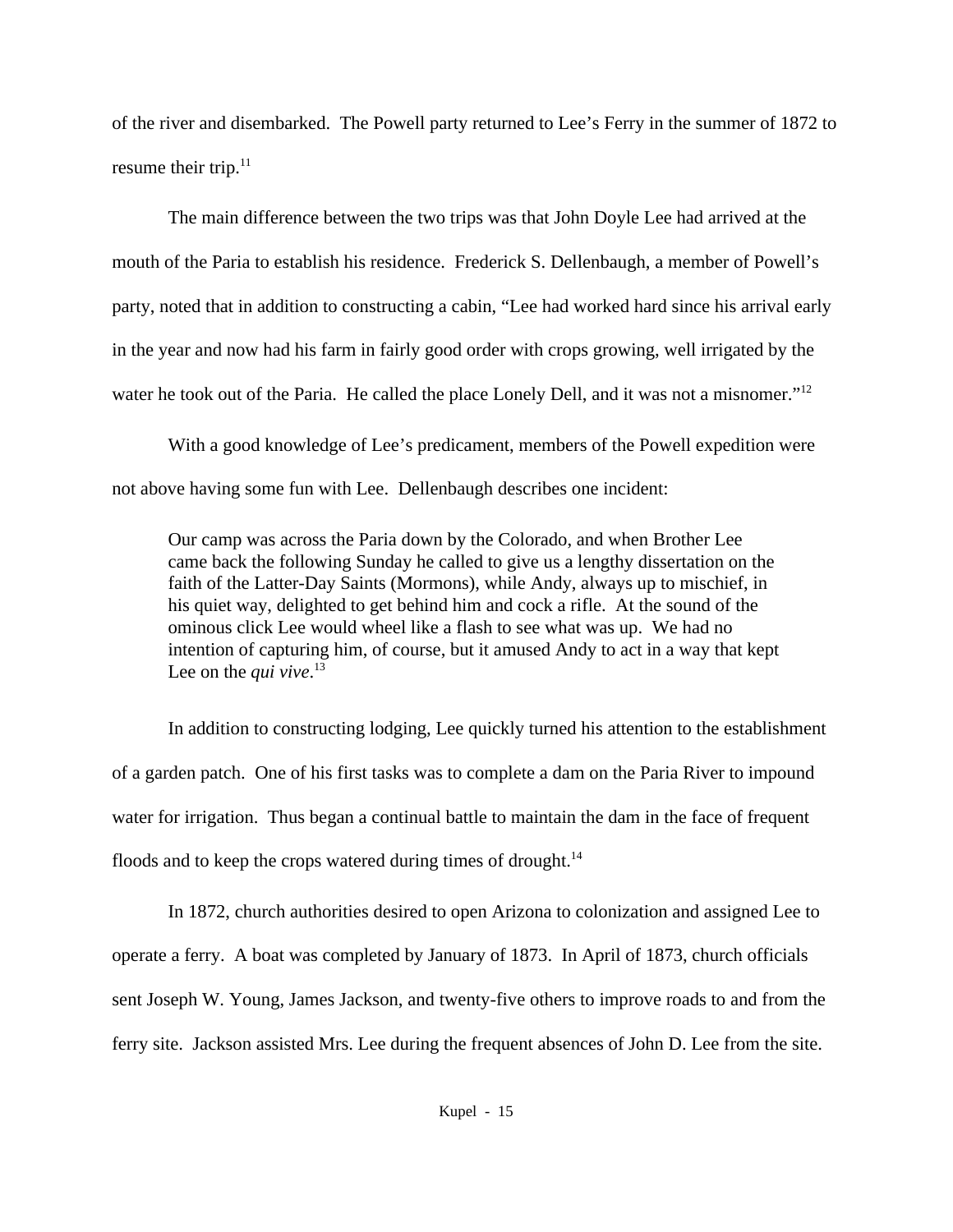of the river and disembarked. The Powell party returned to Lee's Ferry in the summer of 1872 to resume their trip. $11$ 

The main difference between the two trips was that John Doyle Lee had arrived at the mouth of the Paria to establish his residence. Frederick S. Dellenbaugh, a member of Powell's party, noted that in addition to constructing a cabin, "Lee had worked hard since his arrival early in the year and now had his farm in fairly good order with crops growing, well irrigated by the water he took out of the Paria. He called the place Lonely Dell, and it was not a misnomer."<sup>12</sup>

With a good knowledge of Lee's predicament, members of the Powell expedition were not above having some fun with Lee. Dellenbaugh describes one incident:

Our camp was across the Paria down by the Colorado, and when Brother Lee came back the following Sunday he called to give us a lengthy dissertation on the faith of the Latter-Day Saints (Mormons), while Andy, always up to mischief, in his quiet way, delighted to get behind him and cock a rifle. At the sound of the ominous click Lee would wheel like a flash to see what was up. We had no intention of capturing him, of course, but it amused Andy to act in a way that kept Lee on the *qui vive*. 13

In addition to constructing lodging, Lee quickly turned his attention to the establishment of a garden patch. One of his first tasks was to complete a dam on the Paria River to impound water for irrigation. Thus began a continual battle to maintain the dam in the face of frequent floods and to keep the crops watered during times of drought.<sup>14</sup>

In 1872, church authorities desired to open Arizona to colonization and assigned Lee to operate a ferry. A boat was completed by January of 1873. In April of 1873, church officials sent Joseph W. Young, James Jackson, and twenty-five others to improve roads to and from the ferry site. Jackson assisted Mrs. Lee during the frequent absences of John D. Lee from the site.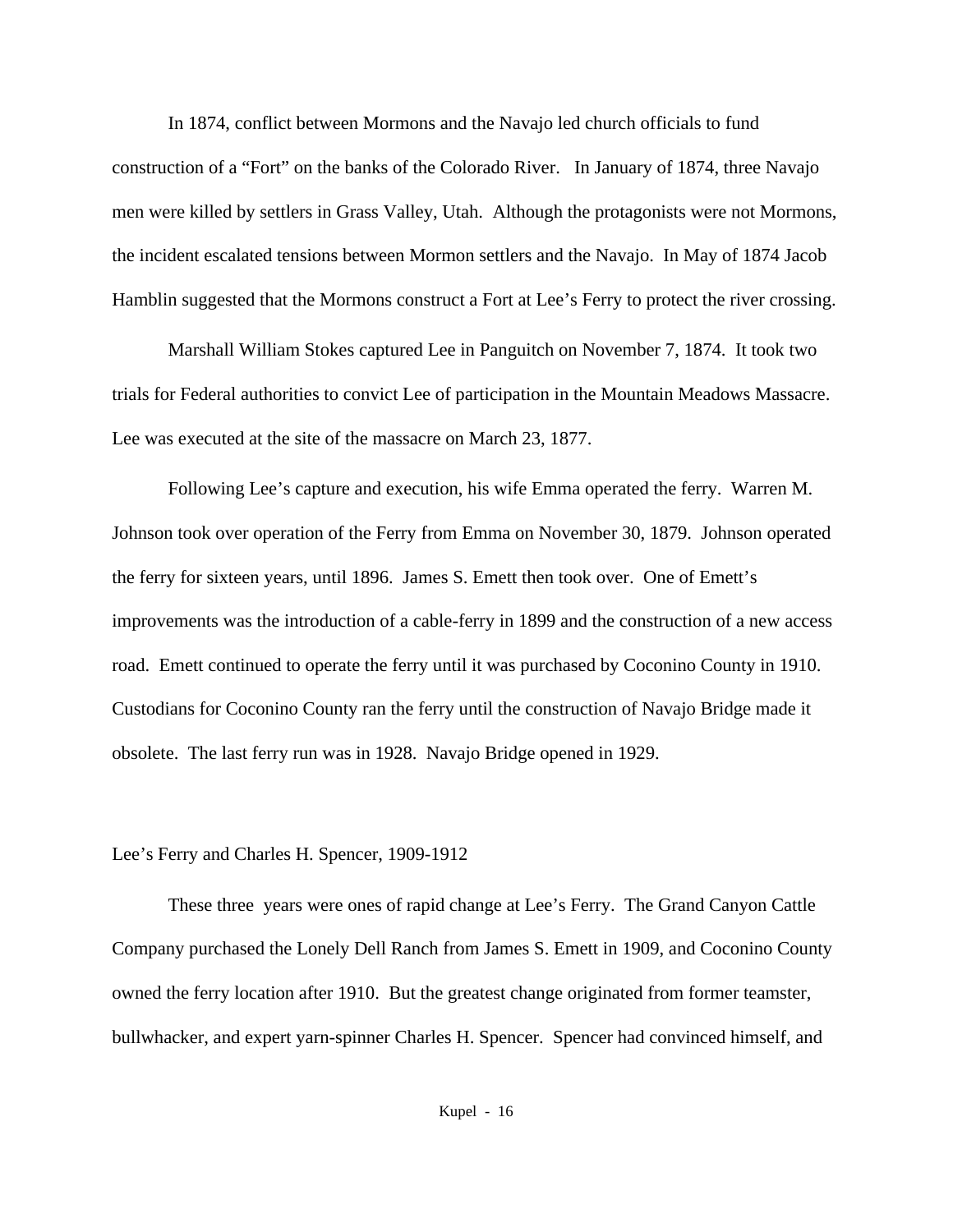In 1874, conflict between Mormons and the Navajo led church officials to fund construction of a "Fort" on the banks of the Colorado River. In January of 1874, three Navajo men were killed by settlers in Grass Valley, Utah. Although the protagonists were not Mormons, the incident escalated tensions between Mormon settlers and the Navajo. In May of 1874 Jacob Hamblin suggested that the Mormons construct a Fort at Lee's Ferry to protect the river crossing.

Marshall William Stokes captured Lee in Panguitch on November 7, 1874. It took two trials for Federal authorities to convict Lee of participation in the Mountain Meadows Massacre. Lee was executed at the site of the massacre on March 23, 1877.

Following Lee's capture and execution, his wife Emma operated the ferry. Warren M. Johnson took over operation of the Ferry from Emma on November 30, 1879. Johnson operated the ferry for sixteen years, until 1896. James S. Emett then took over. One of Emett's improvements was the introduction of a cable-ferry in 1899 and the construction of a new access road. Emett continued to operate the ferry until it was purchased by Coconino County in 1910. Custodians for Coconino County ran the ferry until the construction of Navajo Bridge made it obsolete. The last ferry run was in 1928. Navajo Bridge opened in 1929.

## Lee's Ferry and Charles H. Spencer, 1909-1912

These three years were ones of rapid change at Lee's Ferry. The Grand Canyon Cattle Company purchased the Lonely Dell Ranch from James S. Emett in 1909, and Coconino County owned the ferry location after 1910. But the greatest change originated from former teamster, bullwhacker, and expert yarn-spinner Charles H. Spencer. Spencer had convinced himself, and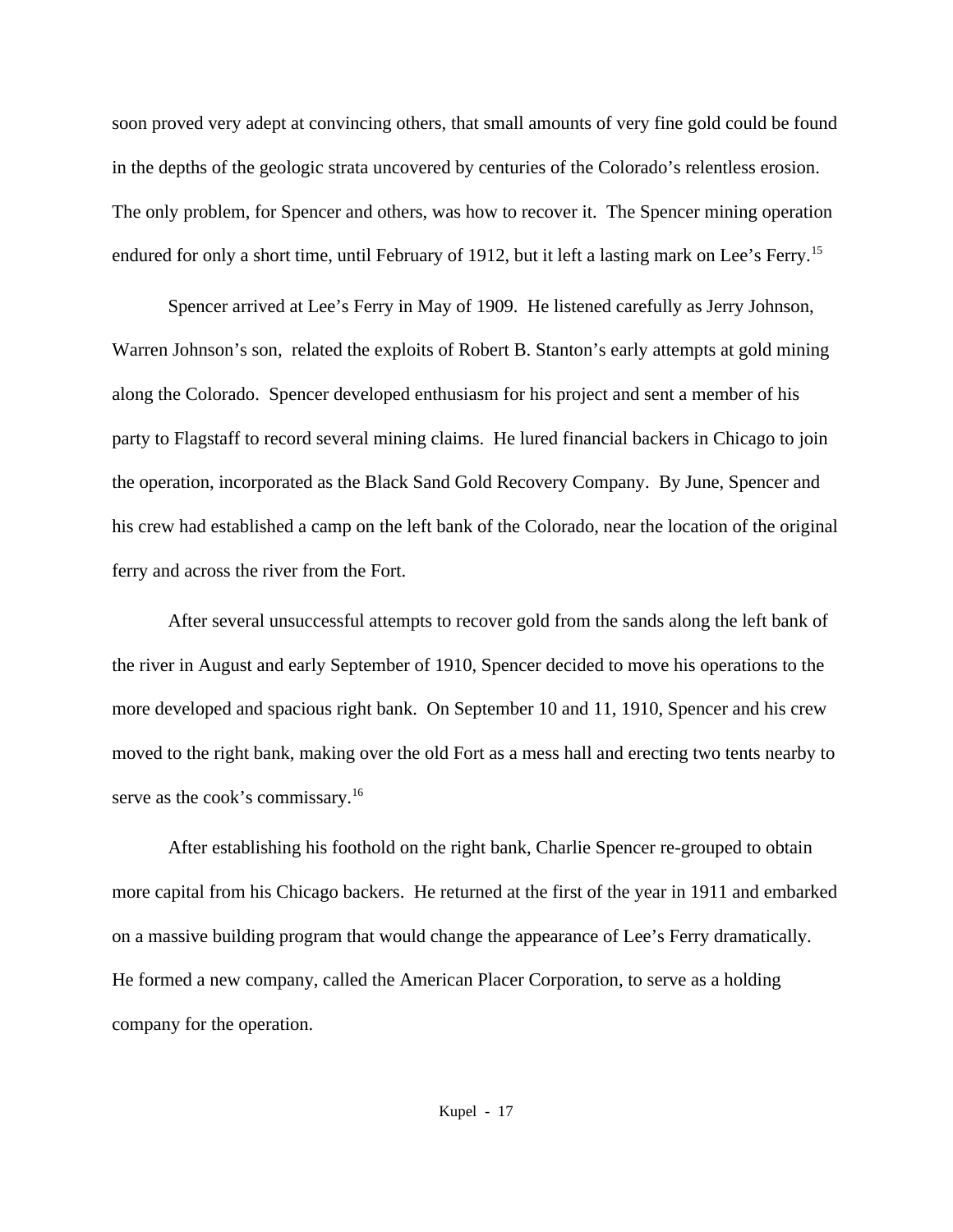soon proved very adept at convincing others, that small amounts of very fine gold could be found in the depths of the geologic strata uncovered by centuries of the Colorado's relentless erosion. The only problem, for Spencer and others, was how to recover it. The Spencer mining operation endured for only a short time, until February of 1912, but it left a lasting mark on Lee's Ferry.<sup>15</sup>

Spencer arrived at Lee's Ferry in May of 1909. He listened carefully as Jerry Johnson, Warren Johnson's son, related the exploits of Robert B. Stanton's early attempts at gold mining along the Colorado. Spencer developed enthusiasm for his project and sent a member of his party to Flagstaff to record several mining claims. He lured financial backers in Chicago to join the operation, incorporated as the Black Sand Gold Recovery Company. By June, Spencer and his crew had established a camp on the left bank of the Colorado, near the location of the original ferry and across the river from the Fort.

After several unsuccessful attempts to recover gold from the sands along the left bank of the river in August and early September of 1910, Spencer decided to move his operations to the more developed and spacious right bank. On September 10 and 11, 1910, Spencer and his crew moved to the right bank, making over the old Fort as a mess hall and erecting two tents nearby to serve as the cook's commissary.<sup>16</sup>

After establishing his foothold on the right bank, Charlie Spencer re-grouped to obtain more capital from his Chicago backers. He returned at the first of the year in 1911 and embarked on a massive building program that would change the appearance of Lee's Ferry dramatically. He formed a new company, called the American Placer Corporation, to serve as a holding company for the operation.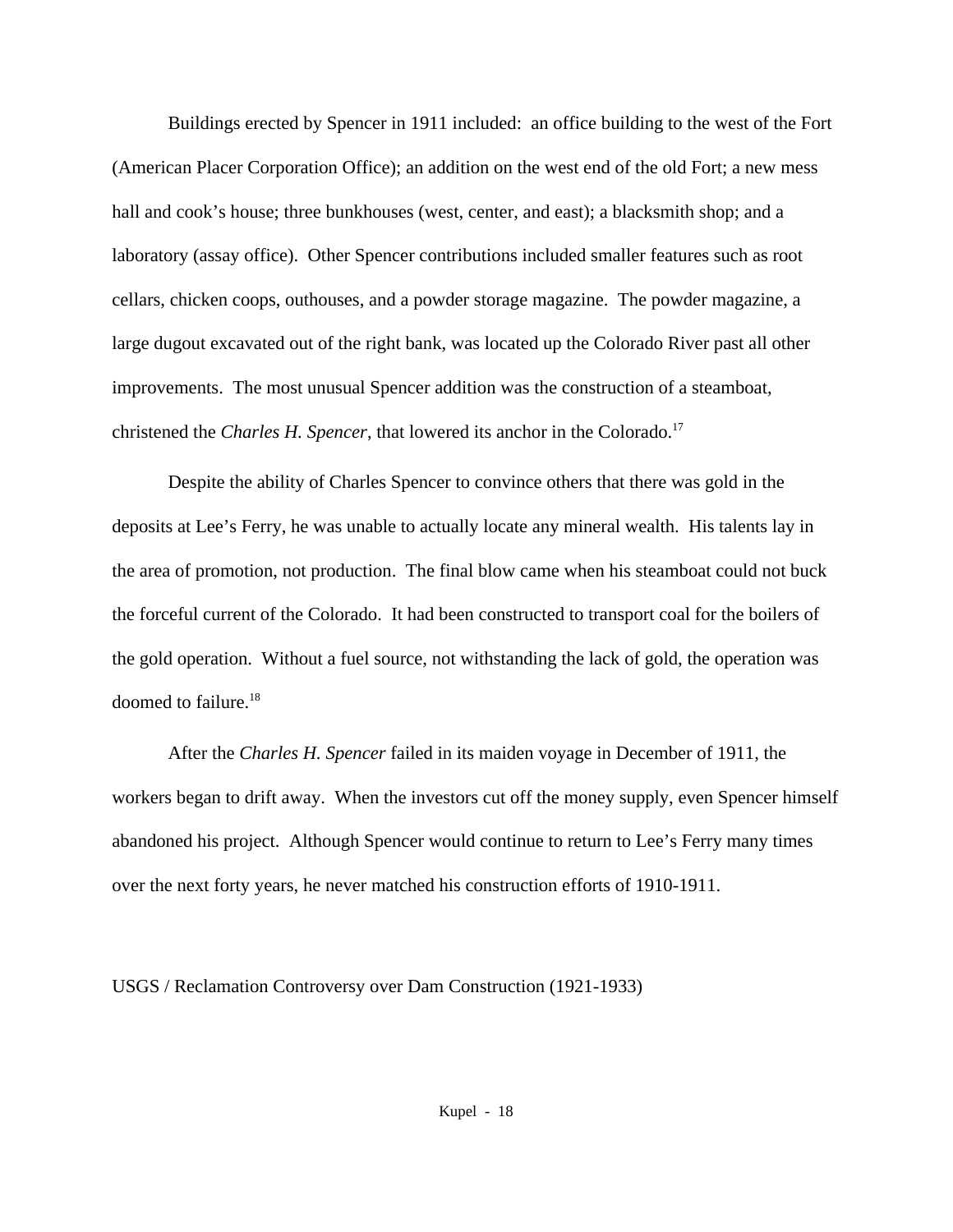Buildings erected by Spencer in 1911 included: an office building to the west of the Fort (American Placer Corporation Office); an addition on the west end of the old Fort; a new mess hall and cook's house; three bunkhouses (west, center, and east); a blacksmith shop; and a laboratory (assay office). Other Spencer contributions included smaller features such as root cellars, chicken coops, outhouses, and a powder storage magazine. The powder magazine, a large dugout excavated out of the right bank, was located up the Colorado River past all other improvements. The most unusual Spencer addition was the construction of a steamboat, christened the *Charles H. Spencer*, that lowered its anchor in the Colorado.<sup>17</sup>

Despite the ability of Charles Spencer to convince others that there was gold in the deposits at Lee's Ferry, he was unable to actually locate any mineral wealth. His talents lay in the area of promotion, not production. The final blow came when his steamboat could not buck the forceful current of the Colorado. It had been constructed to transport coal for the boilers of the gold operation. Without a fuel source, not withstanding the lack of gold, the operation was doomed to failure.<sup>18</sup>

After the *Charles H. Spencer* failed in its maiden voyage in December of 1911, the workers began to drift away. When the investors cut off the money supply, even Spencer himself abandoned his project. Although Spencer would continue to return to Lee's Ferry many times over the next forty years, he never matched his construction efforts of 1910-1911.

USGS / Reclamation Controversy over Dam Construction (1921-1933)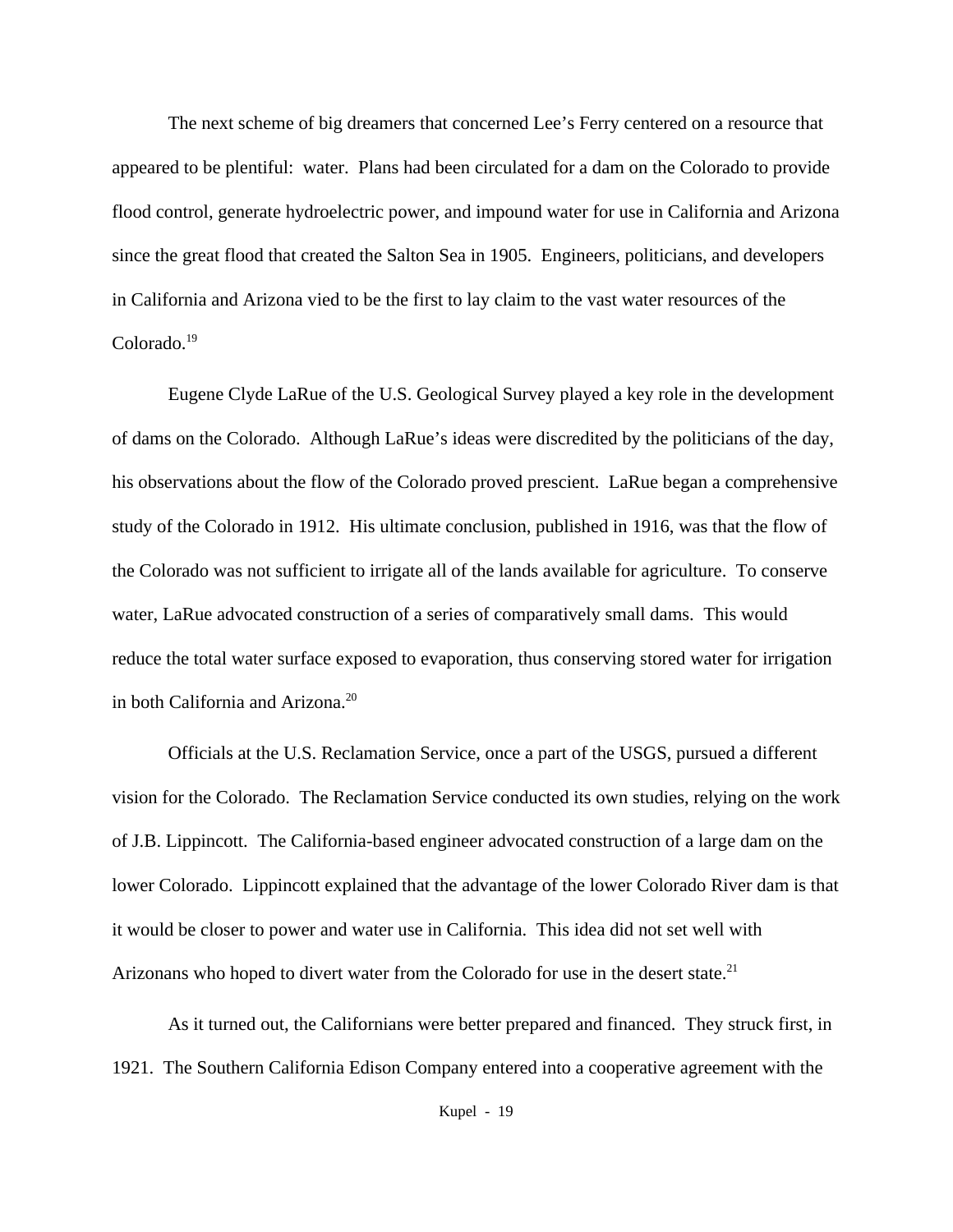The next scheme of big dreamers that concerned Lee's Ferry centered on a resource that appeared to be plentiful: water. Plans had been circulated for a dam on the Colorado to provide flood control, generate hydroelectric power, and impound water for use in California and Arizona since the great flood that created the Salton Sea in 1905. Engineers, politicians, and developers in California and Arizona vied to be the first to lay claim to the vast water resources of the Colorado.<sup>19</sup>

Eugene Clyde LaRue of the U.S. Geological Survey played a key role in the development of dams on the Colorado. Although LaRue's ideas were discredited by the politicians of the day, his observations about the flow of the Colorado proved prescient. LaRue began a comprehensive study of the Colorado in 1912. His ultimate conclusion, published in 1916, was that the flow of the Colorado was not sufficient to irrigate all of the lands available for agriculture. To conserve water, LaRue advocated construction of a series of comparatively small dams. This would reduce the total water surface exposed to evaporation, thus conserving stored water for irrigation in both California and Arizona.<sup>20</sup>

Officials at the U.S. Reclamation Service, once a part of the USGS, pursued a different vision for the Colorado. The Reclamation Service conducted its own studies, relying on the work of J.B. Lippincott. The California-based engineer advocated construction of a large dam on the lower Colorado. Lippincott explained that the advantage of the lower Colorado River dam is that it would be closer to power and water use in California. This idea did not set well with Arizonans who hoped to divert water from the Colorado for use in the desert state.<sup>21</sup>

As it turned out, the Californians were better prepared and financed. They struck first, in 1921. The Southern California Edison Company entered into a cooperative agreement with the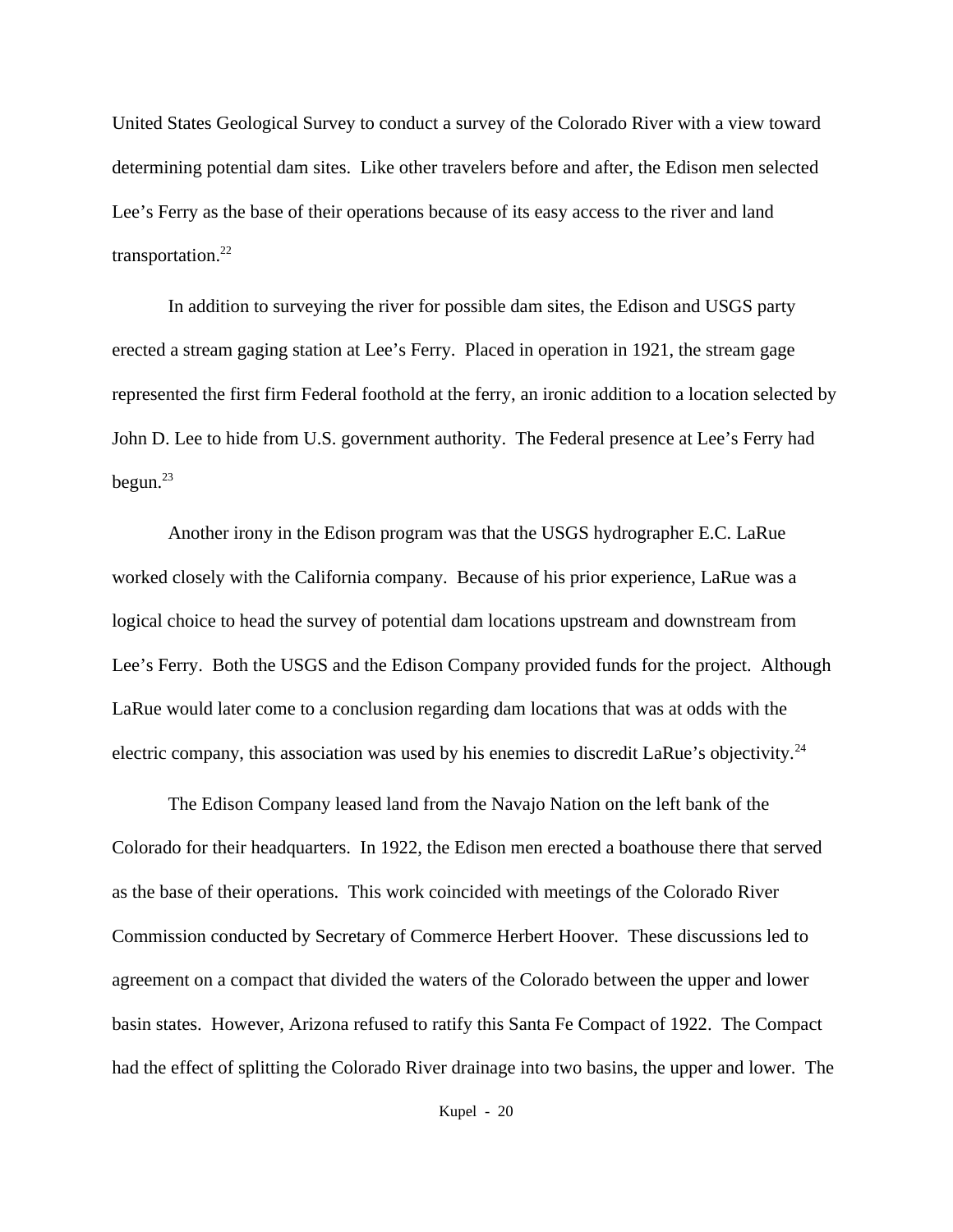United States Geological Survey to conduct a survey of the Colorado River with a view toward determining potential dam sites. Like other travelers before and after, the Edison men selected Lee's Ferry as the base of their operations because of its easy access to the river and land transportation.<sup>22</sup>

In addition to surveying the river for possible dam sites, the Edison and USGS party erected a stream gaging station at Lee's Ferry. Placed in operation in 1921, the stream gage represented the first firm Federal foothold at the ferry, an ironic addition to a location selected by John D. Lee to hide from U.S. government authority. The Federal presence at Lee's Ferry had begun. $^{23}$ 

Another irony in the Edison program was that the USGS hydrographer E.C. LaRue worked closely with the California company. Because of his prior experience, LaRue was a logical choice to head the survey of potential dam locations upstream and downstream from Lee's Ferry. Both the USGS and the Edison Company provided funds for the project. Although LaRue would later come to a conclusion regarding dam locations that was at odds with the electric company, this association was used by his enemies to discredit LaRue's objectivity.<sup>24</sup>

The Edison Company leased land from the Navajo Nation on the left bank of the Colorado for their headquarters. In 1922, the Edison men erected a boathouse there that served as the base of their operations. This work coincided with meetings of the Colorado River Commission conducted by Secretary of Commerce Herbert Hoover. These discussions led to agreement on a compact that divided the waters of the Colorado between the upper and lower basin states. However, Arizona refused to ratify this Santa Fe Compact of 1922. The Compact had the effect of splitting the Colorado River drainage into two basins, the upper and lower. The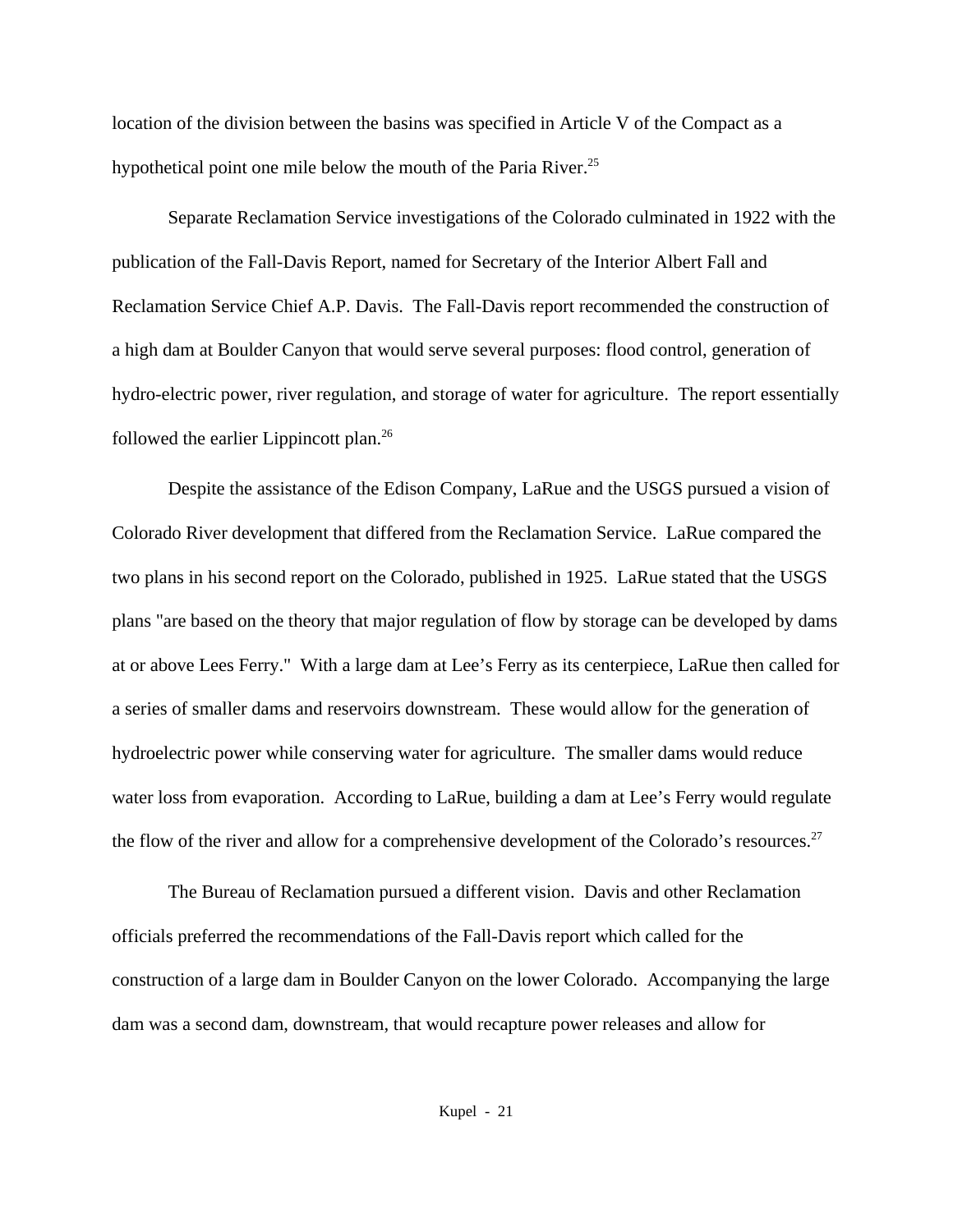location of the division between the basins was specified in Article V of the Compact as a hypothetical point one mile below the mouth of the Paria River.<sup>25</sup>

Separate Reclamation Service investigations of the Colorado culminated in 1922 with the publication of the Fall-Davis Report, named for Secretary of the Interior Albert Fall and Reclamation Service Chief A.P. Davis. The Fall-Davis report recommended the construction of a high dam at Boulder Canyon that would serve several purposes: flood control, generation of hydro-electric power, river regulation, and storage of water for agriculture. The report essentially followed the earlier Lippincott plan.<sup>26</sup>

Despite the assistance of the Edison Company, LaRue and the USGS pursued a vision of Colorado River development that differed from the Reclamation Service. LaRue compared the two plans in his second report on the Colorado, published in 1925. LaRue stated that the USGS plans "are based on the theory that major regulation of flow by storage can be developed by dams at or above Lees Ferry." With a large dam at Lee's Ferry as its centerpiece, LaRue then called for a series of smaller dams and reservoirs downstream. These would allow for the generation of hydroelectric power while conserving water for agriculture. The smaller dams would reduce water loss from evaporation. According to LaRue, building a dam at Lee's Ferry would regulate the flow of the river and allow for a comprehensive development of the Colorado's resources.<sup>27</sup>

The Bureau of Reclamation pursued a different vision. Davis and other Reclamation officials preferred the recommendations of the Fall-Davis report which called for the construction of a large dam in Boulder Canyon on the lower Colorado. Accompanying the large dam was a second dam, downstream, that would recapture power releases and allow for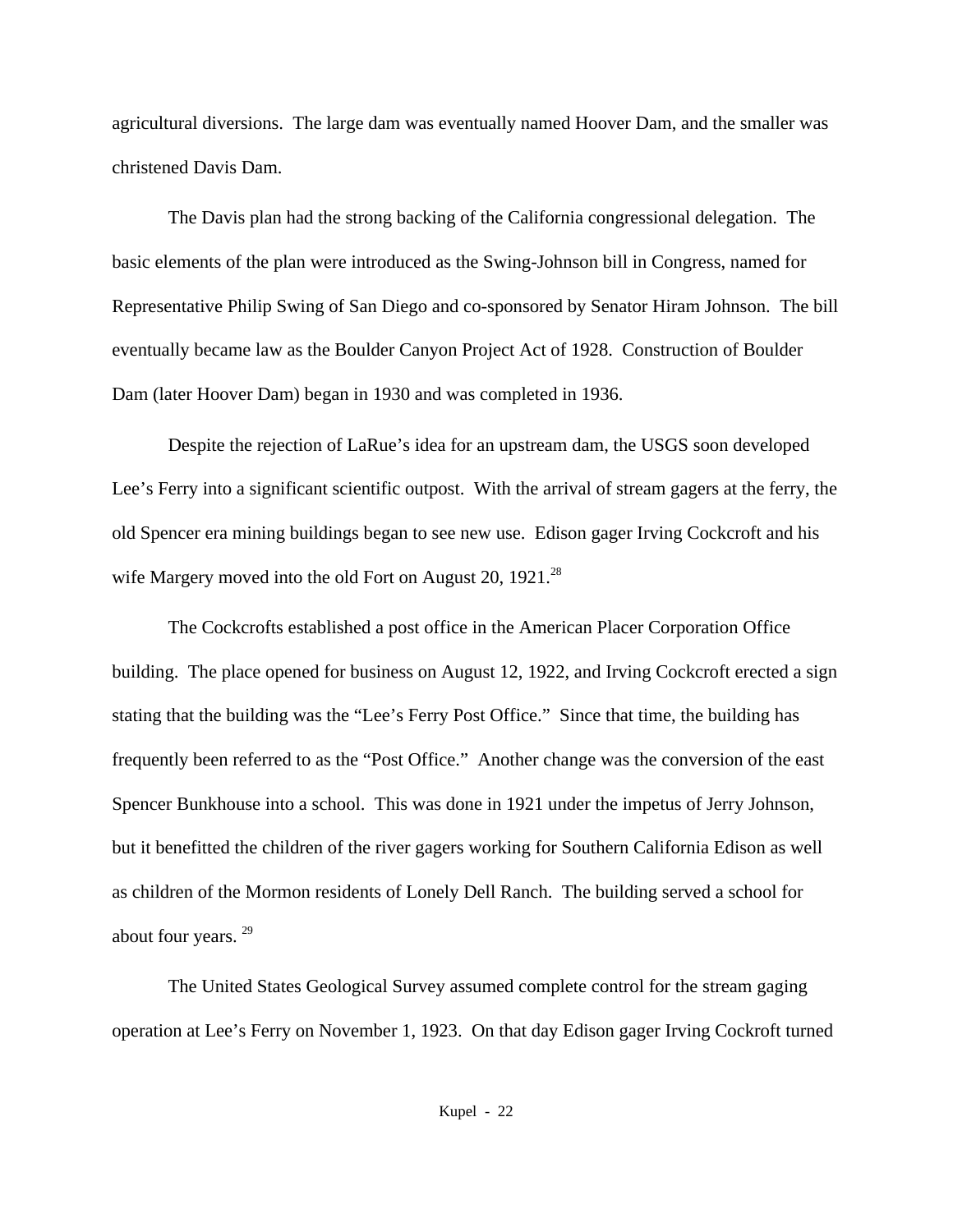agricultural diversions. The large dam was eventually named Hoover Dam, and the smaller was christened Davis Dam.

The Davis plan had the strong backing of the California congressional delegation. The basic elements of the plan were introduced as the Swing-Johnson bill in Congress, named for Representative Philip Swing of San Diego and co-sponsored by Senator Hiram Johnson. The bill eventually became law as the Boulder Canyon Project Act of 1928. Construction of Boulder Dam (later Hoover Dam) began in 1930 and was completed in 1936.

Despite the rejection of LaRue's idea for an upstream dam, the USGS soon developed Lee's Ferry into a significant scientific outpost. With the arrival of stream gagers at the ferry, the old Spencer era mining buildings began to see new use. Edison gager Irving Cockcroft and his wife Margery moved into the old Fort on August 20, 1921.<sup>28</sup>

The Cockcrofts established a post office in the American Placer Corporation Office building. The place opened for business on August 12, 1922, and Irving Cockcroft erected a sign stating that the building was the "Lee's Ferry Post Office." Since that time, the building has frequently been referred to as the "Post Office." Another change was the conversion of the east Spencer Bunkhouse into a school. This was done in 1921 under the impetus of Jerry Johnson, but it benefitted the children of the river gagers working for Southern California Edison as well as children of the Mormon residents of Lonely Dell Ranch. The building served a school for about four years. <sup>29</sup>

The United States Geological Survey assumed complete control for the stream gaging operation at Lee's Ferry on November 1, 1923. On that day Edison gager Irving Cockroft turned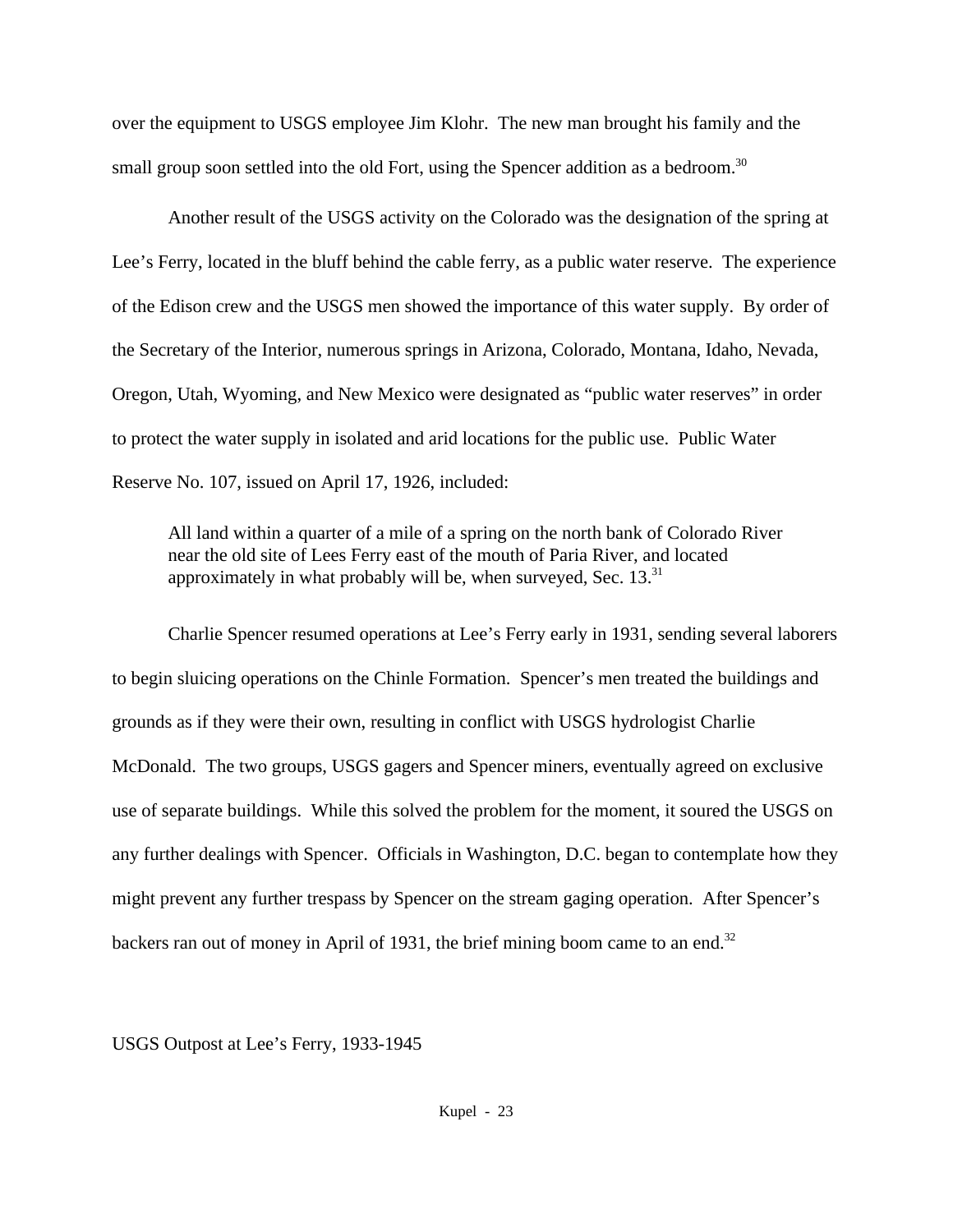over the equipment to USGS employee Jim Klohr. The new man brought his family and the small group soon settled into the old Fort, using the Spencer addition as a bedroom.<sup>30</sup>

Another result of the USGS activity on the Colorado was the designation of the spring at Lee's Ferry, located in the bluff behind the cable ferry, as a public water reserve. The experience of the Edison crew and the USGS men showed the importance of this water supply. By order of the Secretary of the Interior, numerous springs in Arizona, Colorado, Montana, Idaho, Nevada, Oregon, Utah, Wyoming, and New Mexico were designated as "public water reserves" in order to protect the water supply in isolated and arid locations for the public use. Public Water Reserve No. 107, issued on April 17, 1926, included:

All land within a quarter of a mile of a spring on the north bank of Colorado River near the old site of Lees Ferry east of the mouth of Paria River, and located approximately in what probably will be, when surveyed, Sec.  $13^{31}$ 

Charlie Spencer resumed operations at Lee's Ferry early in 1931, sending several laborers to begin sluicing operations on the Chinle Formation. Spencer's men treated the buildings and grounds as if they were their own, resulting in conflict with USGS hydrologist Charlie McDonald. The two groups, USGS gagers and Spencer miners, eventually agreed on exclusive use of separate buildings. While this solved the problem for the moment, it soured the USGS on any further dealings with Spencer. Officials in Washington, D.C. began to contemplate how they might prevent any further trespass by Spencer on the stream gaging operation. After Spencer's backers ran out of money in April of 1931, the brief mining boom came to an end.<sup>32</sup>

USGS Outpost at Lee's Ferry, 1933-1945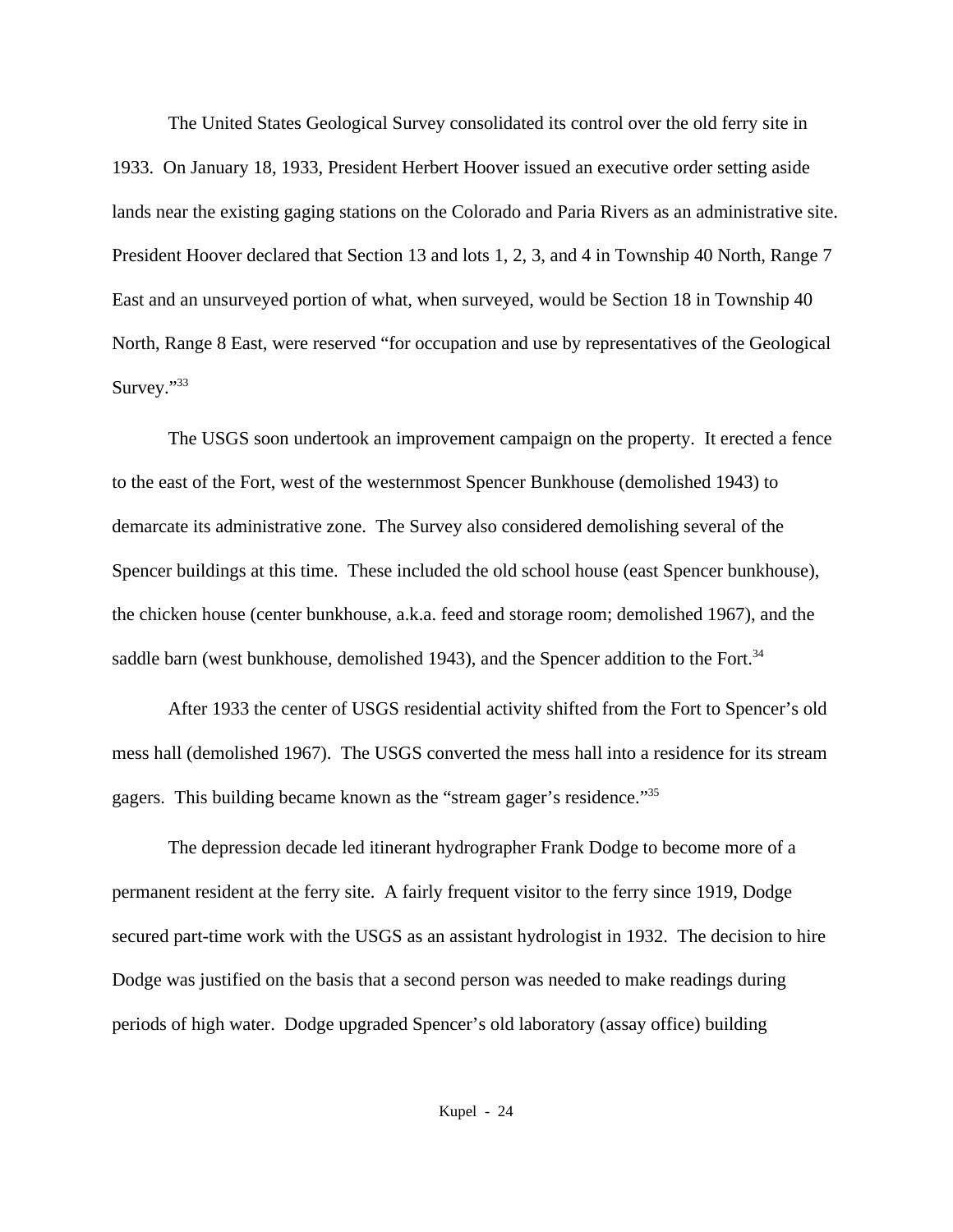The United States Geological Survey consolidated its control over the old ferry site in 1933. On January 18, 1933, President Herbert Hoover issued an executive order setting aside lands near the existing gaging stations on the Colorado and Paria Rivers as an administrative site. President Hoover declared that Section 13 and lots 1, 2, 3, and 4 in Township 40 North, Range 7 East and an unsurveyed portion of what, when surveyed, would be Section 18 in Township 40 North, Range 8 East, were reserved "for occupation and use by representatives of the Geological Survey."<sup>33</sup>

The USGS soon undertook an improvement campaign on the property. It erected a fence to the east of the Fort, west of the westernmost Spencer Bunkhouse (demolished 1943) to demarcate its administrative zone. The Survey also considered demolishing several of the Spencer buildings at this time. These included the old school house (east Spencer bunkhouse), the chicken house (center bunkhouse, a.k.a. feed and storage room; demolished 1967), and the saddle barn (west bunkhouse, demolished 1943), and the Spencer addition to the Fort.<sup>34</sup>

After 1933 the center of USGS residential activity shifted from the Fort to Spencer's old mess hall (demolished 1967). The USGS converted the mess hall into a residence for its stream gagers. This building became known as the "stream gager's residence."<sup>35</sup>

The depression decade led itinerant hydrographer Frank Dodge to become more of a permanent resident at the ferry site. A fairly frequent visitor to the ferry since 1919, Dodge secured part-time work with the USGS as an assistant hydrologist in 1932. The decision to hire Dodge was justified on the basis that a second person was needed to make readings during periods of high water. Dodge upgraded Spencer's old laboratory (assay office) building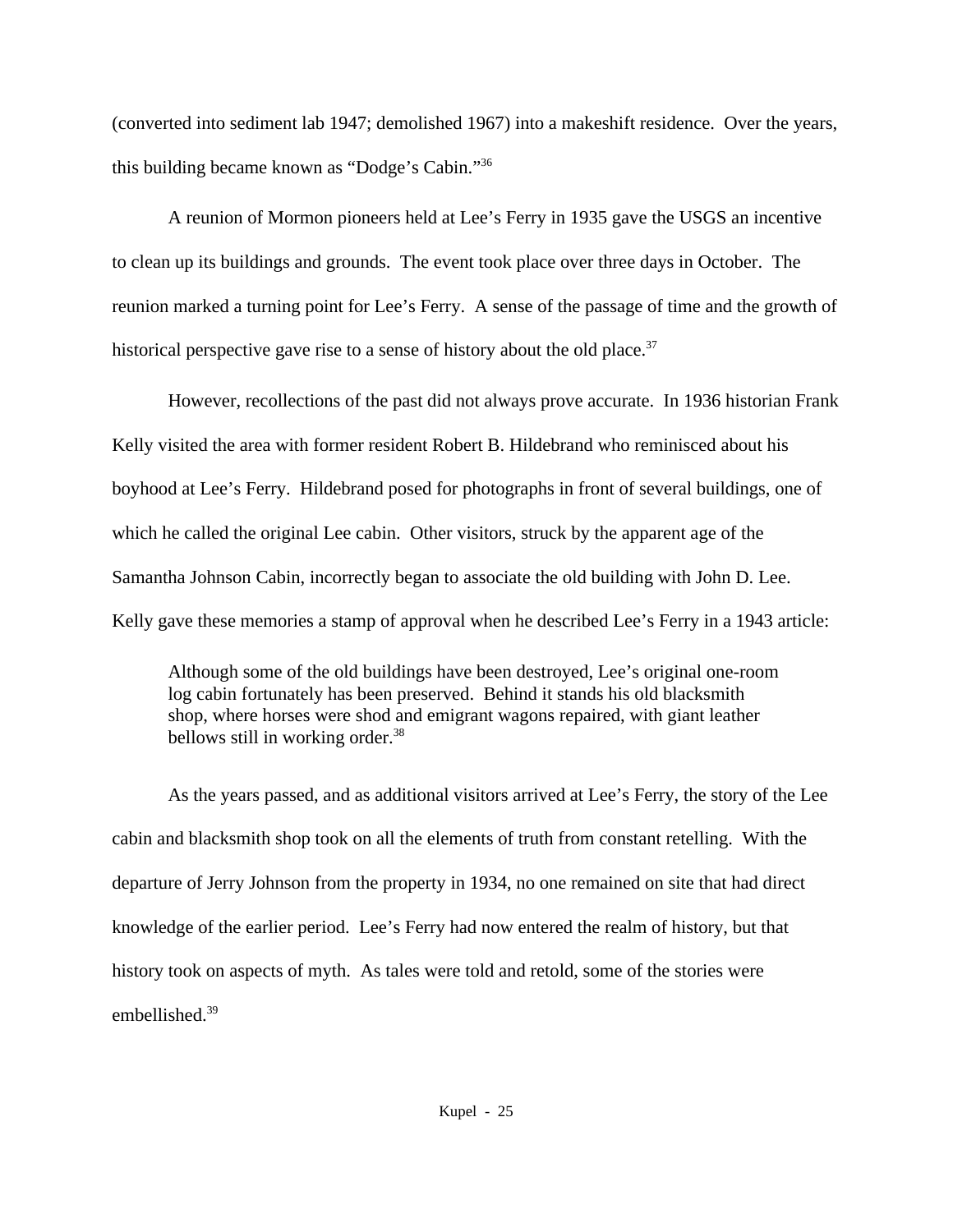(converted into sediment lab 1947; demolished 1967) into a makeshift residence. Over the years, this building became known as "Dodge's Cabin."<sup>36</sup>

A reunion of Mormon pioneers held at Lee's Ferry in 1935 gave the USGS an incentive to clean up its buildings and grounds. The event took place over three days in October. The reunion marked a turning point for Lee's Ferry. A sense of the passage of time and the growth of historical perspective gave rise to a sense of history about the old place.<sup>37</sup>

However, recollections of the past did not always prove accurate. In 1936 historian Frank Kelly visited the area with former resident Robert B. Hildebrand who reminisced about his boyhood at Lee's Ferry. Hildebrand posed for photographs in front of several buildings, one of which he called the original Lee cabin. Other visitors, struck by the apparent age of the Samantha Johnson Cabin, incorrectly began to associate the old building with John D. Lee. Kelly gave these memories a stamp of approval when he described Lee's Ferry in a 1943 article:

Although some of the old buildings have been destroyed, Lee's original one-room log cabin fortunately has been preserved. Behind it stands his old blacksmith shop, where horses were shod and emigrant wagons repaired, with giant leather bellows still in working order.<sup>38</sup>

As the years passed, and as additional visitors arrived at Lee's Ferry, the story of the Lee cabin and blacksmith shop took on all the elements of truth from constant retelling. With the departure of Jerry Johnson from the property in 1934, no one remained on site that had direct knowledge of the earlier period. Lee's Ferry had now entered the realm of history, but that history took on aspects of myth. As tales were told and retold, some of the stories were embellished.39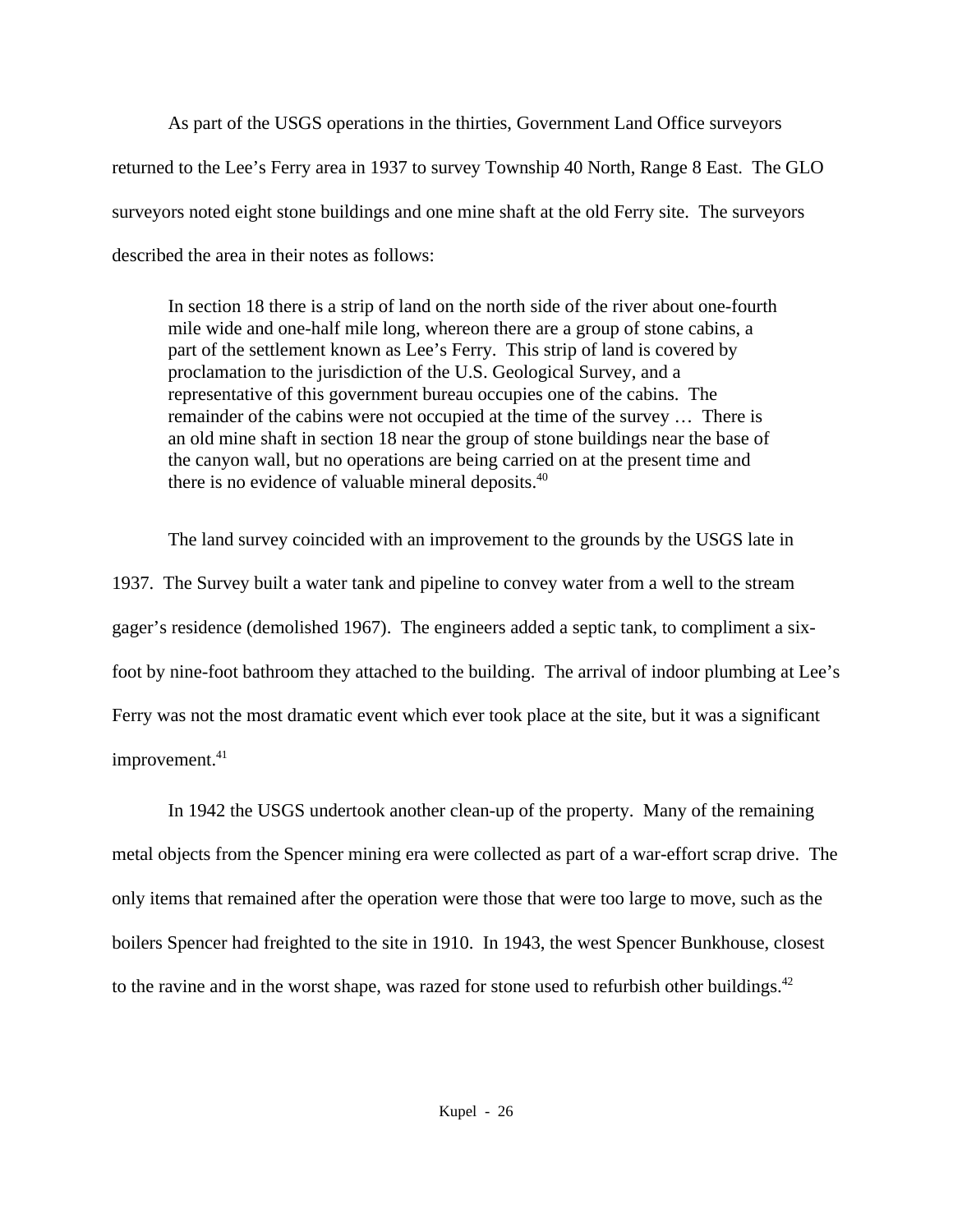As part of the USGS operations in the thirties, Government Land Office surveyors returned to the Lee's Ferry area in 1937 to survey Township 40 North, Range 8 East. The GLO surveyors noted eight stone buildings and one mine shaft at the old Ferry site. The surveyors described the area in their notes as follows:

In section 18 there is a strip of land on the north side of the river about one-fourth mile wide and one-half mile long, whereon there are a group of stone cabins, a part of the settlement known as Lee's Ferry. This strip of land is covered by proclamation to the jurisdiction of the U.S. Geological Survey, and a representative of this government bureau occupies one of the cabins. The remainder of the cabins were not occupied at the time of the survey … There is an old mine shaft in section 18 near the group of stone buildings near the base of the canyon wall, but no operations are being carried on at the present time and there is no evidence of valuable mineral deposits.<sup>40</sup>

The land survey coincided with an improvement to the grounds by the USGS late in 1937. The Survey built a water tank and pipeline to convey water from a well to the stream gager's residence (demolished 1967). The engineers added a septic tank, to compliment a sixfoot by nine-foot bathroom they attached to the building. The arrival of indoor plumbing at Lee's Ferry was not the most dramatic event which ever took place at the site, but it was a significant improvement.<sup>41</sup>

In 1942 the USGS undertook another clean-up of the property. Many of the remaining metal objects from the Spencer mining era were collected as part of a war-effort scrap drive. The only items that remained after the operation were those that were too large to move, such as the boilers Spencer had freighted to the site in 1910. In 1943, the west Spencer Bunkhouse, closest to the ravine and in the worst shape, was razed for stone used to refurbish other buildings.<sup>42</sup>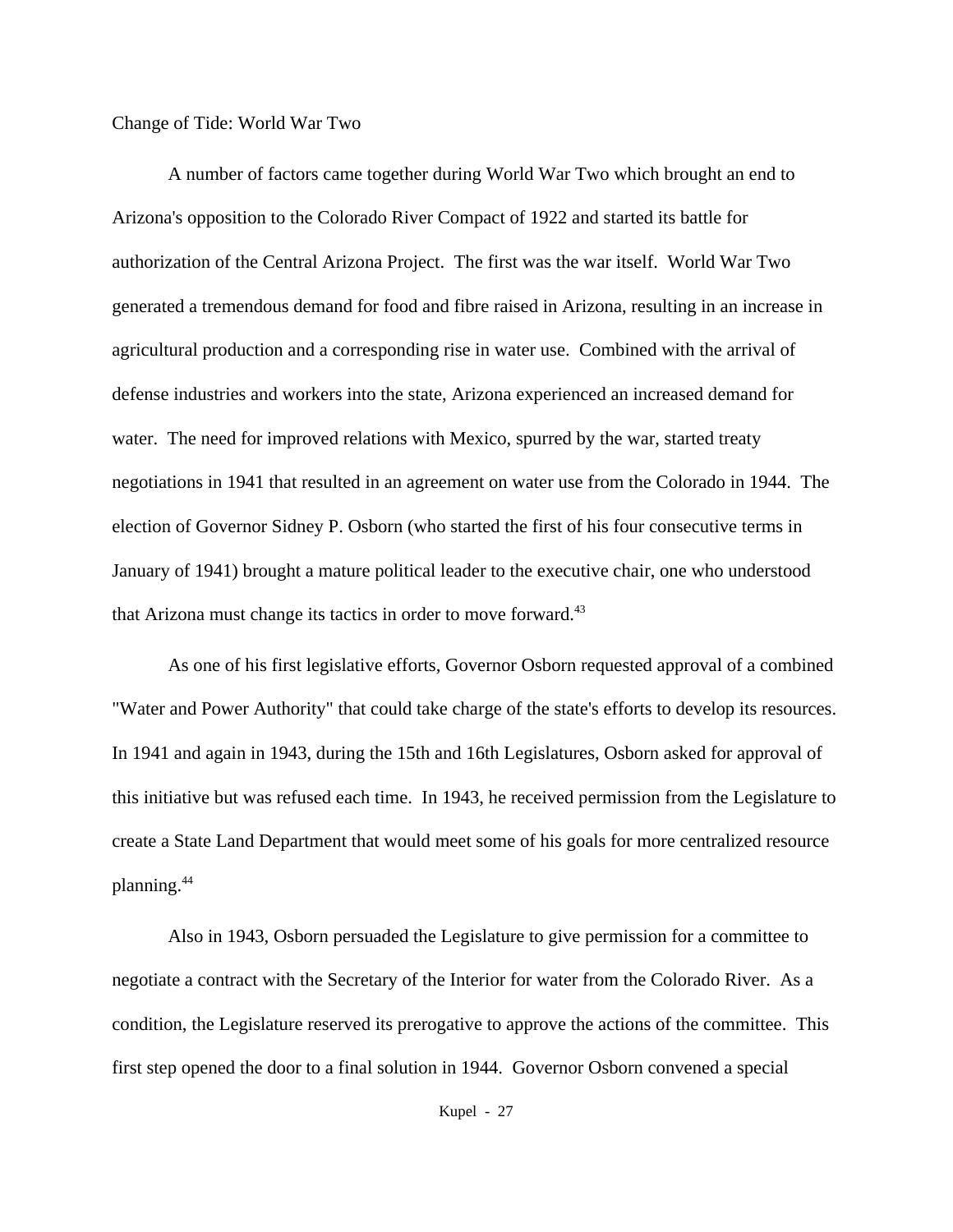## Change of Tide: World War Two

A number of factors came together during World War Two which brought an end to Arizona's opposition to the Colorado River Compact of 1922 and started its battle for authorization of the Central Arizona Project. The first was the war itself. World War Two generated a tremendous demand for food and fibre raised in Arizona, resulting in an increase in agricultural production and a corresponding rise in water use. Combined with the arrival of defense industries and workers into the state, Arizona experienced an increased demand for water. The need for improved relations with Mexico, spurred by the war, started treaty negotiations in 1941 that resulted in an agreement on water use from the Colorado in 1944. The election of Governor Sidney P. Osborn (who started the first of his four consecutive terms in January of 1941) brought a mature political leader to the executive chair, one who understood that Arizona must change its tactics in order to move forward.<sup>43</sup>

As one of his first legislative efforts, Governor Osborn requested approval of a combined "Water and Power Authority" that could take charge of the state's efforts to develop its resources. In 1941 and again in 1943, during the 15th and 16th Legislatures, Osborn asked for approval of this initiative but was refused each time. In 1943, he received permission from the Legislature to create a State Land Department that would meet some of his goals for more centralized resource planning.<sup>44</sup>

Also in 1943, Osborn persuaded the Legislature to give permission for a committee to negotiate a contract with the Secretary of the Interior for water from the Colorado River. As a condition, the Legislature reserved its prerogative to approve the actions of the committee. This first step opened the door to a final solution in 1944. Governor Osborn convened a special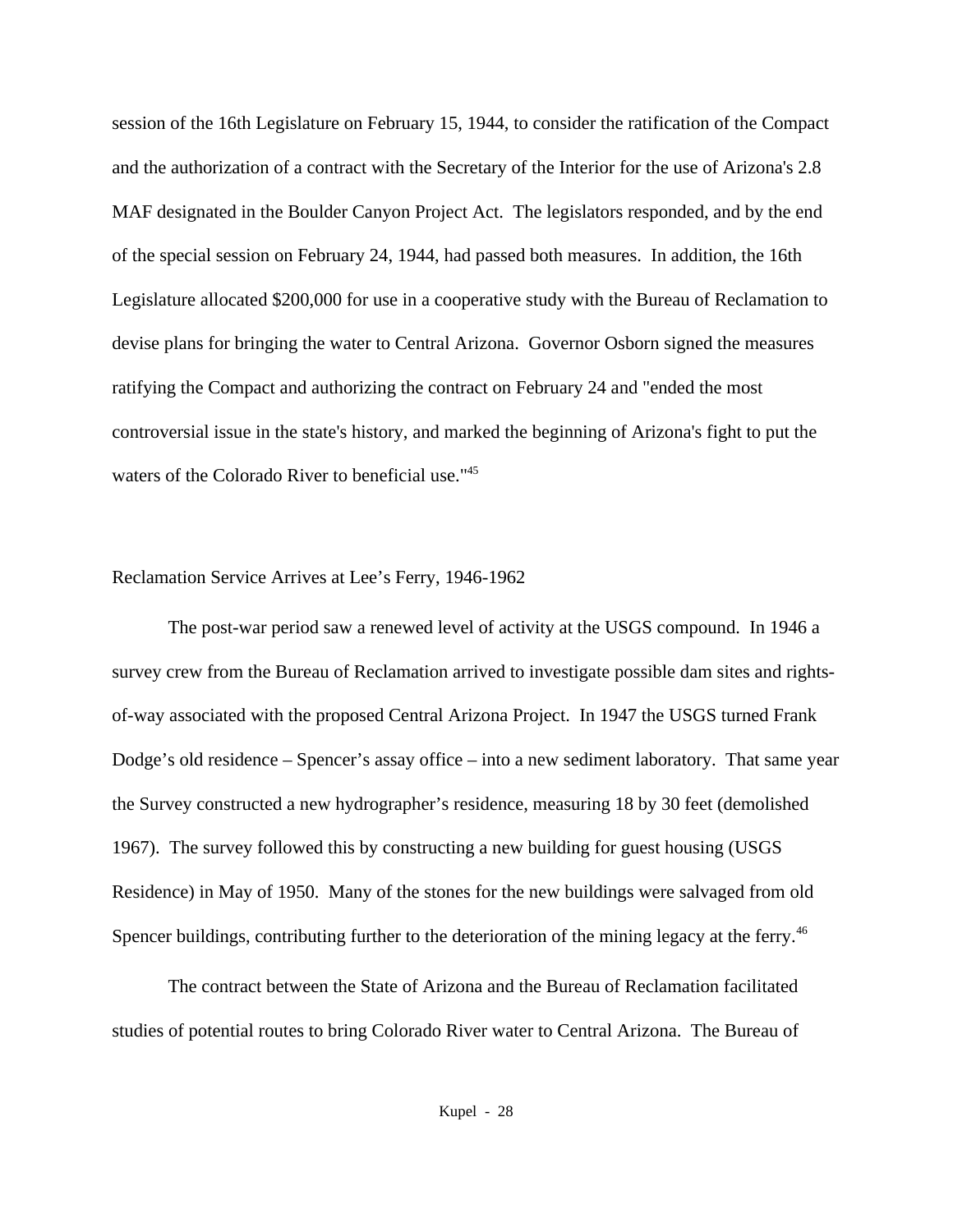session of the 16th Legislature on February 15, 1944, to consider the ratification of the Compact and the authorization of a contract with the Secretary of the Interior for the use of Arizona's 2.8 MAF designated in the Boulder Canyon Project Act. The legislators responded, and by the end of the special session on February 24, 1944, had passed both measures. In addition, the 16th Legislature allocated \$200,000 for use in a cooperative study with the Bureau of Reclamation to devise plans for bringing the water to Central Arizona. Governor Osborn signed the measures ratifying the Compact and authorizing the contract on February 24 and "ended the most controversial issue in the state's history, and marked the beginning of Arizona's fight to put the waters of the Colorado River to beneficial use."<sup>45</sup>

## Reclamation Service Arrives at Lee's Ferry, 1946-1962

The post-war period saw a renewed level of activity at the USGS compound. In 1946 a survey crew from the Bureau of Reclamation arrived to investigate possible dam sites and rightsof-way associated with the proposed Central Arizona Project. In 1947 the USGS turned Frank Dodge's old residence – Spencer's assay office – into a new sediment laboratory. That same year the Survey constructed a new hydrographer's residence, measuring 18 by 30 feet (demolished 1967). The survey followed this by constructing a new building for guest housing (USGS Residence) in May of 1950. Many of the stones for the new buildings were salvaged from old Spencer buildings, contributing further to the deterioration of the mining legacy at the ferry.<sup>46</sup>

The contract between the State of Arizona and the Bureau of Reclamation facilitated studies of potential routes to bring Colorado River water to Central Arizona. The Bureau of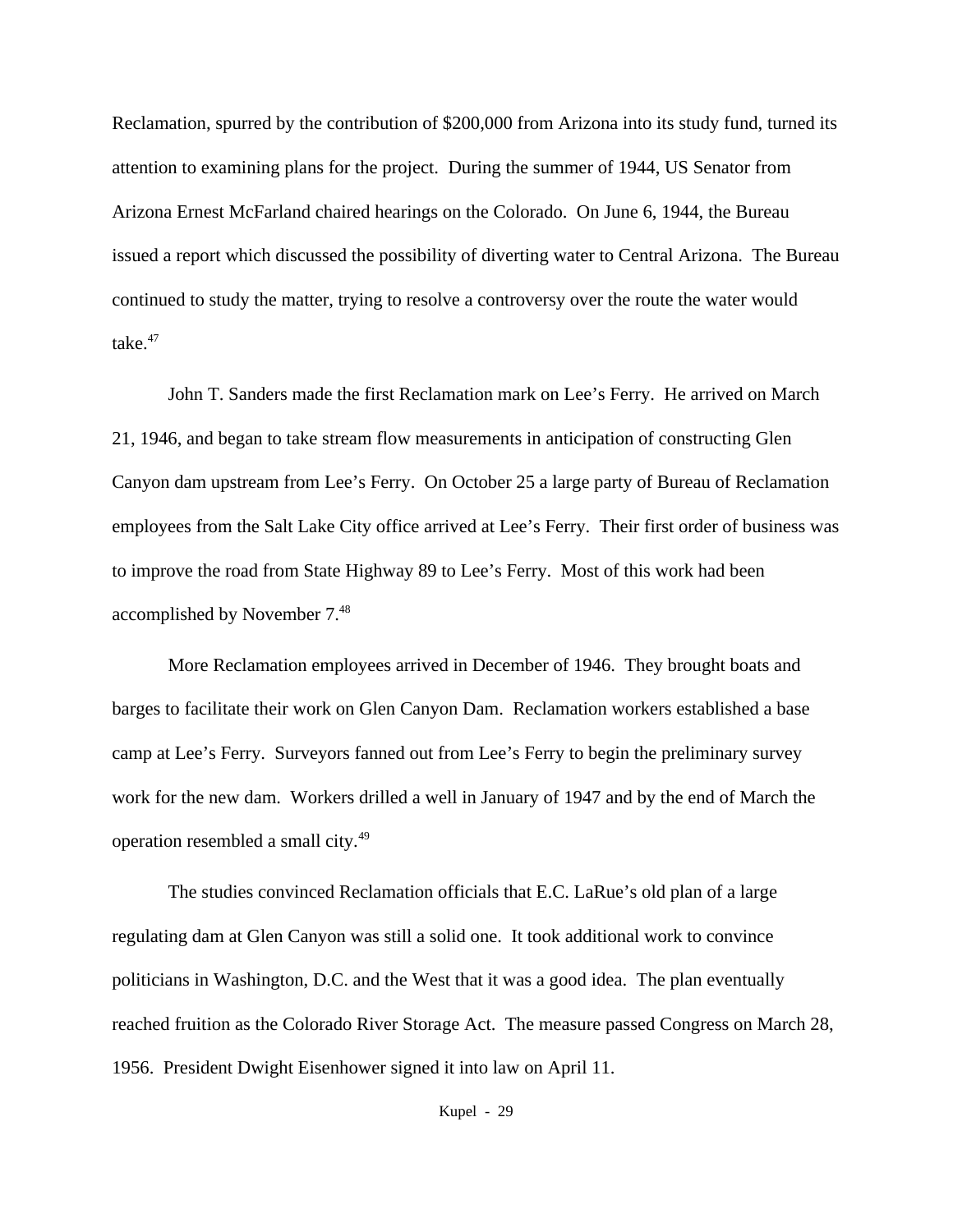Reclamation, spurred by the contribution of \$200,000 from Arizona into its study fund, turned its attention to examining plans for the project. During the summer of 1944, US Senator from Arizona Ernest McFarland chaired hearings on the Colorado. On June 6, 1944, the Bureau issued a report which discussed the possibility of diverting water to Central Arizona. The Bureau continued to study the matter, trying to resolve a controversy over the route the water would take. $47$ 

John T. Sanders made the first Reclamation mark on Lee's Ferry. He arrived on March 21, 1946, and began to take stream flow measurements in anticipation of constructing Glen Canyon dam upstream from Lee's Ferry. On October 25 a large party of Bureau of Reclamation employees from the Salt Lake City office arrived at Lee's Ferry. Their first order of business was to improve the road from State Highway 89 to Lee's Ferry. Most of this work had been accomplished by November 7.<sup>48</sup>

More Reclamation employees arrived in December of 1946. They brought boats and barges to facilitate their work on Glen Canyon Dam. Reclamation workers established a base camp at Lee's Ferry. Surveyors fanned out from Lee's Ferry to begin the preliminary survey work for the new dam. Workers drilled a well in January of 1947 and by the end of March the operation resembled a small city.<sup>49</sup>

The studies convinced Reclamation officials that E.C. LaRue's old plan of a large regulating dam at Glen Canyon was still a solid one. It took additional work to convince politicians in Washington, D.C. and the West that it was a good idea. The plan eventually reached fruition as the Colorado River Storage Act. The measure passed Congress on March 28, 1956. President Dwight Eisenhower signed it into law on April 11.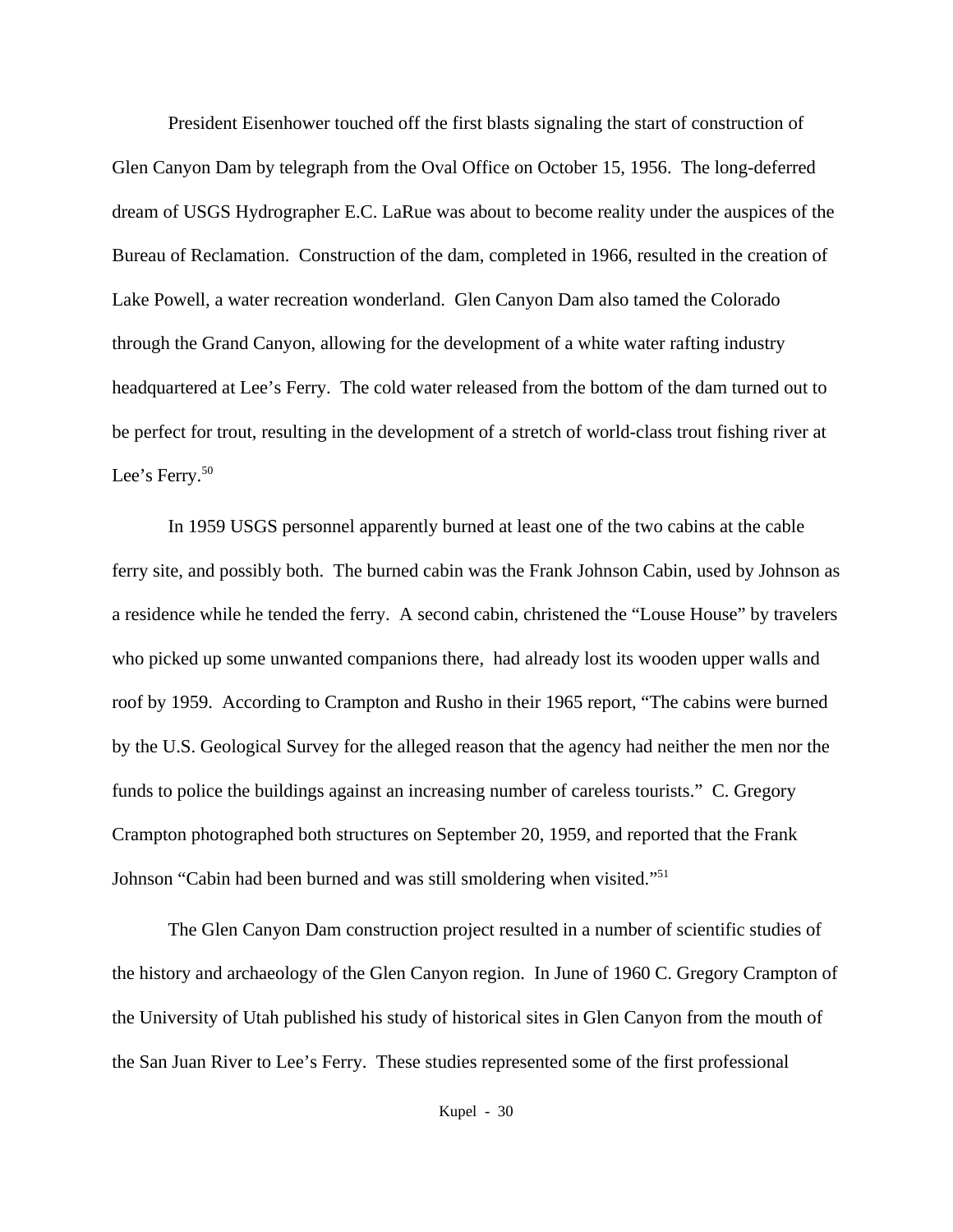President Eisenhower touched off the first blasts signaling the start of construction of Glen Canyon Dam by telegraph from the Oval Office on October 15, 1956. The long-deferred dream of USGS Hydrographer E.C. LaRue was about to become reality under the auspices of the Bureau of Reclamation. Construction of the dam, completed in 1966, resulted in the creation of Lake Powell, a water recreation wonderland. Glen Canyon Dam also tamed the Colorado through the Grand Canyon, allowing for the development of a white water rafting industry headquartered at Lee's Ferry. The cold water released from the bottom of the dam turned out to be perfect for trout, resulting in the development of a stretch of world-class trout fishing river at Lee's Ferry.<sup>50</sup>

In 1959 USGS personnel apparently burned at least one of the two cabins at the cable ferry site, and possibly both. The burned cabin was the Frank Johnson Cabin, used by Johnson as a residence while he tended the ferry. A second cabin, christened the "Louse House" by travelers who picked up some unwanted companions there, had already lost its wooden upper walls and roof by 1959. According to Crampton and Rusho in their 1965 report, "The cabins were burned by the U.S. Geological Survey for the alleged reason that the agency had neither the men nor the funds to police the buildings against an increasing number of careless tourists." C. Gregory Crampton photographed both structures on September 20, 1959, and reported that the Frank Johnson "Cabin had been burned and was still smoldering when visited."<sup>51</sup>

The Glen Canyon Dam construction project resulted in a number of scientific studies of the history and archaeology of the Glen Canyon region. In June of 1960 C. Gregory Crampton of the University of Utah published his study of historical sites in Glen Canyon from the mouth of the San Juan River to Lee's Ferry. These studies represented some of the first professional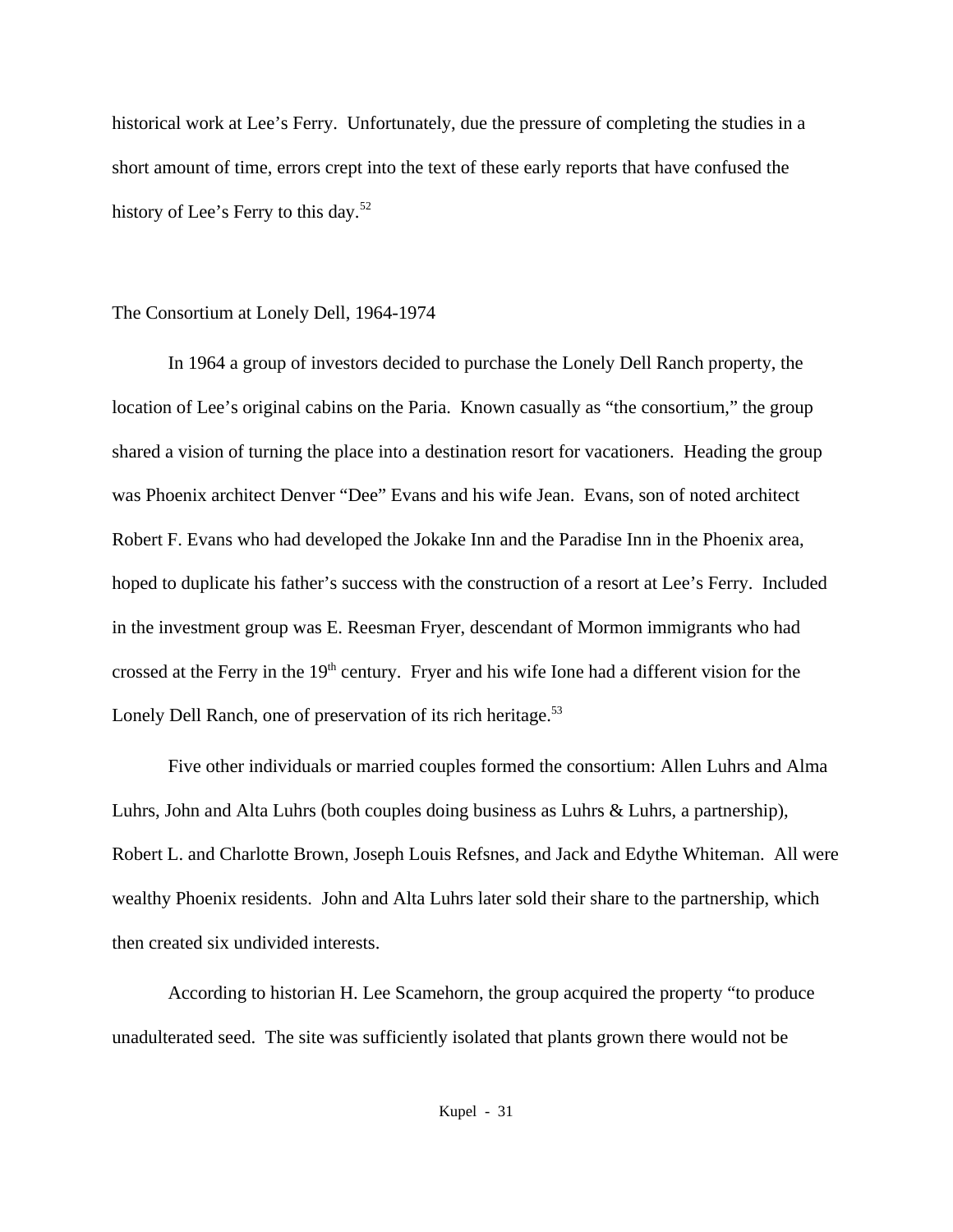historical work at Lee's Ferry. Unfortunately, due the pressure of completing the studies in a short amount of time, errors crept into the text of these early reports that have confused the history of Lee's Ferry to this day.<sup>52</sup>

## The Consortium at Lonely Dell, 1964-1974

In 1964 a group of investors decided to purchase the Lonely Dell Ranch property, the location of Lee's original cabins on the Paria. Known casually as "the consortium," the group shared a vision of turning the place into a destination resort for vacationers. Heading the group was Phoenix architect Denver "Dee" Evans and his wife Jean. Evans, son of noted architect Robert F. Evans who had developed the Jokake Inn and the Paradise Inn in the Phoenix area, hoped to duplicate his father's success with the construction of a resort at Lee's Ferry. Included in the investment group was E. Reesman Fryer, descendant of Mormon immigrants who had crossed at the Ferry in the 19<sup>th</sup> century. Fryer and his wife Ione had a different vision for the Lonely Dell Ranch, one of preservation of its rich heritage.<sup>53</sup>

Five other individuals or married couples formed the consortium: Allen Luhrs and Alma Luhrs, John and Alta Luhrs (both couples doing business as Luhrs & Luhrs, a partnership), Robert L. and Charlotte Brown, Joseph Louis Refsnes, and Jack and Edythe Whiteman. All were wealthy Phoenix residents. John and Alta Luhrs later sold their share to the partnership, which then created six undivided interests.

According to historian H. Lee Scamehorn, the group acquired the property "to produce unadulterated seed. The site was sufficiently isolated that plants grown there would not be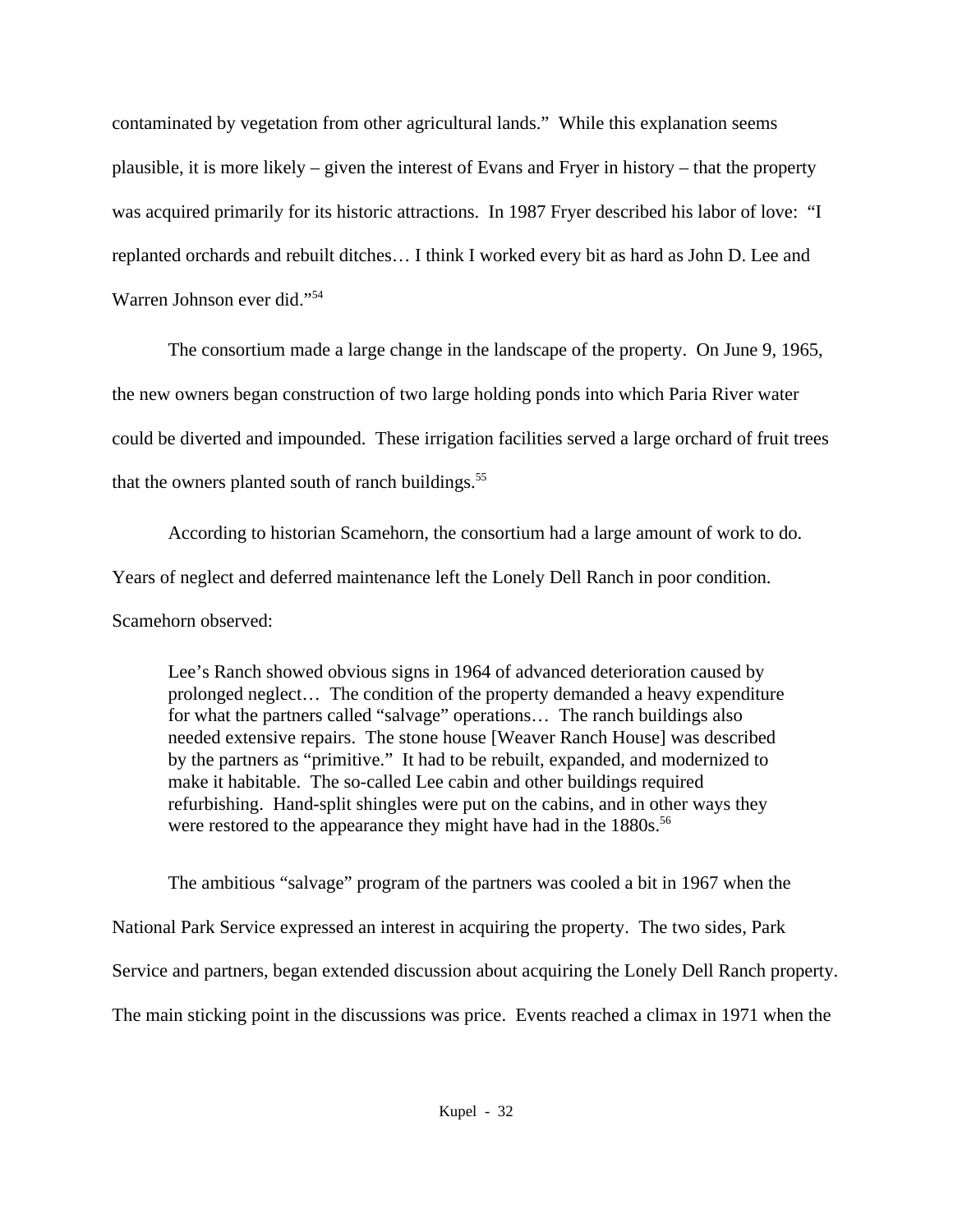contaminated by vegetation from other agricultural lands." While this explanation seems plausible, it is more likely – given the interest of Evans and Fryer in history – that the property was acquired primarily for its historic attractions. In 1987 Fryer described his labor of love: "I replanted orchards and rebuilt ditches… I think I worked every bit as hard as John D. Lee and Warren Johnson ever did."<sup>54</sup>

The consortium made a large change in the landscape of the property. On June 9, 1965, the new owners began construction of two large holding ponds into which Paria River water could be diverted and impounded. These irrigation facilities served a large orchard of fruit trees that the owners planted south of ranch buildings.<sup>55</sup>

According to historian Scamehorn, the consortium had a large amount of work to do. Years of neglect and deferred maintenance left the Lonely Dell Ranch in poor condition. Scamehorn observed:

Lee's Ranch showed obvious signs in 1964 of advanced deterioration caused by prolonged neglect… The condition of the property demanded a heavy expenditure for what the partners called "salvage" operations… The ranch buildings also needed extensive repairs. The stone house [Weaver Ranch House] was described by the partners as "primitive." It had to be rebuilt, expanded, and modernized to make it habitable. The so-called Lee cabin and other buildings required refurbishing. Hand-split shingles were put on the cabins, and in other ways they were restored to the appearance they might have had in the 1880s.<sup>56</sup>

The ambitious "salvage" program of the partners was cooled a bit in 1967 when the National Park Service expressed an interest in acquiring the property. The two sides, Park Service and partners, began extended discussion about acquiring the Lonely Dell Ranch property. The main sticking point in the discussions was price. Events reached a climax in 1971 when the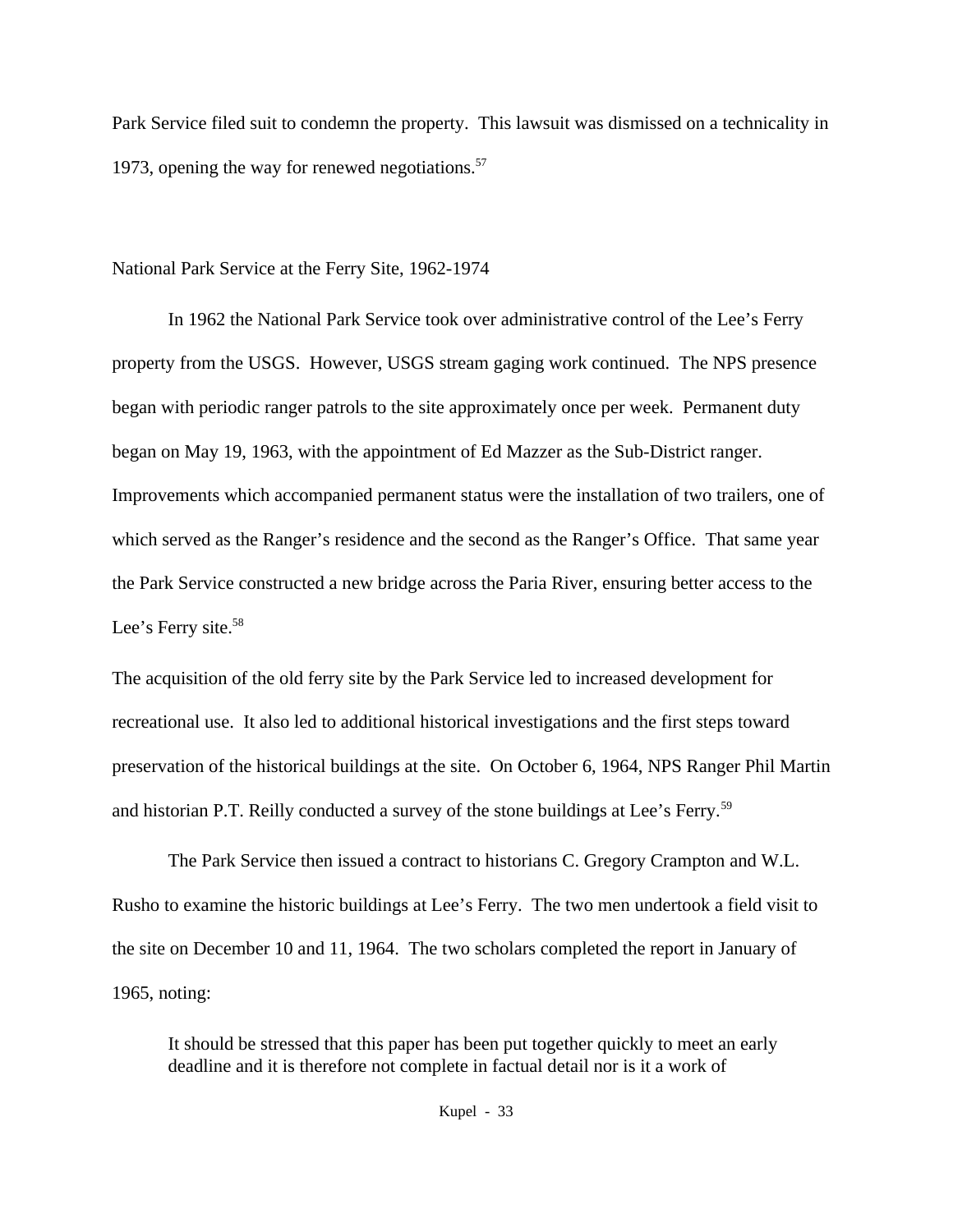Park Service filed suit to condemn the property. This lawsuit was dismissed on a technicality in 1973, opening the way for renewed negotiations. $57$ 

## National Park Service at the Ferry Site, 1962-1974

In 1962 the National Park Service took over administrative control of the Lee's Ferry property from the USGS. However, USGS stream gaging work continued. The NPS presence began with periodic ranger patrols to the site approximately once per week. Permanent duty began on May 19, 1963, with the appointment of Ed Mazzer as the Sub-District ranger. Improvements which accompanied permanent status were the installation of two trailers, one of which served as the Ranger's residence and the second as the Ranger's Office. That same year the Park Service constructed a new bridge across the Paria River, ensuring better access to the Lee's Ferry site.<sup>58</sup>

The acquisition of the old ferry site by the Park Service led to increased development for recreational use. It also led to additional historical investigations and the first steps toward preservation of the historical buildings at the site. On October 6, 1964, NPS Ranger Phil Martin and historian P.T. Reilly conducted a survey of the stone buildings at Lee's Ferry.<sup>59</sup>

The Park Service then issued a contract to historians C. Gregory Crampton and W.L. Rusho to examine the historic buildings at Lee's Ferry. The two men undertook a field visit to the site on December 10 and 11, 1964. The two scholars completed the report in January of 1965, noting:

It should be stressed that this paper has been put together quickly to meet an early deadline and it is therefore not complete in factual detail nor is it a work of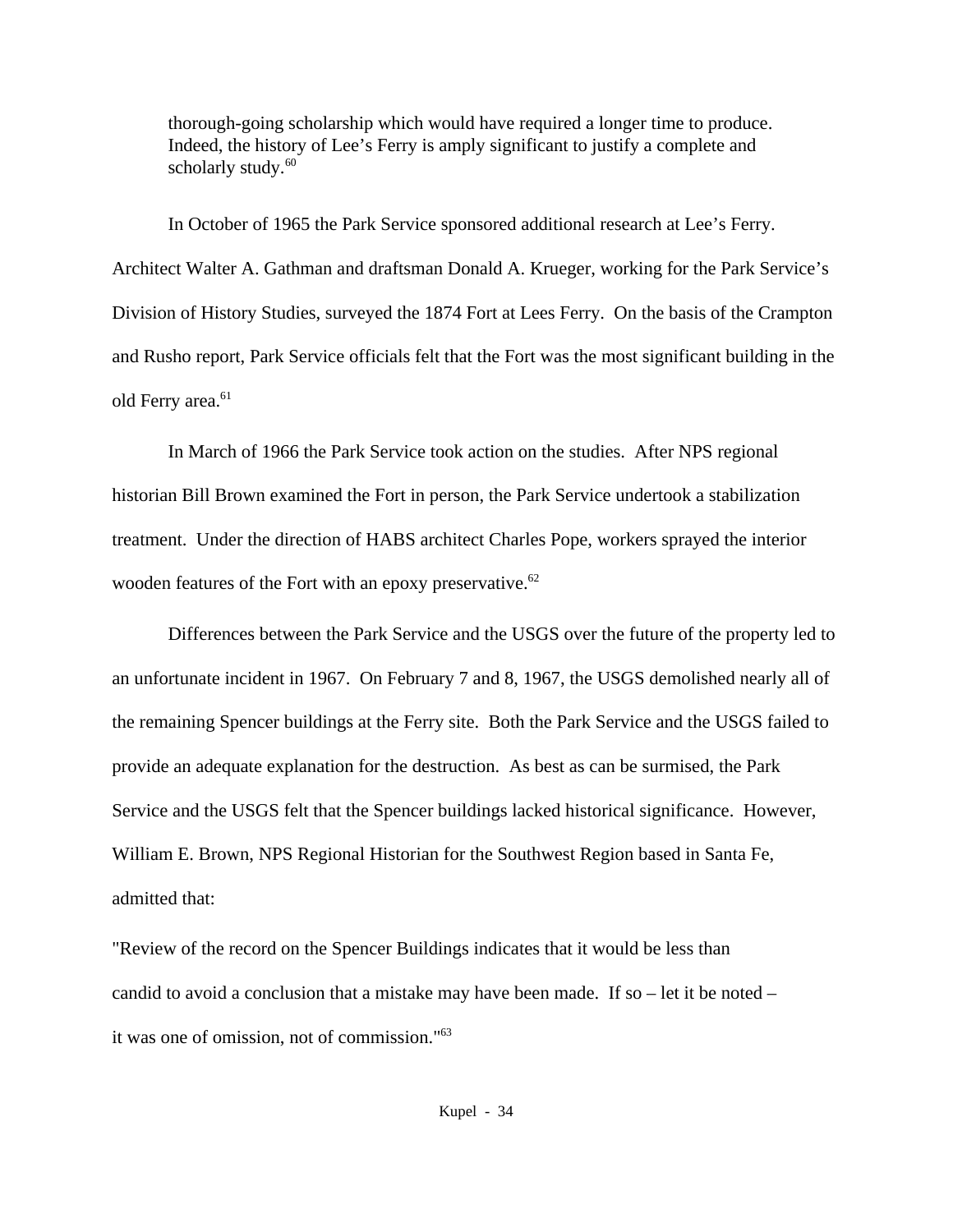thorough-going scholarship which would have required a longer time to produce. Indeed, the history of Lee's Ferry is amply significant to justify a complete and scholarly study. $60$ 

In October of 1965 the Park Service sponsored additional research at Lee's Ferry. Architect Walter A. Gathman and draftsman Donald A. Krueger, working for the Park Service's Division of History Studies, surveyed the 1874 Fort at Lees Ferry. On the basis of the Crampton and Rusho report, Park Service officials felt that the Fort was the most significant building in the old Ferry area.<sup>61</sup>

In March of 1966 the Park Service took action on the studies. After NPS regional historian Bill Brown examined the Fort in person, the Park Service undertook a stabilization treatment. Under the direction of HABS architect Charles Pope, workers sprayed the interior wooden features of the Fort with an epoxy preservative.<sup>62</sup>

Differences between the Park Service and the USGS over the future of the property led to an unfortunate incident in 1967. On February 7 and 8, 1967, the USGS demolished nearly all of the remaining Spencer buildings at the Ferry site. Both the Park Service and the USGS failed to provide an adequate explanation for the destruction. As best as can be surmised, the Park Service and the USGS felt that the Spencer buildings lacked historical significance. However, William E. Brown, NPS Regional Historian for the Southwest Region based in Santa Fe, admitted that:

"Review of the record on the Spencer Buildings indicates that it would be less than candid to avoid a conclusion that a mistake may have been made. If so – let it be noted – it was one of omission, not of commission."63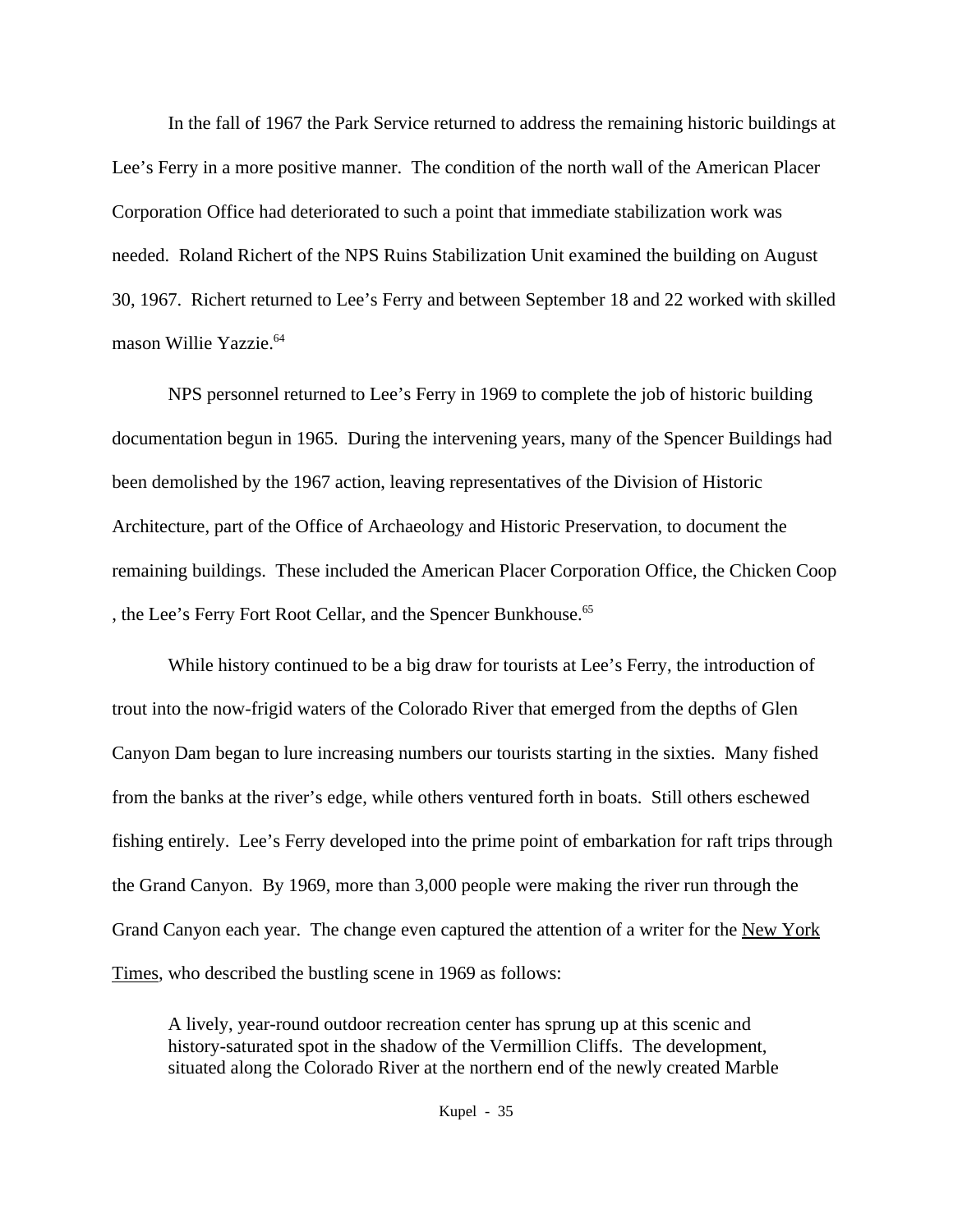In the fall of 1967 the Park Service returned to address the remaining historic buildings at Lee's Ferry in a more positive manner. The condition of the north wall of the American Placer Corporation Office had deteriorated to such a point that immediate stabilization work was needed. Roland Richert of the NPS Ruins Stabilization Unit examined the building on August 30, 1967. Richert returned to Lee's Ferry and between September 18 and 22 worked with skilled mason Willie Yazzie.<sup>64</sup>

NPS personnel returned to Lee's Ferry in 1969 to complete the job of historic building documentation begun in 1965. During the intervening years, many of the Spencer Buildings had been demolished by the 1967 action, leaving representatives of the Division of Historic Architecture, part of the Office of Archaeology and Historic Preservation, to document the remaining buildings. These included the American Placer Corporation Office, the Chicken Coop , the Lee's Ferry Fort Root Cellar, and the Spencer Bunkhouse.<sup>65</sup>

While history continued to be a big draw for tourists at Lee's Ferry, the introduction of trout into the now-frigid waters of the Colorado River that emerged from the depths of Glen Canyon Dam began to lure increasing numbers our tourists starting in the sixties. Many fished from the banks at the river's edge, while others ventured forth in boats. Still others eschewed fishing entirely. Lee's Ferry developed into the prime point of embarkation for raft trips through the Grand Canyon. By 1969, more than 3,000 people were making the river run through the Grand Canyon each year. The change even captured the attention of a writer for the New York Times, who described the bustling scene in 1969 as follows:

A lively, year-round outdoor recreation center has sprung up at this scenic and history-saturated spot in the shadow of the Vermillion Cliffs. The development, situated along the Colorado River at the northern end of the newly created Marble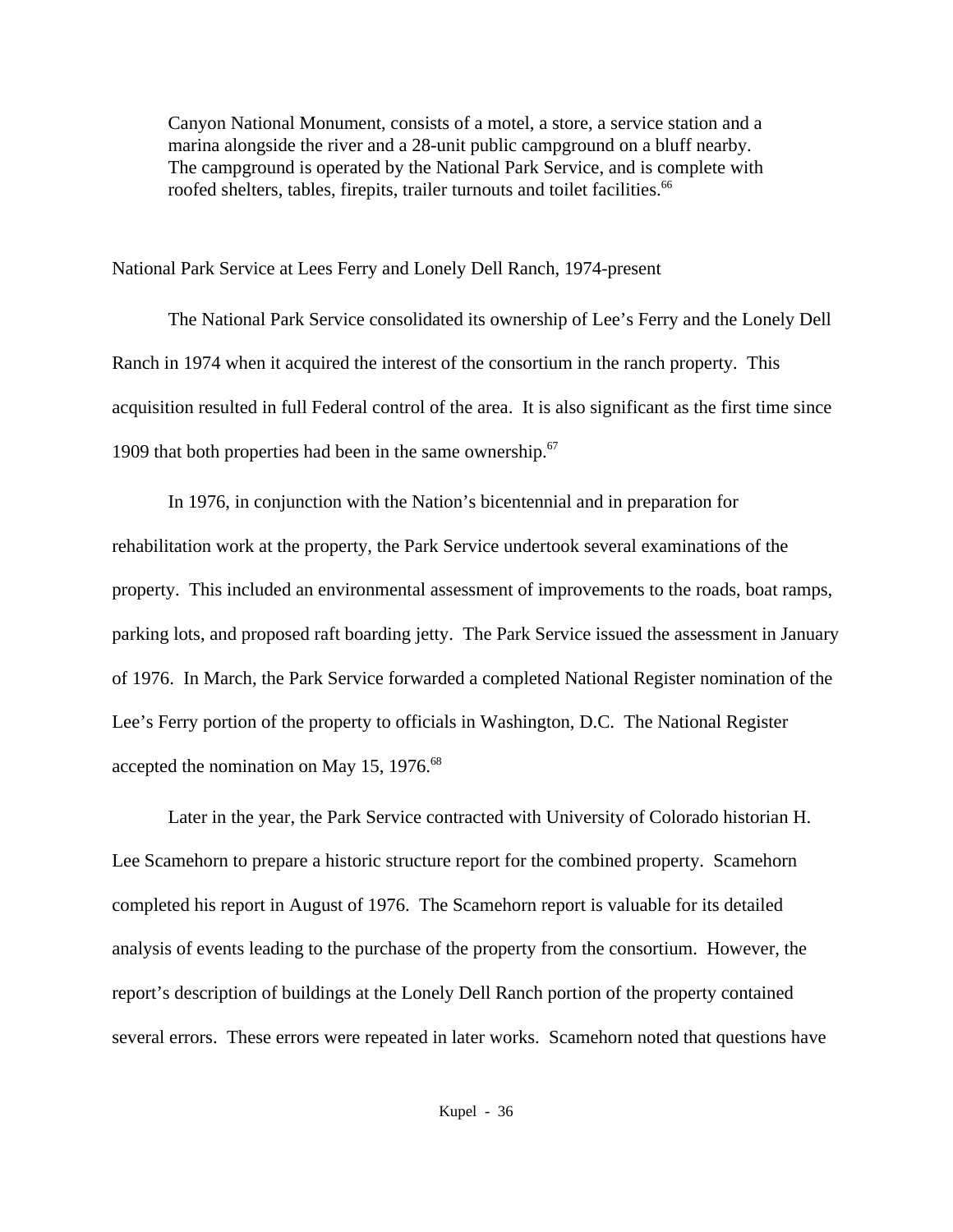Canyon National Monument, consists of a motel, a store, a service station and a marina alongside the river and a 28-unit public campground on a bluff nearby. The campground is operated by the National Park Service, and is complete with roofed shelters, tables, firepits, trailer turnouts and toilet facilities.<sup>66</sup>

National Park Service at Lees Ferry and Lonely Dell Ranch, 1974-present

The National Park Service consolidated its ownership of Lee's Ferry and the Lonely Dell Ranch in 1974 when it acquired the interest of the consortium in the ranch property. This acquisition resulted in full Federal control of the area. It is also significant as the first time since 1909 that both properties had been in the same ownership.<sup>67</sup>

In 1976, in conjunction with the Nation's bicentennial and in preparation for rehabilitation work at the property, the Park Service undertook several examinations of the property. This included an environmental assessment of improvements to the roads, boat ramps, parking lots, and proposed raft boarding jetty. The Park Service issued the assessment in January of 1976. In March, the Park Service forwarded a completed National Register nomination of the Lee's Ferry portion of the property to officials in Washington, D.C. The National Register accepted the nomination on May 15, 1976.<sup>68</sup>

Later in the year, the Park Service contracted with University of Colorado historian H. Lee Scamehorn to prepare a historic structure report for the combined property. Scamehorn completed his report in August of 1976. The Scamehorn report is valuable for its detailed analysis of events leading to the purchase of the property from the consortium. However, the report's description of buildings at the Lonely Dell Ranch portion of the property contained several errors. These errors were repeated in later works. Scamehorn noted that questions have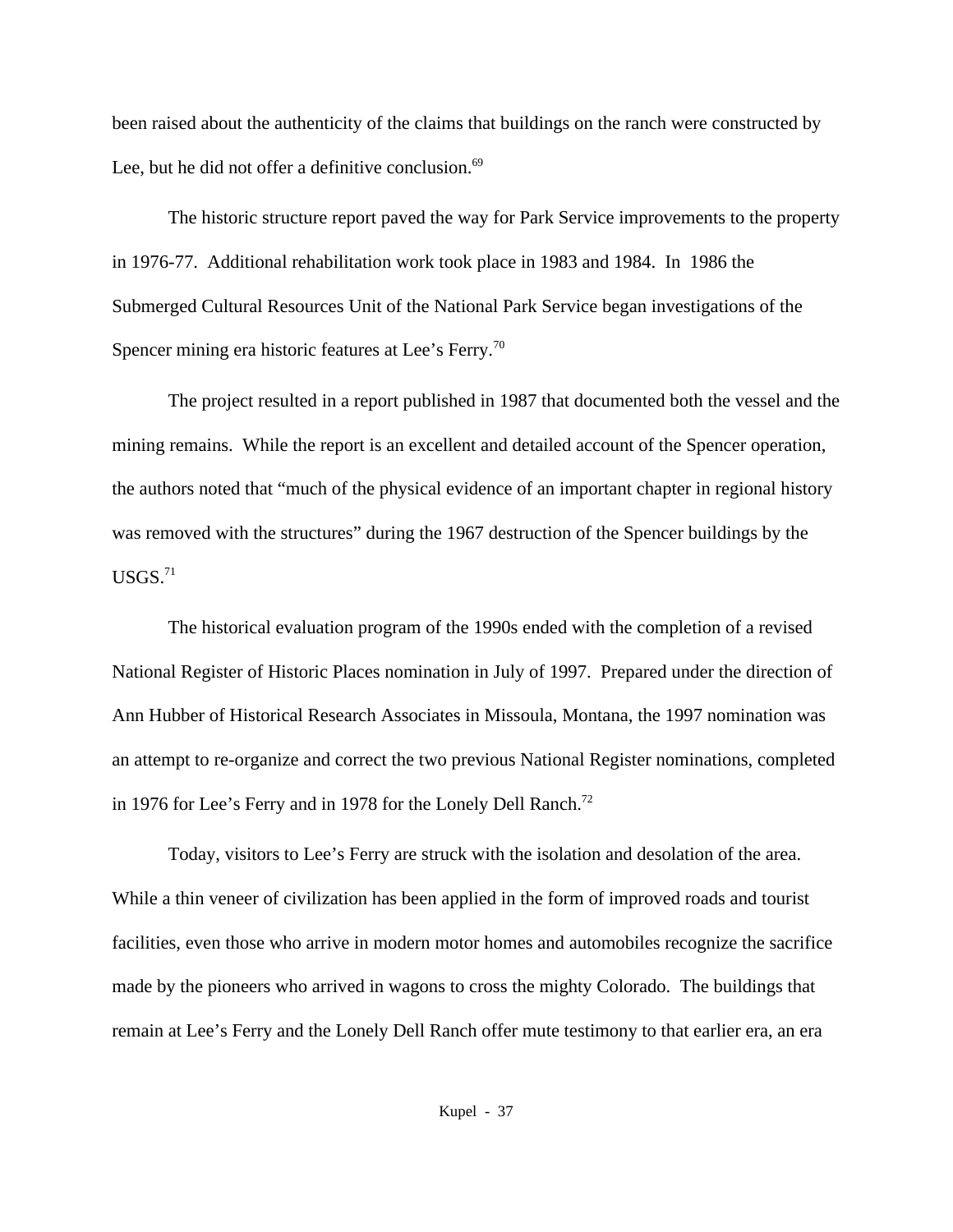been raised about the authenticity of the claims that buildings on the ranch were constructed by Lee, but he did not offer a definitive conclusion.<sup>69</sup>

The historic structure report paved the way for Park Service improvements to the property in 1976-77. Additional rehabilitation work took place in 1983 and 1984. In 1986 the Submerged Cultural Resources Unit of the National Park Service began investigations of the Spencer mining era historic features at Lee's Ferry.<sup>70</sup>

The project resulted in a report published in 1987 that documented both the vessel and the mining remains. While the report is an excellent and detailed account of the Spencer operation, the authors noted that "much of the physical evidence of an important chapter in regional history was removed with the structures" during the 1967 destruction of the Spencer buildings by the  $USGS.<sup>71</sup>$ 

The historical evaluation program of the 1990s ended with the completion of a revised National Register of Historic Places nomination in July of 1997. Prepared under the direction of Ann Hubber of Historical Research Associates in Missoula, Montana, the 1997 nomination was an attempt to re-organize and correct the two previous National Register nominations, completed in 1976 for Lee's Ferry and in 1978 for the Lonely Dell Ranch.<sup>72</sup>

Today, visitors to Lee's Ferry are struck with the isolation and desolation of the area. While a thin veneer of civilization has been applied in the form of improved roads and tourist facilities, even those who arrive in modern motor homes and automobiles recognize the sacrifice made by the pioneers who arrived in wagons to cross the mighty Colorado. The buildings that remain at Lee's Ferry and the Lonely Dell Ranch offer mute testimony to that earlier era, an era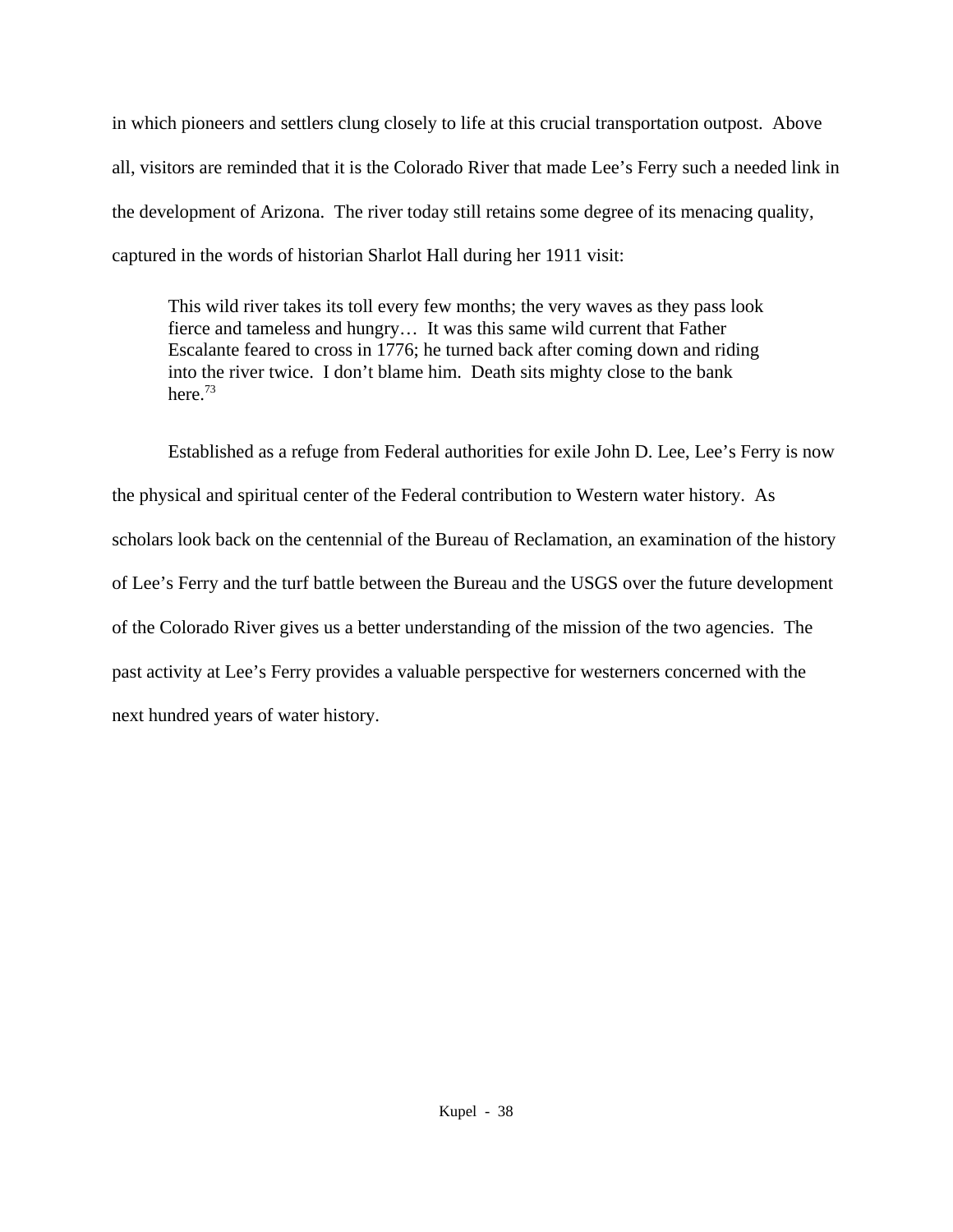in which pioneers and settlers clung closely to life at this crucial transportation outpost. Above all, visitors are reminded that it is the Colorado River that made Lee's Ferry such a needed link in the development of Arizona. The river today still retains some degree of its menacing quality, captured in the words of historian Sharlot Hall during her 1911 visit:

This wild river takes its toll every few months; the very waves as they pass look fierce and tameless and hungry… It was this same wild current that Father Escalante feared to cross in 1776; he turned back after coming down and riding into the river twice. I don't blame him. Death sits mighty close to the bank here.<sup>73</sup>

Established as a refuge from Federal authorities for exile John D. Lee, Lee's Ferry is now the physical and spiritual center of the Federal contribution to Western water history. As scholars look back on the centennial of the Bureau of Reclamation, an examination of the history of Lee's Ferry and the turf battle between the Bureau and the USGS over the future development of the Colorado River gives us a better understanding of the mission of the two agencies. The past activity at Lee's Ferry provides a valuable perspective for westerners concerned with the next hundred years of water history.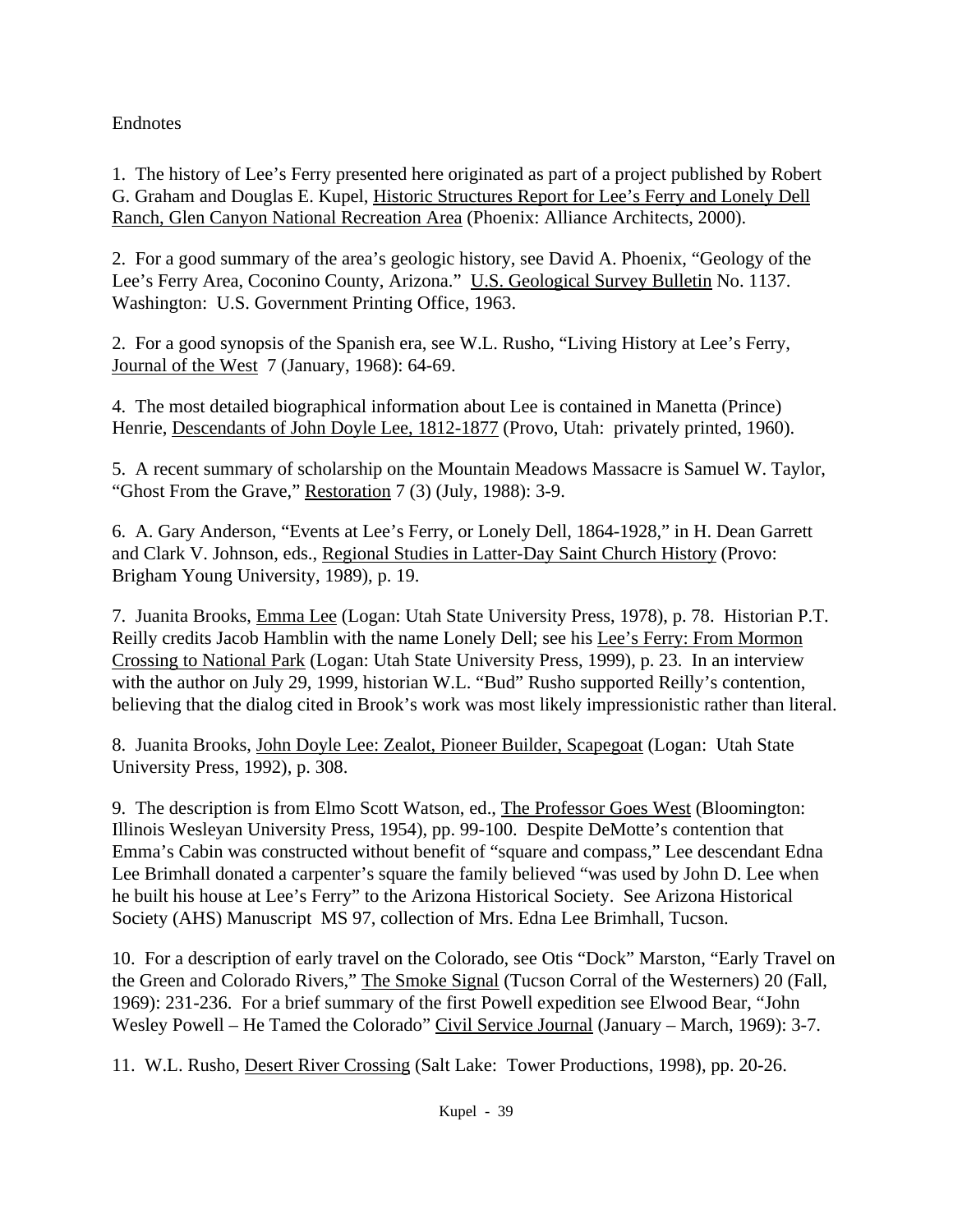# Endnotes

1. The history of Lee's Ferry presented here originated as part of a project published by Robert G. Graham and Douglas E. Kupel, Historic Structures Report for Lee's Ferry and Lonely Dell Ranch, Glen Canyon National Recreation Area (Phoenix: Alliance Architects, 2000).

2. For a good summary of the area's geologic history, see David A. Phoenix, "Geology of the Lee's Ferry Area, Coconino County, Arizona." U.S. Geological Survey Bulletin No. 1137. Washington: U.S. Government Printing Office, 1963.

2. For a good synopsis of the Spanish era, see W.L. Rusho, "Living History at Lee's Ferry, Journal of the West 7 (January, 1968): 64-69.

4. The most detailed biographical information about Lee is contained in Manetta (Prince) Henrie, Descendants of John Doyle Lee, 1812-1877 (Provo, Utah: privately printed, 1960).

5. A recent summary of scholarship on the Mountain Meadows Massacre is Samuel W. Taylor, "Ghost From the Grave," Restoration 7 (3) (July, 1988): 3-9.

6. A. Gary Anderson, "Events at Lee's Ferry, or Lonely Dell, 1864-1928," in H. Dean Garrett and Clark V. Johnson, eds., Regional Studies in Latter-Day Saint Church History (Provo: Brigham Young University, 1989), p. 19.

7. Juanita Brooks, Emma Lee (Logan: Utah State University Press, 1978), p. 78. Historian P.T. Reilly credits Jacob Hamblin with the name Lonely Dell; see his Lee's Ferry: From Mormon Crossing to National Park (Logan: Utah State University Press, 1999), p. 23. In an interview with the author on July 29, 1999, historian W.L. "Bud" Rusho supported Reilly's contention, believing that the dialog cited in Brook's work was most likely impressionistic rather than literal.

8. Juanita Brooks, John Doyle Lee: Zealot, Pioneer Builder, Scapegoat (Logan: Utah State University Press, 1992), p. 308.

9. The description is from Elmo Scott Watson, ed., The Professor Goes West (Bloomington: Illinois Wesleyan University Press, 1954), pp. 99-100. Despite DeMotte's contention that Emma's Cabin was constructed without benefit of "square and compass," Lee descendant Edna Lee Brimhall donated a carpenter's square the family believed "was used by John D. Lee when he built his house at Lee's Ferry" to the Arizona Historical Society. See Arizona Historical Society (AHS) Manuscript MS 97, collection of Mrs. Edna Lee Brimhall, Tucson.

10. For a description of early travel on the Colorado, see Otis "Dock" Marston, "Early Travel on the Green and Colorado Rivers," The Smoke Signal (Tucson Corral of the Westerners) 20 (Fall, 1969): 231-236. For a brief summary of the first Powell expedition see Elwood Bear, "John Wesley Powell – He Tamed the Colorado" Civil Service Journal (January – March, 1969): 3-7.

11. W.L. Rusho, Desert River Crossing (Salt Lake: Tower Productions, 1998), pp. 20-26.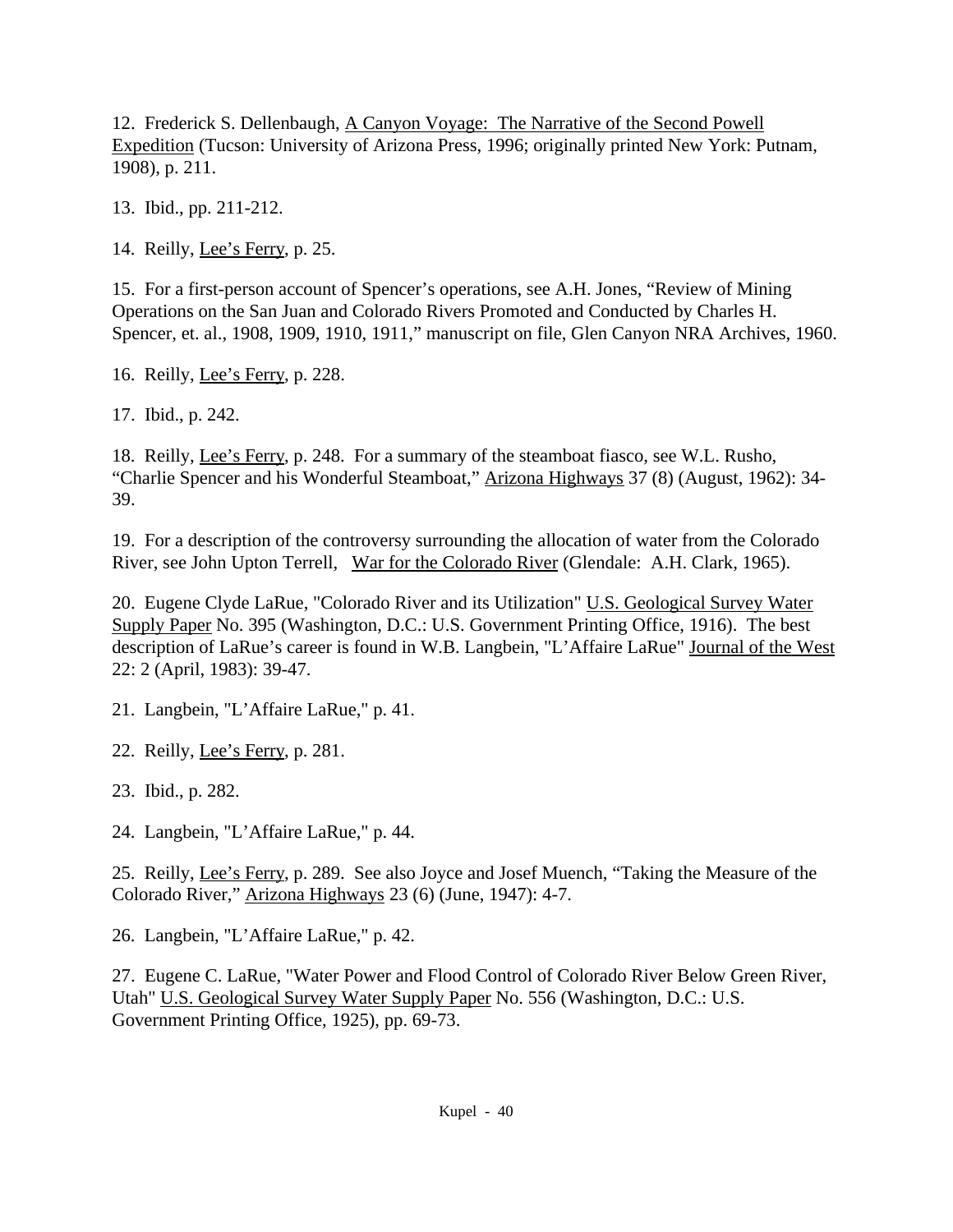12. Frederick S. Dellenbaugh, A Canyon Voyage: The Narrative of the Second Powell Expedition (Tucson: University of Arizona Press, 1996; originally printed New York: Putnam, 1908), p. 211.

13. Ibid., pp. 211-212.

14. Reilly, Lee's Ferry, p. 25.

15. For a first-person account of Spencer's operations, see A.H. Jones, "Review of Mining Operations on the San Juan and Colorado Rivers Promoted and Conducted by Charles H. Spencer, et. al., 1908, 1909, 1910, 1911," manuscript on file, Glen Canyon NRA Archives, 1960.

16. Reilly, Lee's Ferry, p. 228.

17. Ibid., p. 242.

18. Reilly, Lee's Ferry, p. 248. For a summary of the steamboat fiasco, see W.L. Rusho, "Charlie Spencer and his Wonderful Steamboat," Arizona Highways 37 (8) (August, 1962): 34- 39.

19. For a description of the controversy surrounding the allocation of water from the Colorado River, see John Upton Terrell, War for the Colorado River (Glendale: A.H. Clark, 1965).

20. Eugene Clyde LaRue, "Colorado River and its Utilization" U.S. Geological Survey Water Supply Paper No. 395 (Washington, D.C.: U.S. Government Printing Office, 1916). The best description of LaRue's career is found in W.B. Langbein, "L'Affaire LaRue" Journal of the West 22: 2 (April, 1983): 39-47.

21. Langbein, "L'Affaire LaRue," p. 41.

22. Reilly, Lee's Ferry, p. 281.

23. Ibid., p. 282.

24. Langbein, "L'Affaire LaRue," p. 44.

25. Reilly, Lee's Ferry, p. 289. See also Joyce and Josef Muench, "Taking the Measure of the Colorado River," Arizona Highways 23 (6) (June, 1947): 4-7.

26. Langbein, "L'Affaire LaRue," p. 42.

27. Eugene C. LaRue, "Water Power and Flood Control of Colorado River Below Green River, Utah" U.S. Geological Survey Water Supply Paper No. 556 (Washington, D.C.: U.S. Government Printing Office, 1925), pp. 69-73.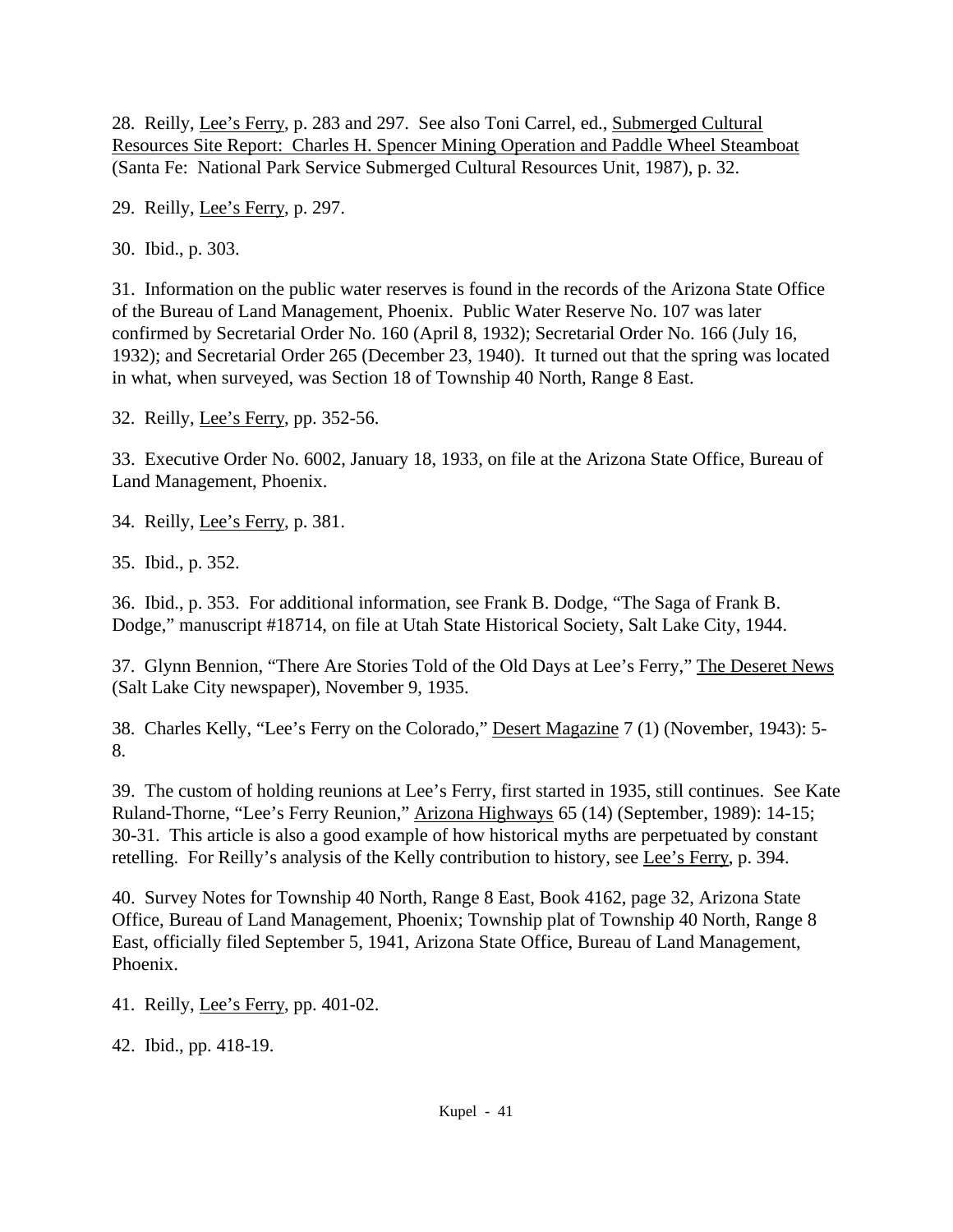28. Reilly, Lee's Ferry, p. 283 and 297. See also Toni Carrel, ed., Submerged Cultural Resources Site Report: Charles H. Spencer Mining Operation and Paddle Wheel Steamboat (Santa Fe: National Park Service Submerged Cultural Resources Unit, 1987), p. 32.

29. Reilly, Lee's Ferry, p. 297.

30. Ibid., p. 303.

31. Information on the public water reserves is found in the records of the Arizona State Office of the Bureau of Land Management, Phoenix. Public Water Reserve No. 107 was later confirmed by Secretarial Order No. 160 (April 8, 1932); Secretarial Order No. 166 (July 16, 1932); and Secretarial Order 265 (December 23, 1940). It turned out that the spring was located in what, when surveyed, was Section 18 of Township 40 North, Range 8 East.

32. Reilly, Lee's Ferry, pp. 352-56.

33. Executive Order No. 6002, January 18, 1933, on file at the Arizona State Office, Bureau of Land Management, Phoenix.

34. Reilly, Lee's Ferry, p. 381.

35. Ibid., p. 352.

36. Ibid., p. 353. For additional information, see Frank B. Dodge, "The Saga of Frank B. Dodge," manuscript #18714, on file at Utah State Historical Society, Salt Lake City, 1944.

37. Glynn Bennion, "There Are Stories Told of the Old Days at Lee's Ferry," The Deseret News (Salt Lake City newspaper), November 9, 1935.

38. Charles Kelly, "Lee's Ferry on the Colorado," Desert Magazine 7 (1) (November, 1943): 5- 8.

39. The custom of holding reunions at Lee's Ferry, first started in 1935, still continues. See Kate Ruland-Thorne, "Lee's Ferry Reunion," Arizona Highways 65 (14) (September, 1989): 14-15; 30-31. This article is also a good example of how historical myths are perpetuated by constant retelling. For Reilly's analysis of the Kelly contribution to history, see Lee's Ferry, p. 394.

40. Survey Notes for Township 40 North, Range 8 East, Book 4162, page 32, Arizona State Office, Bureau of Land Management, Phoenix; Township plat of Township 40 North, Range 8 East, officially filed September 5, 1941, Arizona State Office, Bureau of Land Management, Phoenix.

41. Reilly, Lee's Ferry, pp. 401-02.

42. Ibid., pp. 418-19.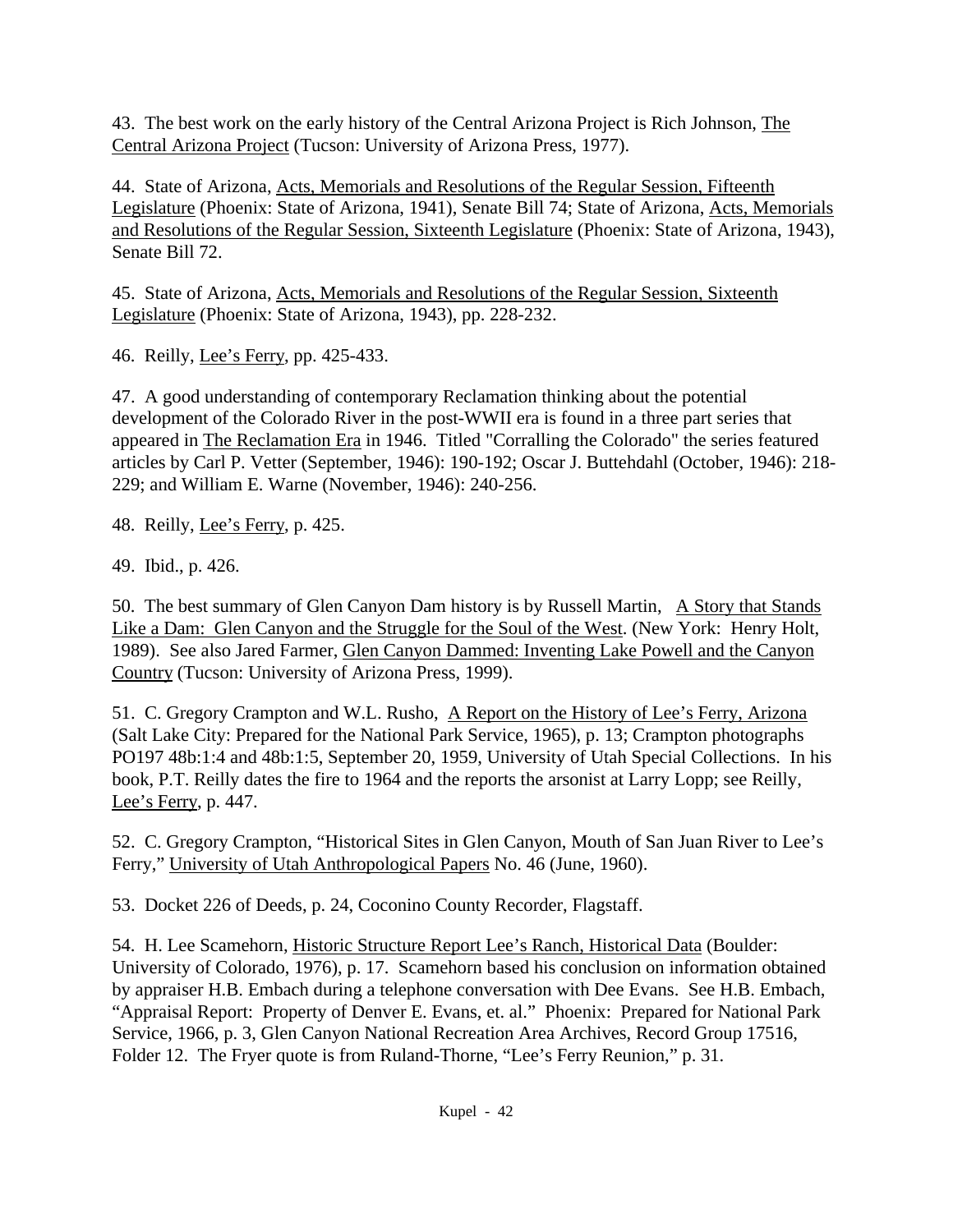43. The best work on the early history of the Central Arizona Project is Rich Johnson, The Central Arizona Project (Tucson: University of Arizona Press, 1977).

44. State of Arizona, Acts, Memorials and Resolutions of the Regular Session, Fifteenth Legislature (Phoenix: State of Arizona, 1941), Senate Bill 74; State of Arizona, Acts, Memorials and Resolutions of the Regular Session, Sixteenth Legislature (Phoenix: State of Arizona, 1943), Senate Bill 72.

45. State of Arizona, Acts, Memorials and Resolutions of the Regular Session, Sixteenth Legislature (Phoenix: State of Arizona, 1943), pp. 228-232.

46. Reilly, Lee's Ferry, pp. 425-433.

47. A good understanding of contemporary Reclamation thinking about the potential development of the Colorado River in the post-WWII era is found in a three part series that appeared in The Reclamation Era in 1946. Titled "Corralling the Colorado" the series featured articles by Carl P. Vetter (September, 1946): 190-192; Oscar J. Buttehdahl (October, 1946): 218- 229; and William E. Warne (November, 1946): 240-256.

48. Reilly, Lee's Ferry, p. 425.

49. Ibid., p. 426.

50. The best summary of Glen Canyon Dam history is by Russell Martin, A Story that Stands Like a Dam: Glen Canyon and the Struggle for the Soul of the West. (New York: Henry Holt, 1989). See also Jared Farmer, Glen Canyon Dammed: Inventing Lake Powell and the Canyon Country (Tucson: University of Arizona Press, 1999).

51. C. Gregory Crampton and W.L. Rusho, A Report on the History of Lee's Ferry, Arizona (Salt Lake City: Prepared for the National Park Service, 1965), p. 13; Crampton photographs PO197 48b:1:4 and 48b:1:5, September 20, 1959, University of Utah Special Collections. In his book, P.T. Reilly dates the fire to 1964 and the reports the arsonist at Larry Lopp; see Reilly, Lee's Ferry, p. 447.

52. C. Gregory Crampton, "Historical Sites in Glen Canyon, Mouth of San Juan River to Lee's Ferry," University of Utah Anthropological Papers No. 46 (June, 1960).

53. Docket 226 of Deeds, p. 24, Coconino County Recorder, Flagstaff.

54. H. Lee Scamehorn, Historic Structure Report Lee's Ranch, Historical Data (Boulder: University of Colorado, 1976), p. 17. Scamehorn based his conclusion on information obtained by appraiser H.B. Embach during a telephone conversation with Dee Evans. See H.B. Embach, "Appraisal Report: Property of Denver E. Evans, et. al." Phoenix: Prepared for National Park Service, 1966, p. 3, Glen Canyon National Recreation Area Archives, Record Group 17516, Folder 12. The Fryer quote is from Ruland-Thorne, "Lee's Ferry Reunion," p. 31.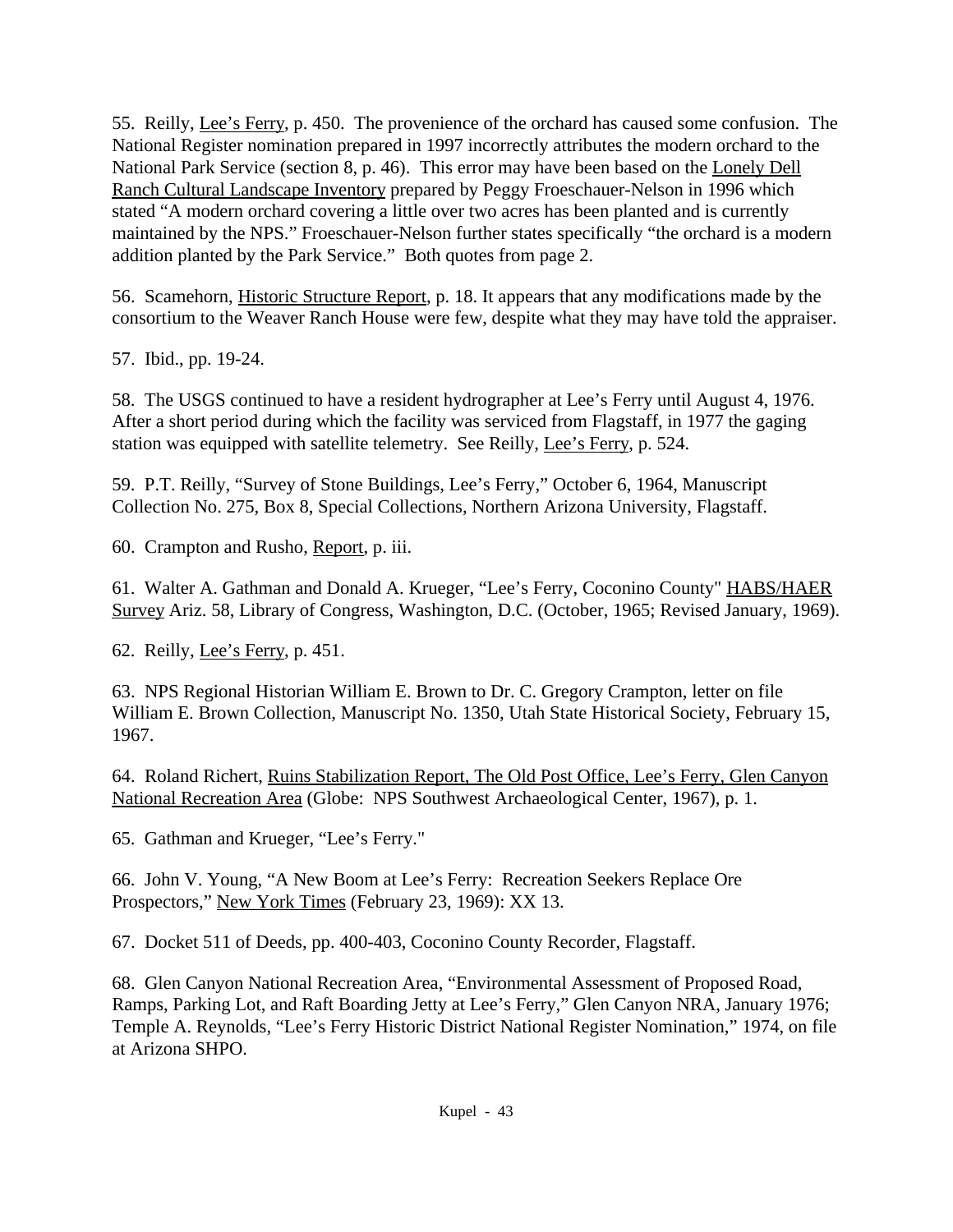55. Reilly, Lee's Ferry, p. 450. The provenience of the orchard has caused some confusion. The National Register nomination prepared in 1997 incorrectly attributes the modern orchard to the National Park Service (section 8, p. 46). This error may have been based on the Lonely Dell Ranch Cultural Landscape Inventory prepared by Peggy Froeschauer-Nelson in 1996 which stated "A modern orchard covering a little over two acres has been planted and is currently maintained by the NPS." Froeschauer-Nelson further states specifically "the orchard is a modern addition planted by the Park Service." Both quotes from page 2.

56. Scamehorn, Historic Structure Report, p. 18. It appears that any modifications made by the consortium to the Weaver Ranch House were few, despite what they may have told the appraiser.

57. Ibid., pp. 19-24.

58. The USGS continued to have a resident hydrographer at Lee's Ferry until August 4, 1976. After a short period during which the facility was serviced from Flagstaff, in 1977 the gaging station was equipped with satellite telemetry. See Reilly, Lee's Ferry, p. 524.

59. P.T. Reilly, "Survey of Stone Buildings, Lee's Ferry," October 6, 1964, Manuscript Collection No. 275, Box 8, Special Collections, Northern Arizona University, Flagstaff.

60. Crampton and Rusho, Report, p. iii.

61. Walter A. Gathman and Donald A. Krueger, "Lee's Ferry, Coconino County" HABS/HAER Survey Ariz. 58, Library of Congress, Washington, D.C. (October, 1965; Revised January, 1969).

62. Reilly, Lee's Ferry, p. 451.

63. NPS Regional Historian William E. Brown to Dr. C. Gregory Crampton, letter on file William E. Brown Collection, Manuscript No. 1350, Utah State Historical Society, February 15, 1967.

64. Roland Richert, Ruins Stabilization Report, The Old Post Office, Lee's Ferry, Glen Canyon National Recreation Area (Globe: NPS Southwest Archaeological Center, 1967), p. 1.

65. Gathman and Krueger, "Lee's Ferry."

66. John V. Young, "A New Boom at Lee's Ferry: Recreation Seekers Replace Ore Prospectors," New York Times (February 23, 1969): XX 13.

67. Docket 511 of Deeds, pp. 400-403, Coconino County Recorder, Flagstaff.

68. Glen Canyon National Recreation Area, "Environmental Assessment of Proposed Road, Ramps, Parking Lot, and Raft Boarding Jetty at Lee's Ferry," Glen Canyon NRA, January 1976; Temple A. Reynolds, "Lee's Ferry Historic District National Register Nomination," 1974, on file at Arizona SHPO.